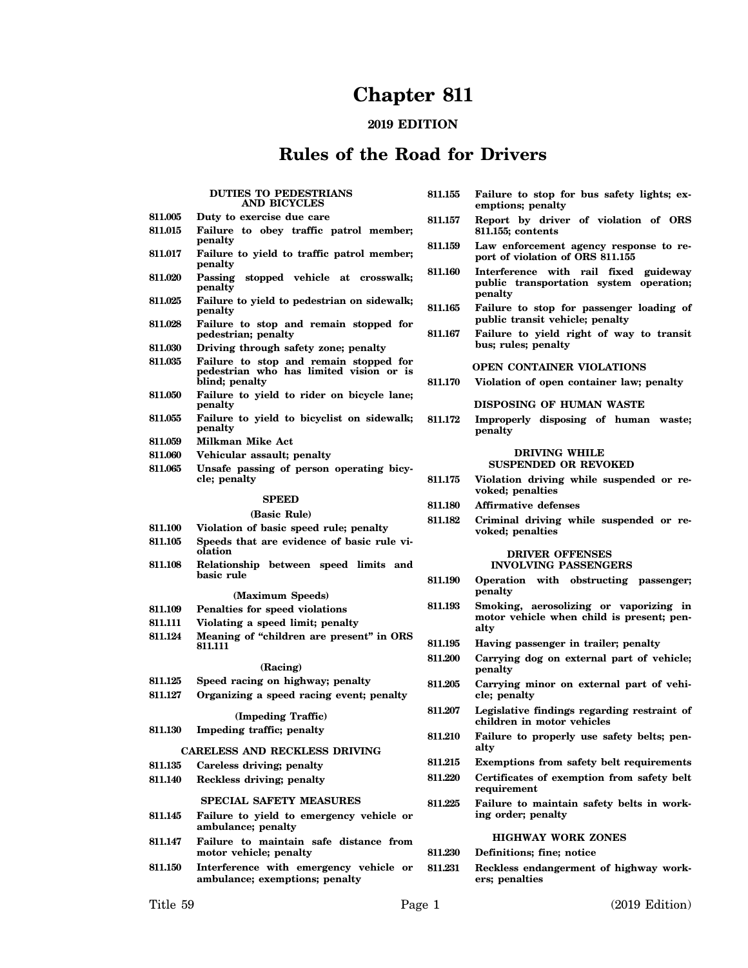# **Chapter 811**

## **2019 EDITION**

## **Rules of the Road for Drivers**

|                    | <b>DUTIES TO PEDESTRIANS</b><br>AND BICYCLES                                                        | 811.155 | Failure to stop for bus safety lights; ex-<br>emptions; penalty                  |
|--------------------|-----------------------------------------------------------------------------------------------------|---------|----------------------------------------------------------------------------------|
| 811.005<br>811.015 | Duty to exercise due care<br>Failure to obey traffic patrol member;                                 | 811.157 | Report by driver of violation of ORS<br>811.155; contents                        |
| 811.017            | penalty<br>Failure to yield to traffic patrol member;<br>penalty                                    | 811.159 | Law enforcement agency response to re-<br>port of violation of ORS 811.155       |
| 811.020            | Passing stopped vehicle at crosswalk;<br>penalty                                                    | 811.160 | Interference with rail fixed guideway<br>public transportation system operation; |
| 811.025            | Failure to yield to pedestrian on sidewalk;<br>penalty                                              | 811.165 | penalty<br>Failure to stop for passenger loading of                              |
| 811.028            | Failure to stop and remain stopped for<br>pedestrian; penalty                                       | 811.167 | public transit vehicle; penalty<br>Failure to yield right of way to transit      |
| 811.030            | Driving through safety zone; penalty                                                                |         | bus; rules; penalty                                                              |
| 811.035            | Failure to stop and remain stopped for<br>pedestrian who has limited vision or is<br>blind; penalty |         | OPEN CONTAINER VIOLATIONS                                                        |
| 811.050            |                                                                                                     | 811.170 | Violation of open container law; penalty                                         |
| 811.055            | Failure to yield to rider on bicycle lane;<br>penalty<br>Failure to yield to bicyclist on sidewalk; |         | DISPOSING OF HUMAN WASTE                                                         |
| 811.059            | penalty<br>Milkman Mike Act                                                                         | 811.172 | Improperly disposing of human waste;<br>penalty                                  |
| 811.060            | Vehicular assault; penalty                                                                          |         | <b>DRIVING WHILE</b>                                                             |
| 811.065            | Unsafe passing of person operating bicy-                                                            |         | <b>SUSPENDED OR REVOKED</b>                                                      |
|                    | cle; penalty                                                                                        | 811.175 | Violation driving while suspended or re-<br>voked; penalties                     |
|                    | <b>SPEED</b>                                                                                        | 811.180 | <b>Affirmative defenses</b>                                                      |
|                    | (Basic Rule)                                                                                        | 811.182 | Criminal driving while suspended or re-                                          |
| 811.100            | Violation of basic speed rule; penalty                                                              |         | voked; penalties                                                                 |
| 811.105            | Speeds that are evidence of basic rule vi-<br>olation                                               |         |                                                                                  |
|                    |                                                                                                     |         | <b>DRIVER OFFENSES</b>                                                           |
| 811.108            | Relationship between speed limits and                                                               |         | <b>INVOLVING PASSENGERS</b>                                                      |
|                    | basic rule<br>(Maximum Speeds)                                                                      | 811.190 | Operation with obstructing passenger;<br>penalty                                 |
| 811.109            | Penalties for speed violations                                                                      | 811.193 | Smoking, aerosolizing or vaporizing in                                           |
| 811.111            | Violating a speed limit; penalty                                                                    |         | motor vehicle when child is present; pen-                                        |
| 811.124            | Meaning of "children are present" in ORS                                                            |         | alty                                                                             |
|                    | 811.111                                                                                             | 811.195 | Having passenger in trailer; penalty                                             |
|                    | (Racing)                                                                                            | 811.200 | Carrying dog on external part of vehicle;<br>penalty                             |
| 811.125<br>811.127 | Speed racing on highway; penalty<br>Organizing a speed racing event; penalty                        | 811.205 | Carrying minor on external part of vehi-<br>cle; penalty                         |
|                    | (Impeding Traffic)                                                                                  | 811.207 | Legislative findings regarding restraint of<br>children in motor vehicles        |
| 811.130            | Impeding traffic; penalty                                                                           | 811.210 | Failure to properly use safety belts; pen-<br>alty                               |
|                    | CARELESS AND RECKLESS DRIVING                                                                       | 811.215 |                                                                                  |
| 811.135            | Careless driving; penalty                                                                           |         | Exemptions from safety belt requirements                                         |
| 811.140            | Reckless driving; penalty<br><b>SPECIAL SAFETY MEASURES</b>                                         | 811.220 | Certificates of exemption from safety belt<br>requirement                        |
| 811.145            | Failure to yield to emergency vehicle or                                                            | 811.225 | Failure to maintain safety belts in work-<br>ing order; penalty                  |
| 811.147            | ambulance; penalty<br>Failure to maintain safe distance from                                        |         | <b>HIGHWAY WORK ZONES</b>                                                        |
|                    | motor vehicle; penalty                                                                              | 811.230 | Definitions; fine; notice                                                        |
| 811.150            | Interference with emergency vehicle or<br>ambulance; exemptions; penalty                            | 811.231 | Reckless endangerment of highway work-<br>ers; penalties                         |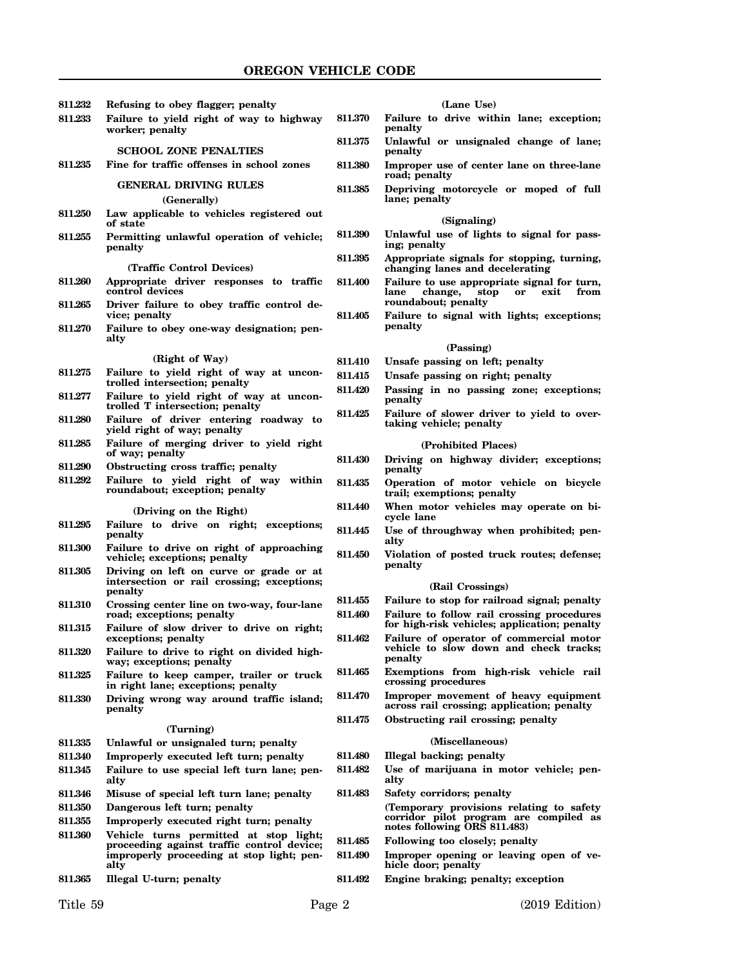| 811.232 | Refusing to obey flagger; penalty                                                                |                    | $\mathbf 0$                                  |
|---------|--------------------------------------------------------------------------------------------------|--------------------|----------------------------------------------|
| 811.233 | Failure to yield right of way to highway<br>worker; penalty                                      | 811.370            | Failure to d<br>penalty                      |
|         | <b>SCHOOL ZONE PENALTIES</b>                                                                     | 811.375            | Unlawful or<br>penalty                       |
| 811.235 | Fine for traffic offenses in school zones                                                        | 811.380            | Improper us<br>road; penalty                 |
|         | <b>GENERAL DRIVING RULES</b><br>(Generally)                                                      | 811.385            | Depriving n<br>lane; penalty                 |
| 811.250 | Law applicable to vehicles registered out<br>of state                                            |                    | (S                                           |
| 811.255 | Permitting unlawful operation of vehicle;<br>penalty                                             | 811.390            | Unlawful us<br>ing; penalty                  |
|         |                                                                                                  | 811.395            | Appropriate                                  |
| 811.260 | (Traffic Control Devices)<br>Appropriate driver responses to traffic<br>control devices          | 811.400            | changing lar<br><b>Failure to us</b><br>chan |
| 811.265 | Driver failure to obey traffic control de-<br>vice; penalty                                      |                    | lane<br>roundabout;                          |
| 811.270 | Failure to obey one-way designation; pen-<br>alty                                                | 811.405            | Failure to s<br>penalty                      |
|         |                                                                                                  |                    |                                              |
| 811.275 | (Right of Way)<br>Failure to yield right of way at uncon-                                        | <b>811.410</b>     | Unsafe passi                                 |
|         | trolled intersection; penalty                                                                    | 811.415            | Unsafe passi                                 |
| 811.277 | Failure to yield right of way at uncon-<br>trolled T intersection; penalty                       | 811.420            | Passing in<br>penalty                        |
| 811.280 | Failure of driver entering roadway to<br>yield right of way; penalty                             | 811.425            | Failure of sl<br>taking vehic                |
| 811.285 | Failure of merging driver to yield right<br>of way; penalty                                      | 811.430            | (Proh<br>Driving on                          |
| 811.290 | Obstructing cross traffic; penalty                                                               |                    | penalty                                      |
| 811.292 | Failure to yield right of way within<br>roundabout; exception; penalty                           | 811.435            | Operation o<br>trail; exempt                 |
|         | (Driving on the Right)                                                                           | 811.440            | When motor<br>cycle lane                     |
| 811.295 | Failure to drive on right; exceptions;<br>penalty                                                | 811.445            | Use of throu<br>alty                         |
| 811.300 | Failure to drive on right of approaching<br>vehicle; exceptions; penalty                         | 811.450            | Violation of<br>penalty                      |
| 811.305 | Driving on left on curve or grade or at<br>intersection or rail crossing; exceptions;<br>penalty |                    | (Rai                                         |
| 811.310 | Crossing center line on two-way, four-lane<br>road; exceptions; penalty                          | 811.455<br>811.460 | Failure to st<br>Failure to fo               |
| 811.315 | Failure of slow driver to drive on right;<br>exceptions; penalty                                 | 811.462            | for high-risk<br>Failure of o                |
| 811.320 | Failure to drive to right on divided high-<br>way; exceptions; penalty                           |                    | vehicle to s<br>penalty                      |
| 811.325 | Failure to keep camper, trailer or truck<br>in right lane; exceptions; penalty                   | 811.465            | Exemptions<br>crossing pro                   |
| 811.330 | Driving wrong way around traffic island;<br>penalty                                              | <b>811.470</b>     | Improper me<br>across rail c                 |
|         | (Turning)                                                                                        | 811.475            | <b>Obstructing</b>                           |
| 811.335 | Unlawful or unsignaled turn; penalty                                                             |                    | (Mi                                          |
| 811.340 | Improperly executed left turn; penalty                                                           | 811.480            | Illegal backi                                |
| 811.345 | Failure to use special left turn lane; pen-<br>alty                                              | 811.482            | Use of mari<br>alty                          |
| 811.346 | Misuse of special left turn lane; penalty                                                        | 811.483            | Safety corrio                                |
| 811.350 | Dangerous left turn; penalty                                                                     |                    | (Temporary)                                  |
| 811.355 | Improperly executed right turn; penalty                                                          |                    | corridor pile<br>notes followi               |
| 811.360 | Vehicle turns permitted at stop light;                                                           | 811.485            | Following to                                 |
|         | proceeding against traffic control device;<br>improperly proceeding at stop light; pen-<br>alty  | 811.490            | Improper op<br>hicle door; p                 |
| 811.365 | Illegal U-turn; penalty                                                                          | 811.492            | Engine brak                                  |

| (Lane Use) |
|------------|
|            |

- **811.370 Failure to drive within lane; exception;**
- **811.375 Unlawful or unsignaled change of lane;**
- **811.380 Improper use of center lane on three-lane road; penalty**
- **811.385 Depriving motorcycle or moped of full lane; penalty**

#### **(Signaling)**

- $e$  of lights to signal for pass-
- **811.395 Appropriate signals for stopping, turning, changing lanes and decelerating**
	- **811.400 Failure to use appropriate signal for turn, lane change, stop or exit from**  $r_{\text{penalty}}$
	- **811.405 Failure to signal with lights; exceptions;**

#### **(Passing)**

- **811.410 Unsafe passing on left; penalty**
- **811.415 Unsafe passing on right; penalty**
- **811.420 Passing in no passing zone; exceptions;**
- lower driver to yield to over**taking vehicle; penalty**

#### **(Prohibited Places)**

- **811.430 Driving on highway divider; exceptions;**
- **811.435 Operation of motor vehicle on bicycle tions; penalty**
- vehicles may operate on bi-
- **811.445 Use of throughway when prohibited; pen-**
- $\boldsymbol{\beta}$  posted truck routes; defense;

#### **(Rail Crossings)**

**811.455 Failure to stop for railroad signal; penalty 811.460 Failure to follow rail crossing procedures**

- **for high-risk vehicles; application; penalty 811.462 Failure of operator of commercial motor** low down and check tracks;
- from high-risk vehicle rail **crossing procedures**
- $overent$  of heavy equipment rossing; application; penalty rail crossing; penalty

## **(Miscellaneous)**

**811.480 Illegal backing; penalty**

- juana in motor vehicle; pen-
- **811.483 Safety corridors; penalty**

provisions relating to safety **corridor pilot program are compiled as notes following ORS 811.483)**

- **811.485 Following too closely; penalty**
- ening or leaving open of ve**hicle door; penalty**
- **811.492 Engine braking; penalty; exception**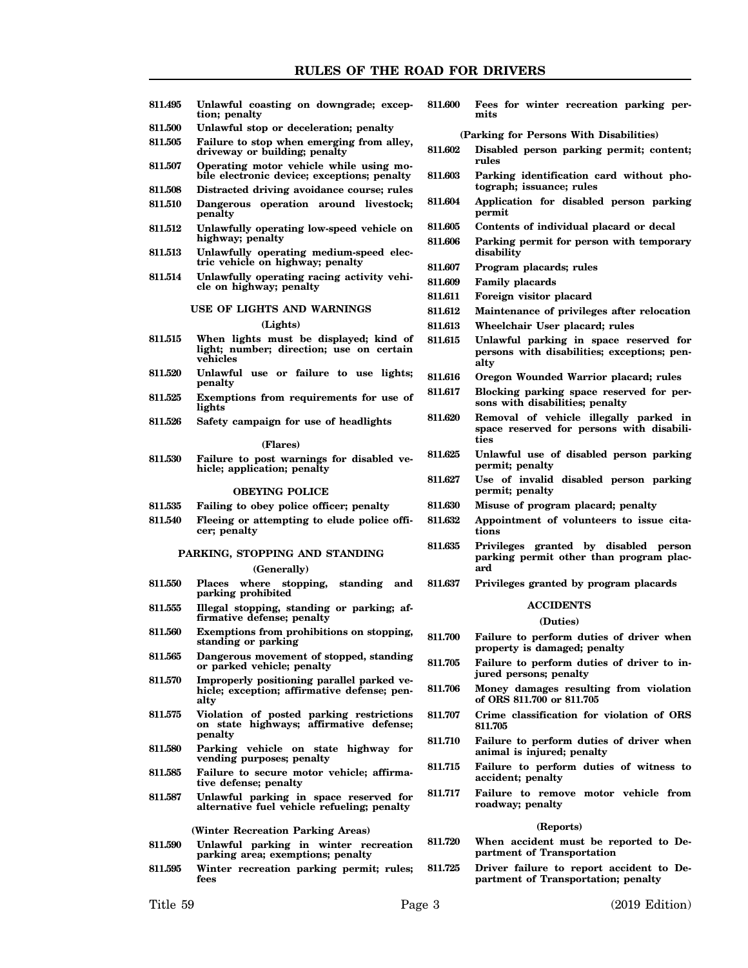**811.495 Unlawful coasting on downgrade; exception; penalty 811.500 Unlawful stop or deceleration; penalty 811.505 Failure to stop when emerging from alley, driveway or building; penalty 811.507 Operating motor vehicle while using mobile electronic device; exceptions; penalty 811.508 Distracted driving avoidance course; rules 811.510 Dangerous operation around livestock; penalty 811.512 Unlawfully operating low-speed vehicle on highway; penalty 811.513 Unlawfully operating medium-speed electric vehicle on highway; penalty 811.514 Unlawfully operating racing activity vehicle on highway; penalty USE OF LIGHTS AND WARNINGS (Lights) 811.515 When lights must be displayed; kind of light; number; direction; use on certain vehicles 811.520 Unlawful use or failure to use lights; penalty 811.525 Exemptions from requirements for use of lights 811.526 Safety campaign for use of headlights (Flares) 811.530 Failure to post warnings for disabled vehicle; application; penalty OBEYING POLICE 811.535 Failing to obey police officer; penalty 811.540 Fleeing or attempting to elude police officer; penalty PARKING, STOPPING AND STANDING (Generally) 811.550 Places where stopping, standing and parking prohibited 811.555 Illegal stopping, standing or parking; affirmative defense; penalty 811.560 Exemptions from prohibitions on stopping, standing or parking 811.565 Dangerous movement of stopped, standing or parked vehicle; penalty 811.570 Improperly positioning parallel parked vehicle; exception; affirmative defense; penalty 811.575 Violation of posted parking restrictions on state highways; affirmative defense; penalty 811.580 Parking vehicle on state highway for vending purposes; penalty 811.585 Failure to secure motor vehicle; affirmative defense; penalty 811.587 Unlawful parking in space reserved for alternative fuel vehicle refueling; penalty (Winter Recreation Parking Areas) 811.590 Unlawful parking in winter recreation parking area; exemptions; penalty 811.595 Winter recreation parking permit; rules; fees mits rules tograph; issuance; rules permit disability 811.607 Program placards; rules 811.609 Family placards 811.611 Foreign visitor placard 811.613 Wheelchair User placard; rules alty ties permit; penalty permit; penalty tions ard ACCIDENTS (Duties) jured persons; penalty of ORS 811.700 or 811.705 811.705 accident; penalty roadway; penalty (Reports)**

**811.600 Fees for winter recreation parking per-**

**(Parking for Persons With Disabilities)**

- **811.602 Disabled person parking permit; content;**
- **811.603 Parking identification card without pho-**
- **811.604 Application for disabled person parking**
- **811.605 Contents of individual placard or decal**
- **811.606 Parking permit for person with temporary**
- **811.612 Maintenance of privileges after relocation**
	-
- **811.615 Unlawful parking in space reserved for persons with disabilities; exceptions; pen-**
- **811.616 Oregon Wounded Warrior placard; rules**
- **811.617 Blocking parking space reserved for persons with disabilities; penalty**
- **811.620 Removal of vehicle illegally parked in space reserved for persons with disabili-**
- **811.625 Unlawful use of disabled person parking**
- **811.627 Use of invalid disabled person parking**
- **811.630 Misuse of program placard; penalty**
- **811.632 Appointment of volunteers to issue cita-**
- **811.635 Privileges granted by disabled person parking permit other than program plac-**
- **811.637 Privileges granted by program placards**
- **811.700 Failure to perform duties of driver when property is damaged; penalty**
- **811.705 Failure to perform duties of driver to in-**
- **811.706 Money damages resulting from violation**
- **811.707 Crime classification for violation of ORS**
- **811.710 Failure to perform duties of driver when animal is injured; penalty**
- **811.715 Failure to perform duties of witness to**
- **811.717 Failure to remove motor vehicle from**
- **811.720 When accident must be reported to Department of Transportation**
- **811.725 Driver failure to report accident to Department of Transportation; penalty**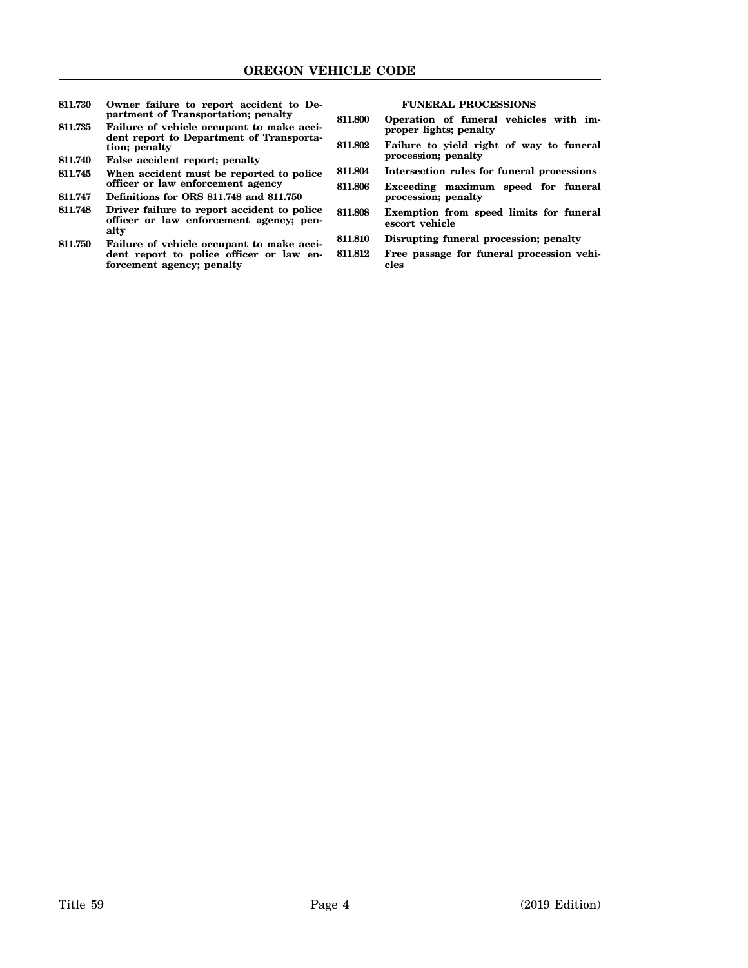| 811.730 | Owner failure to report accident to De-<br>partment of Transportation; penalty<br>Failure of vehicle occupant to make acci-<br>dent report to Department of Transporta-<br>tion; penalty | <b>FUNERAL PROCESSIONS</b> |                                                            |  |
|---------|------------------------------------------------------------------------------------------------------------------------------------------------------------------------------------------|----------------------------|------------------------------------------------------------|--|
|         |                                                                                                                                                                                          | 811.800                    | Operation of funeral vehicles with im-                     |  |
| 811.735 |                                                                                                                                                                                          |                            | proper lights; penalty                                     |  |
|         |                                                                                                                                                                                          | 811.802                    | Failure to yield right of way to funeral                   |  |
| 811.740 | False accident report; penalty                                                                                                                                                           |                            | procession; penalty                                        |  |
| 811.745 | When accident must be reported to police<br>officer or law enforcement agency                                                                                                            | 811.804                    | Intersection rules for funeral processions                 |  |
|         |                                                                                                                                                                                          | 811.806                    | Exceeding maximum speed for funeral<br>procession; penalty |  |
| 811.747 | Definitions for ORS 811.748 and 811.750                                                                                                                                                  |                            |                                                            |  |
| 811.748 | Driver failure to report accident to police<br>officer or law enforcement agency; pen-<br>alty                                                                                           | 811.808                    | Exemption from speed limits for funeral<br>escort vehicle  |  |
| 811.750 | Failure of vehicle occupant to make acci-<br>dent report to police officer or law en-<br>forcement agency; penalty                                                                       | 811.810                    | Disrupting funeral procession; penalty                     |  |
|         |                                                                                                                                                                                          | 811.812                    | Free passage for funeral procession vehi-<br>cles          |  |
|         |                                                                                                                                                                                          |                            |                                                            |  |
|         |                                                                                                                                                                                          |                            |                                                            |  |
|         |                                                                                                                                                                                          |                            |                                                            |  |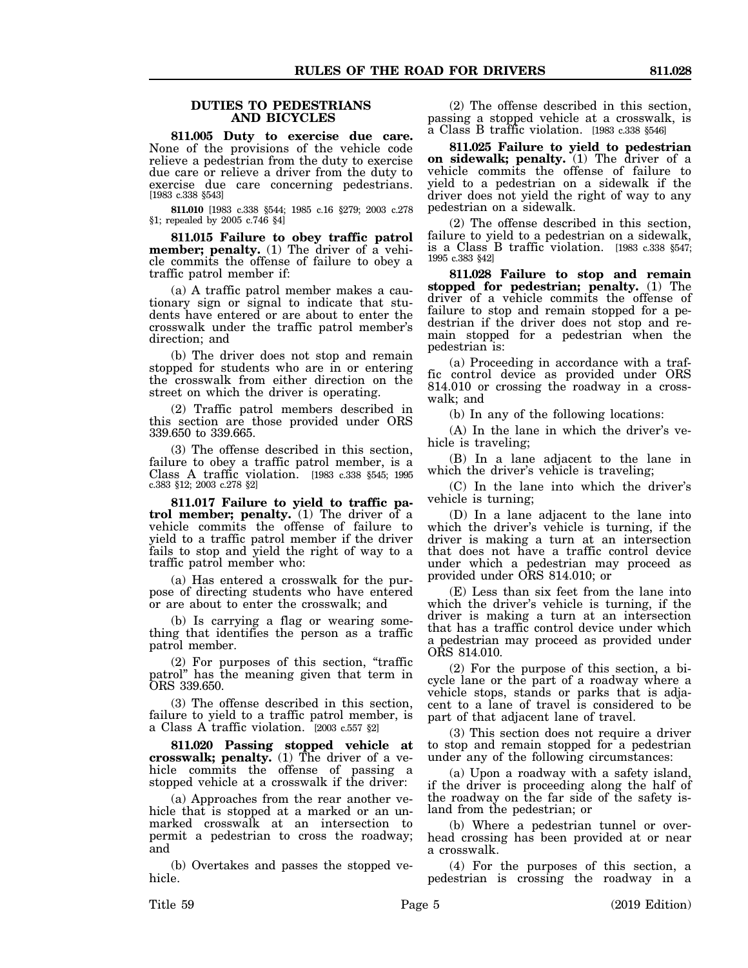#### **DUTIES TO PEDESTRIANS AND BICYCLES**

**811.005 Duty to exercise due care.** None of the provisions of the vehicle code relieve a pedestrian from the duty to exercise due care or relieve a driver from the duty to exercise due care concerning pedestrians. [1983 c.338 §543]

**811.010** [1983 c.338 §544; 1985 c.16 §279; 2003 c.278 §1; repealed by 2005 c.746 §4]

**811.015 Failure to obey traffic patrol member; penalty.** (1) The driver of a vehicle commits the offense of failure to obey a traffic patrol member if:

(a) A traffic patrol member makes a cautionary sign or signal to indicate that students have entered or are about to enter the crosswalk under the traffic patrol member's direction; and

(b) The driver does not stop and remain stopped for students who are in or entering the crosswalk from either direction on the street on which the driver is operating.

(2) Traffic patrol members described in this section are those provided under ORS 339.650 to 339.665.

(3) The offense described in this section, failure to obey a traffic patrol member, is a Class A traffic violation. [1983 c.338 §545; 1995 c.383 §12; 2003 c.278 §2]

**811.017 Failure to yield to traffic patrol member; penalty.** (1) The driver of a vehicle commits the offense of failure to yield to a traffic patrol member if the driver fails to stop and yield the right of way to a traffic patrol member who:

(a) Has entered a crosswalk for the purpose of directing students who have entered or are about to enter the crosswalk; and

(b) Is carrying a flag or wearing something that identifies the person as a traffic patrol member.

(2) For purposes of this section, "traffic patrol" has the meaning given that term in ORS 339.650.

(3) The offense described in this section, failure to yield to a traffic patrol member, is a Class A traffic violation. [2003 c.557 §2]

**811.020 Passing stopped vehicle at crosswalk; penalty.** (1) The driver of a vehicle commits the offense of passing a stopped vehicle at a crosswalk if the driver:

(a) Approaches from the rear another vehicle that is stopped at a marked or an unmarked crosswalk at an intersection to permit a pedestrian to cross the roadway; and

(b) Overtakes and passes the stopped vehicle.

(2) The offense described in this section, passing a stopped vehicle at a crosswalk, is a Class B traffic violation. [1983 c.338 §546]

**811.025 Failure to yield to pedestrian on sidewalk; penalty.** (1) The driver of a vehicle commits the offense of failure to yield to a pedestrian on a sidewalk if the driver does not yield the right of way to any pedestrian on a sidewalk.

(2) The offense described in this section, failure to yield to a pedestrian on a sidewalk, is a Class B traffic violation. [1983 c.338 §547; 1995 c.383 §42]

**811.028 Failure to stop and remain stopped for pedestrian; penalty.** (1) The driver of a vehicle commits the offense of failure to stop and remain stopped for a pedestrian if the driver does not stop and remain stopped for a pedestrian when the pedestrian is:

(a) Proceeding in accordance with a traffic control device as provided under ORS 814.010 or crossing the roadway in a crosswalk; and

(b) In any of the following locations:

(A) In the lane in which the driver's vehicle is traveling;

(B) In a lane adjacent to the lane in which the driver's vehicle is traveling;

(C) In the lane into which the driver's vehicle is turning;

(D) In a lane adjacent to the lane into which the driver's vehicle is turning, if the driver is making a turn at an intersection that does not have a traffic control device under which a pedestrian may proceed as provided under ORS 814.010; or

(E) Less than six feet from the lane into which the driver's vehicle is turning, if the driver is making a turn at an intersection that has a traffic control device under which a pedestrian may proceed as provided under ORS 814.010.

(2) For the purpose of this section, a bicycle lane or the part of a roadway where a vehicle stops, stands or parks that is adjacent to a lane of travel is considered to be part of that adjacent lane of travel.

(3) This section does not require a driver to stop and remain stopped for a pedestrian under any of the following circumstances:

(a) Upon a roadway with a safety island, if the driver is proceeding along the half of the roadway on the far side of the safety island from the pedestrian; or

(b) Where a pedestrian tunnel or overhead crossing has been provided at or near a crosswalk.

(4) For the purposes of this section, a pedestrian is crossing the roadway in a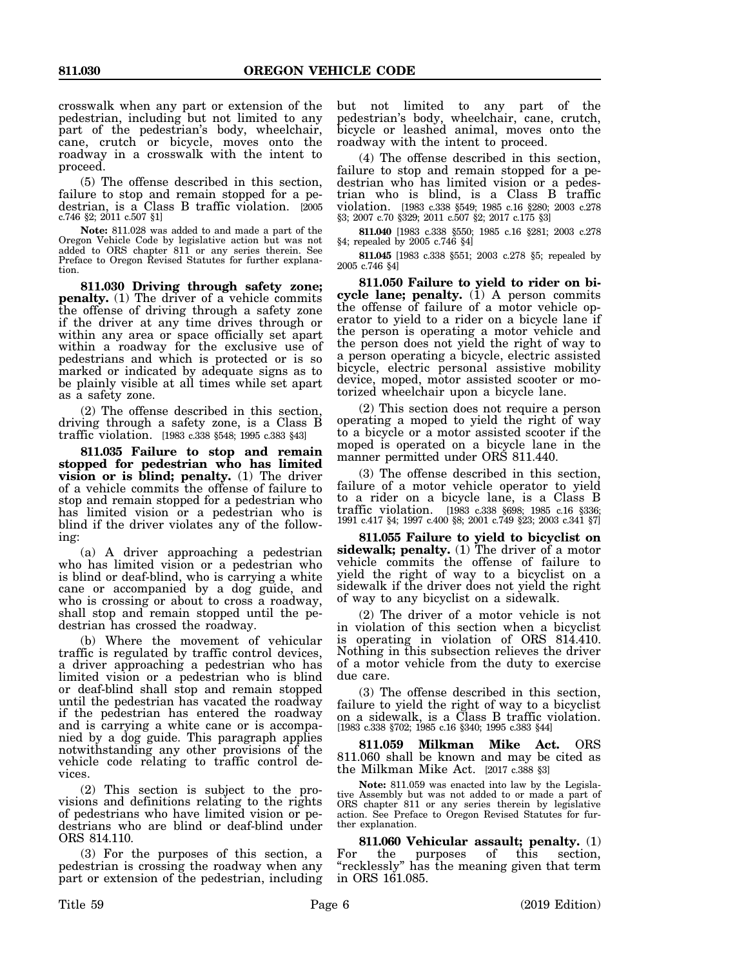crosswalk when any part or extension of the pedestrian, including but not limited to any part of the pedestrian's body, wheelchair, cane, crutch or bicycle, moves onto the roadway in a crosswalk with the intent to proceed.

(5) The offense described in this section, failure to stop and remain stopped for a pedestrian, is a Class B traffic violation. [2005 c.746 §2; 2011 c.507 §1]

**Note:** 811.028 was added to and made a part of the Oregon Vehicle Code by legislative action but was not added to ORS chapter 811 or any series therein. See Preface to Oregon Revised Statutes for further explanation.

**811.030 Driving through safety zone; penalty.** (1) The driver of a vehicle commits the offense of driving through a safety zone if the driver at any time drives through or within any area or space officially set apart within a roadway for the exclusive use of pedestrians and which is protected or is so marked or indicated by adequate signs as to be plainly visible at all times while set apart as a safety zone.

(2) The offense described in this section, driving through a safety zone, is a Class B traffic violation. [1983 c.338 §548; 1995 c.383 §43]

**811.035 Failure to stop and remain stopped for pedestrian who has limited vision or is blind; penalty.** (1) The driver of a vehicle commits the offense of failure to stop and remain stopped for a pedestrian who has limited vision or a pedestrian who is blind if the driver violates any of the following:

(a) A driver approaching a pedestrian who has limited vision or a pedestrian who is blind or deaf-blind, who is carrying a white cane or accompanied by a dog guide, and who is crossing or about to cross a roadway, shall stop and remain stopped until the pedestrian has crossed the roadway.

(b) Where the movement of vehicular traffic is regulated by traffic control devices, a driver approaching a pedestrian who has limited vision or a pedestrian who is blind or deaf-blind shall stop and remain stopped until the pedestrian has vacated the roadway if the pedestrian has entered the roadway and is carrying a white cane or is accompanied by a dog guide. This paragraph applies notwithstanding any other provisions of the vehicle code relating to traffic control devices.

(2) This section is subject to the provisions and definitions relating to the rights of pedestrians who have limited vision or pedestrians who are blind or deaf-blind under ORS 814.110.

(3) For the purposes of this section, a pedestrian is crossing the roadway when any part or extension of the pedestrian, including but not limited to any part of the pedestrian's body, wheelchair, cane, crutch, bicycle or leashed animal, moves onto the roadway with the intent to proceed.

(4) The offense described in this section, failure to stop and remain stopped for a pedestrian who has limited vision or a pedestrian who is blind, is a Class B traffic violation. [1983 c.338 §549; 1985 c.16 §280; 2003 c.278 §3; 2007 c.70 §329; 2011 c.507 §2; 2017 c.175 §3]

**811.040** [1983 c.338 §550; 1985 c.16 §281; 2003 c.278 §4; repealed by 2005 c.746 §4]

**811.045** [1983 c.338 §551; 2003 c.278 §5; repealed by 2005 c.746 §4]

**811.050 Failure to yield to rider on bicycle lane; penalty.** (1) A person commits the offense of failure of a motor vehicle operator to yield to a rider on a bicycle lane if the person is operating a motor vehicle and the person does not yield the right of way to a person operating a bicycle, electric assisted bicycle, electric personal assistive mobility device, moped, motor assisted scooter or motorized wheelchair upon a bicycle lane.

(2) This section does not require a person operating a moped to yield the right of way to a bicycle or a motor assisted scooter if the moped is operated on a bicycle lane in the manner permitted under ORS 811.440.

(3) The offense described in this section, failure of a motor vehicle operator to yield to a rider on a bicycle lane, is a Class B traffic violation. [1983 c.338 §698; 1985 c.16 §336; 1991 c.417 §4; 1997 c.400 §8; 2001 c.749 §23; 2003 c.341 §7]

**811.055 Failure to yield to bicyclist on sidewalk; penalty.** (1) The driver of a motor vehicle commits the offense of failure to yield the right of way to a bicyclist on a sidewalk if the driver does not yield the right of way to any bicyclist on a sidewalk.

(2) The driver of a motor vehicle is not in violation of this section when a bicyclist is operating in violation of ORS 814.410. Nothing in this subsection relieves the driver of a motor vehicle from the duty to exercise due care.

(3) The offense described in this section, failure to yield the right of way to a bicyclist on a sidewalk, is a Class B traffic violation. [1983 c.338 §702; 1985 c.16 §340; 1995 c.383 §44]

**811.059 Milkman Mike Act.** ORS 811.060 shall be known and may be cited as the Milkman Mike Act. [2017 c.388 §3]

**Note:** 811.059 was enacted into law by the Legislative Assembly but was not added to or made a part of ORS chapter 811 or any series therein by legislative action. See Preface to Oregon Revised Statutes for further explanation.

**811.060 Vehicular assault; penalty.** (1) For the purposes of this section, "recklessly" has the meaning given that term in ORS 161.085.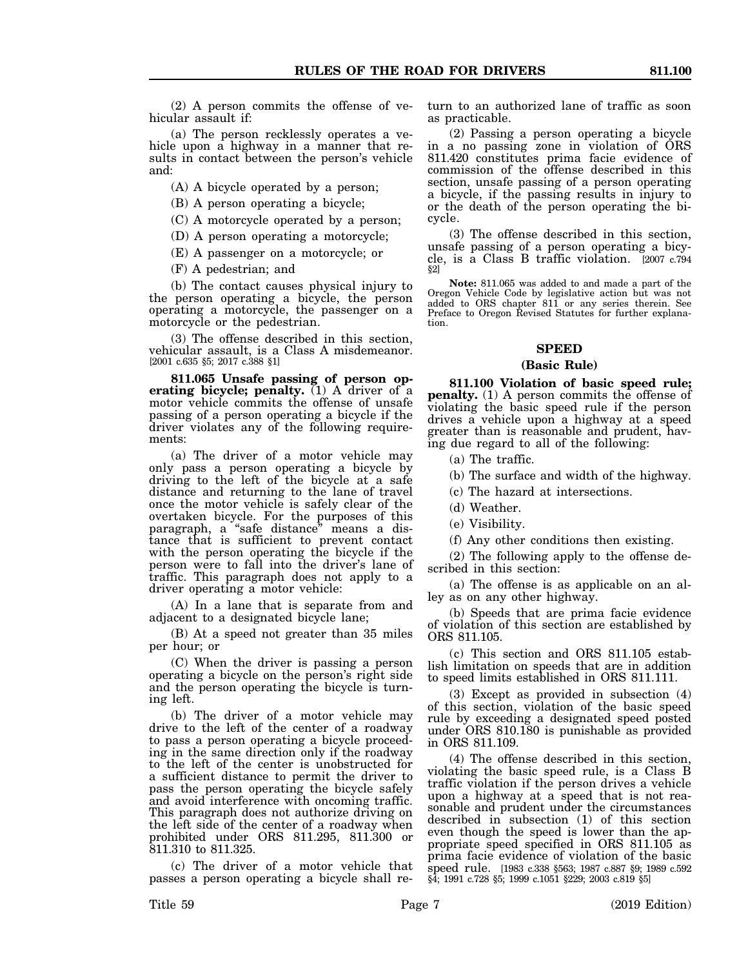(2) A person commits the offense of vehicular assault if:

(a) The person recklessly operates a vehicle upon a highway in a manner that results in contact between the person's vehicle and:

(A) A bicycle operated by a person;

(B) A person operating a bicycle;

(C) A motorcycle operated by a person;

(D) A person operating a motorcycle;

(E) A passenger on a motorcycle; or

(F) A pedestrian; and

(b) The contact causes physical injury to the person operating a bicycle, the person operating a motorcycle, the passenger on a motorcycle or the pedestrian.

(3) The offense described in this section, vehicular assault, is a Class A misdemeanor. [2001 c.635 §5; 2017 c.388 §1]

**811.065 Unsafe passing of person operating bicycle; penalty.** (1) A driver of a motor vehicle commits the offense of unsafe passing of a person operating a bicycle if the driver violates any of the following requirements:

(a) The driver of a motor vehicle may only pass a person operating a bicycle by driving to the left of the bicycle at a safe distance and returning to the lane of travel once the motor vehicle is safely clear of the overtaken bicycle. For the purposes of this paragraph, a "safe distance" means a distance that is sufficient to prevent contact with the person operating the bicycle if the person were to fall into the driver's lane of traffic. This paragraph does not apply to a driver operating a motor vehicle:

(A) In a lane that is separate from and adjacent to a designated bicycle lane;

(B) At a speed not greater than 35 miles per hour; or

(C) When the driver is passing a person operating a bicycle on the person's right side and the person operating the bicycle is turning left.

(b) The driver of a motor vehicle may drive to the left of the center of a roadway to pass a person operating a bicycle proceeding in the same direction only if the roadway to the left of the center is unobstructed for a sufficient distance to permit the driver to pass the person operating the bicycle safely and avoid interference with oncoming traffic. This paragraph does not authorize driving on the left side of the center of a roadway when prohibited under ORS 811.295, 811.300 or 811.310 to 811.325.

(c) The driver of a motor vehicle that passes a person operating a bicycle shall return to an authorized lane of traffic as soon as practicable.

(2) Passing a person operating a bicycle in a no passing zone in violation of ORS 811.420 constitutes prima facie evidence of commission of the offense described in this section, unsafe passing of a person operating a bicycle, if the passing results in injury to or the death of the person operating the bicycle.

(3) The offense described in this section, unsafe passing of a person operating a bicycle, is a Class B traffic violation. [2007 c.794 §2]

**Note:** 811.065 was added to and made a part of the Oregon Vehicle Code by legislative action but was not added to ORS chapter 811 or any series therein. See Preface to Oregon Revised Statutes for further explanation.

## **SPEED**

## **(Basic Rule)**

**811.100 Violation of basic speed rule; penalty.** (1) A person commits the offense of violating the basic speed rule if the person drives a vehicle upon a highway at a speed greater than is reasonable and prudent, having due regard to all of the following:

(a) The traffic.

(b) The surface and width of the highway.

(c) The hazard at intersections.

(d) Weather.

(e) Visibility.

(f) Any other conditions then existing.

(2) The following apply to the offense described in this section:

(a) The offense is as applicable on an alley as on any other highway.

(b) Speeds that are prima facie evidence of violation of this section are established by ORS 811.105.

(c) This section and ORS 811.105 establish limitation on speeds that are in addition to speed limits established in ORS 811.111.

(3) Except as provided in subsection (4) of this section, violation of the basic speed rule by exceeding a designated speed posted under ORS 810.180 is punishable as provided in ORS 811.109.

(4) The offense described in this section, violating the basic speed rule, is a Class B traffic violation if the person drives a vehicle upon a highway at a speed that is not reasonable and prudent under the circumstances described in subsection (1) of this section even though the speed is lower than the appropriate speed specified in ORS 811.105 as prima facie evidence of violation of the basic speed rule. [1983 c.338 §563; 1987 c.887 §9; 1989 c.592 §4; 1991 c.728 §5; 1999 c.1051 §229; 2003 c.819 §5]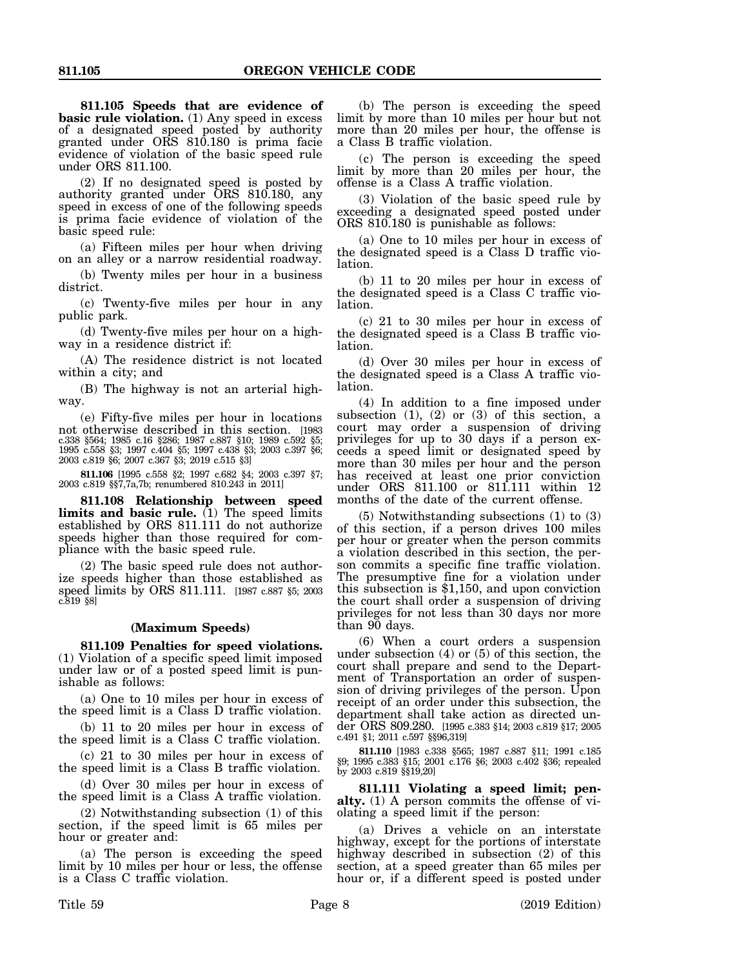**811.105 Speeds that are evidence of basic rule violation.** (1) Any speed in excess of a designated speed posted by authority granted under ORS 810.180 is prima facie evidence of violation of the basic speed rule under ORS 811.100.

(2) If no designated speed is posted by authority granted under ORS 810.180, any speed in excess of one of the following speeds is prima facie evidence of violation of the basic speed rule:

(a) Fifteen miles per hour when driving on an alley or a narrow residential roadway.

(b) Twenty miles per hour in a business district.

(c) Twenty-five miles per hour in any public park.

(d) Twenty-five miles per hour on a highway in a residence district if:

(A) The residence district is not located within a city; and

(B) The highway is not an arterial highway.

(e) Fifty-five miles per hour in locations not otherwise described in this section. [1983 c.338 §564; 1985 c.16 §286; 1987 c.887 §10; 1989 c.592 §5; 1995 c.558 §3; 1997 c.404 §5; 1997 c.438 §3; 2003 c.397 §6; 2003 c.819 §6; 2007 c.367 §3; 2019 c.515 §3]

**811.106** [1995 c.558 §2; 1997 c.682 §4; 2003 c.397 §7; 2003 c.819 §§7,7a,7b; renumbered 810.243 in 2011]

**811.108 Relationship between speed limits and basic rule.** (1) The speed limits established by ORS 811.111 do not authorize speeds higher than those required for compliance with the basic speed rule.

(2) The basic speed rule does not authorize speeds higher than those established as speed limits by ORS 811.111. [1987 c.887 §5; 2003 c.819 §8]

#### **(Maximum Speeds)**

**811.109 Penalties for speed violations.** (1) Violation of a specific speed limit imposed under law or of a posted speed limit is punishable as follows:

(a) One to 10 miles per hour in excess of the speed limit is a Class D traffic violation.

(b) 11 to 20 miles per hour in excess of the speed limit is a Class C traffic violation.

(c) 21 to 30 miles per hour in excess of the speed limit is a Class B traffic violation.

(d) Over 30 miles per hour in excess of the speed limit is a Class A traffic violation.

(2) Notwithstanding subsection (1) of this section, if the speed limit is 65 miles per hour or greater and:

(a) The person is exceeding the speed limit by 10 miles per hour or less, the offense is a Class C traffic violation.

(b) The person is exceeding the speed limit by more than 10 miles per hour but not more than 20 miles per hour, the offense is a Class B traffic violation.

(c) The person is exceeding the speed limit by more than 20 miles per hour, the offense is a Class A traffic violation.

(3) Violation of the basic speed rule by exceeding a designated speed posted under ORS 810.180 is punishable as follows:

(a) One to 10 miles per hour in excess of the designated speed is a Class D traffic violation.

(b) 11 to 20 miles per hour in excess of the designated speed is a Class C traffic violation.

(c) 21 to 30 miles per hour in excess of the designated speed is a Class B traffic violation.

(d) Over 30 miles per hour in excess of the designated speed is a Class A traffic violation.

(4) In addition to a fine imposed under subsection  $(1)$ ,  $(2)$  or  $(3)$  of this section, a court may order a suspension of driving privileges for up to 30 days if a person exceeds a speed limit or designated speed by more than 30 miles per hour and the person has received at least one prior conviction under ORS 811.100 or 811.111 within 12 months of the date of the current offense.

(5) Notwithstanding subsections (1) to (3) of this section, if a person drives 100 miles per hour or greater when the person commits a violation described in this section, the person commits a specific fine traffic violation. The presumptive fine for a violation under this subsection is \$1,150, and upon conviction the court shall order a suspension of driving privileges for not less than 30 days nor more than 90 days.

(6) When a court orders a suspension under subsection (4) or (5) of this section, the court shall prepare and send to the Department of Transportation an order of suspension of driving privileges of the person. Upon receipt of an order under this subsection, the department shall take action as directed under ORS 809.280. [1995 c.383 §14; 2003 c.819 §17; 2005 c.491 §1; 2011 c.597 §§96,319]

**811.110** [1983 c.338 §565; 1987 c.887 §11; 1991 c.185 §9; 1995 c.383 §15; 2001 c.176 §6; 2003 c.402 §36; repealed by 2003 c.819 §§19,20]

**811.111 Violating a speed limit; penalty.** (1) A person commits the offense of violating a speed limit if the person:

(a) Drives a vehicle on an interstate highway, except for the portions of interstate highway described in subsection (2) of this section, at a speed greater than 65 miles per hour or, if a different speed is posted under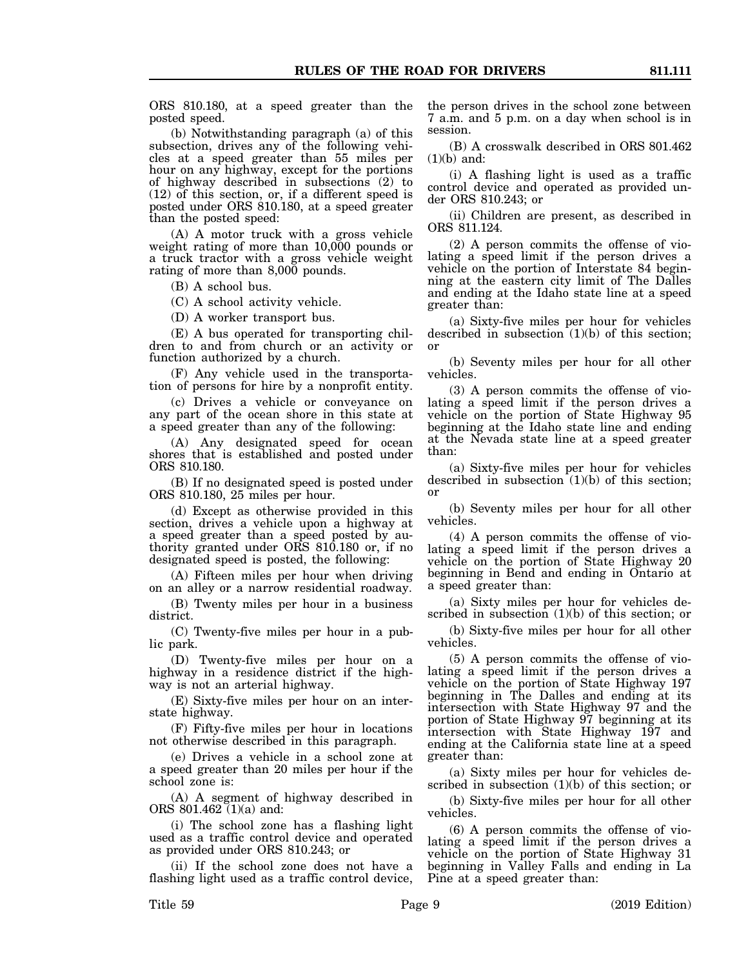ORS 810.180, at a speed greater than the posted speed.

(b) Notwithstanding paragraph (a) of this subsection, drives any of the following vehicles at a speed greater than 55 miles per hour on any highway, except for the portions of highway described in subsections (2) to (12) of this section, or, if a different speed is posted under ORS 810.180, at a speed greater than the posted speed:

(A) A motor truck with a gross vehicle weight rating of more than 10,000 pounds or a truck tractor with a gross vehicle weight rating of more than 8,000 pounds.

(B) A school bus.

(C) A school activity vehicle.

(D) A worker transport bus.

(E) A bus operated for transporting children to and from church or an activity or function authorized by a church.

(F) Any vehicle used in the transportation of persons for hire by a nonprofit entity.

(c) Drives a vehicle or conveyance on any part of the ocean shore in this state at a speed greater than any of the following:

(A) Any designated speed for ocean shores that is established and posted under ORS 810.180.

(B) If no designated speed is posted under ORS 810.180, 25 miles per hour.

(d) Except as otherwise provided in this section, drives a vehicle upon a highway at a speed greater than a speed posted by authority granted under ORS 810.180 or, if no designated speed is posted, the following:

(A) Fifteen miles per hour when driving on an alley or a narrow residential roadway.

(B) Twenty miles per hour in a business district.

(C) Twenty-five miles per hour in a public park.

(D) Twenty-five miles per hour on a highway in a residence district if the highway is not an arterial highway.

(E) Sixty-five miles per hour on an interstate highway.

(F) Fifty-five miles per hour in locations not otherwise described in this paragraph.

(e) Drives a vehicle in a school zone at a speed greater than 20 miles per hour if the school zone is:

(A) A segment of highway described in ORS 801.462 (1)(a) and:

(i) The school zone has a flashing light used as a traffic control device and operated as provided under ORS 810.243; or

(ii) If the school zone does not have a flashing light used as a traffic control device, the person drives in the school zone between 7 a.m. and 5 p.m. on a day when school is in session.

(B) A crosswalk described in ORS 801.462  $(1)(b)$  and:

(i) A flashing light is used as a traffic control device and operated as provided under ORS 810.243; or

(ii) Children are present, as described in ORS 811.124.

(2) A person commits the offense of violating a speed limit if the person drives a vehicle on the portion of Interstate 84 beginning at the eastern city limit of The Dalles and ending at the Idaho state line at a speed greater than:

(a) Sixty-five miles per hour for vehicles described in subsection  $(1)(b)$  of this section; or

(b) Seventy miles per hour for all other vehicles.

(3) A person commits the offense of violating a speed limit if the person drives a vehicle on the portion of State Highway 95 beginning at the Idaho state line and ending at the Nevada state line at a speed greater than:

(a) Sixty-five miles per hour for vehicles described in subsection (1)(b) of this section; or

(b) Seventy miles per hour for all other vehicles.

(4) A person commits the offense of violating a speed limit if the person drives a vehicle on the portion of State Highway 20 beginning in Bend and ending in Ontario at a speed greater than:

(a) Sixty miles per hour for vehicles described in subsection (1)(b) of this section; or

(b) Sixty-five miles per hour for all other vehicles.

(5) A person commits the offense of violating a speed limit if the person drives a vehicle on the portion of State Highway 197 beginning in The Dalles and ending at its intersection with State Highway 97 and the portion of State Highway 97 beginning at its intersection with State Highway 197 and ending at the California state line at a speed greater than:

(a) Sixty miles per hour for vehicles described in subsection (1)(b) of this section; or

(b) Sixty-five miles per hour for all other vehicles.

(6) A person commits the offense of violating a speed limit if the person drives a vehicle on the portion of State Highway 31 beginning in Valley Falls and ending in La Pine at a speed greater than: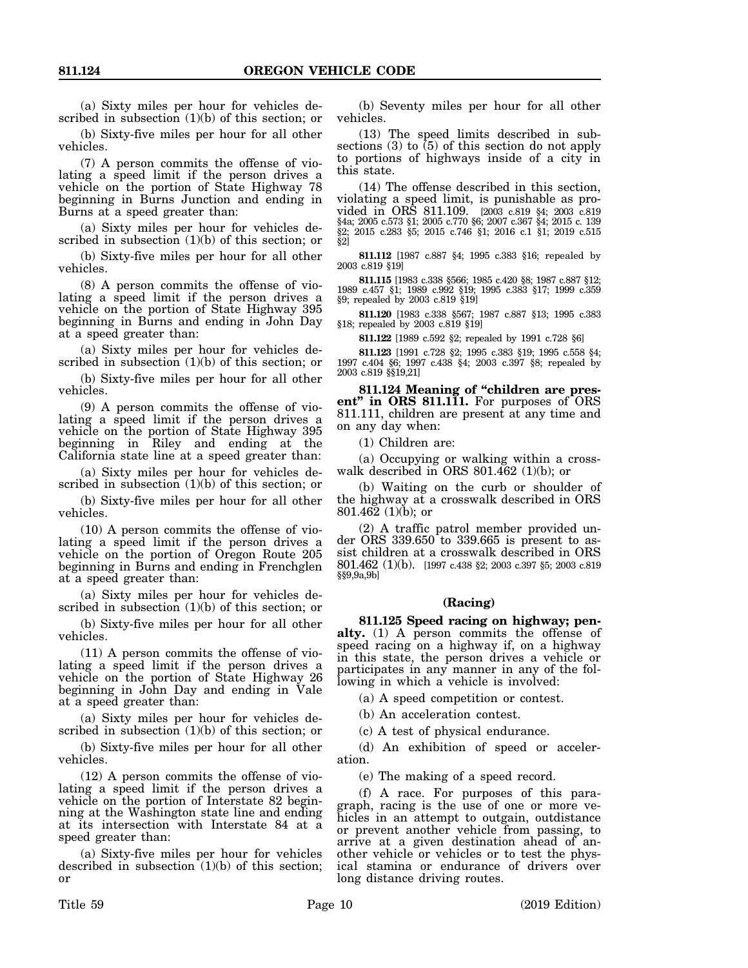(a) Sixty miles per hour for vehicles described in subsection  $(1)(b)$  of this section; or

(b) Sixty-five miles per hour for all other vehicles.

(7) A person commits the offense of violating a speed limit if the person drives a vehicle on the portion of State Highway 78 beginning in Burns Junction and ending in Burns at a speed greater than:

(a) Sixty miles per hour for vehicles described in subsection  $(1)(b)$  of this section; or

(b) Sixty-five miles per hour for all other vehicles.

(8) A person commits the offense of violating a speed limit if the person drives a vehicle on the portion of State Highway 395 beginning in Burns and ending in John Day at a speed greater than:

(a) Sixty miles per hour for vehicles described in subsection (1)(b) of this section; or

(b) Sixty-five miles per hour for all other vehicles.

(9) A person commits the offense of violating a speed limit if the person drives a vehicle on the portion of State Highway 395 beginning in Riley and ending at the California state line at a speed greater than:

(a) Sixty miles per hour for vehicles described in subsection (1)(b) of this section; or

(b) Sixty-five miles per hour for all other vehicles.

(10) A person commits the offense of violating a speed limit if the person drives a vehicle on the portion of Oregon Route 205 beginning in Burns and ending in Frenchglen at a speed greater than:

(a) Sixty miles per hour for vehicles described in subsection (1)(b) of this section; or

(b) Sixty-five miles per hour for all other vehicles.

(11) A person commits the offense of violating a speed limit if the person drives a vehicle on the portion of State Highway 26 beginning in John Day and ending in Vale at a speed greater than:

(a) Sixty miles per hour for vehicles described in subsection (1)(b) of this section; or

(b) Sixty-five miles per hour for all other vehicles.

(12) A person commits the offense of violating a speed limit if the person drives a vehicle on the portion of Interstate 82 beginning at the Washington state line and ending at its intersection with Interstate 84 at a speed greater than:

(a) Sixty-five miles per hour for vehicles described in subsection  $(1)(b)$  of this section; or

(b) Seventy miles per hour for all other vehicles.

(13) The speed limits described in subsections  $(3)$  to  $(5)$  of this section do not apply to portions of highways inside of a city in this state.

(14) The offense described in this section, violating a speed limit, is punishable as provided in ORS 811.109. [2003 c.819 §4; 2003 c.819 §4a; 2005 c.573 §1; 2005 c.770 §6; 2007 c.367 §4; 2015 c. 139 §2; 2015 c.283 §5; 2015 c.746 §1; 2016 c.1 §1; 2019 c.515 §2]

**811.112** [1987 c.887 §4; 1995 c.383 §16; repealed by 2003 c.819 §19]

**811.115** [1983 c.338 §566; 1985 c.420 §8; 1987 c.887 §12; 1989 c.457 §1; 1989 c.992 §19; 1995 c.383 §17; 1999 c.359 §9; repealed by 2003 c.819 §19]

**811.120** [1983 c.338 §567; 1987 c.887 §13; 1995 c.383 §18; repealed by 2003 c.819 §19]

**811.122** [1989 c.592 §2; repealed by 1991 c.728 §6]

**811.123** [1991 c.728 §2; 1995 c.383 §19; 1995 c.558 §4; 1997 c.404 §6; 1997 c.438 §4; 2003 c.397 §8; repealed by 2003 c.819 §§19,21]

**811.124 Meaning of "children are present" in ORS 811.111.** For purposes of ORS 811.111, children are present at any time and on any day when:

(1) Children are:

(a) Occupying or walking within a crosswalk described in ORS 801.462 (1)(b); or

(b) Waiting on the curb or shoulder of the highway at a crosswalk described in ORS 801.462 (1)(b); or

(2) A traffic patrol member provided under ORS 339.650 to 339.665 is present to assist children at a crosswalk described in ORS 801.462 (1)(b). [1997 c.438 §2; 2003 c.397 §5; 2003 c.819 §§9,9a,9b]

#### **(Racing)**

**811.125 Speed racing on highway; penalty.** (1) A person commits the offense of speed racing on a highway if, on a highway in this state, the person drives a vehicle or participates in any manner in any of the following in which a vehicle is involved:

(a) A speed competition or contest.

(b) An acceleration contest.

(c) A test of physical endurance.

(d) An exhibition of speed or acceleration.

(e) The making of a speed record.

(f) A race. For purposes of this paragraph, racing is the use of one or more vehicles in an attempt to outgain, outdistance or prevent another vehicle from passing, to arrive at a given destination ahead of another vehicle or vehicles or to test the physical stamina or endurance of drivers over long distance driving routes.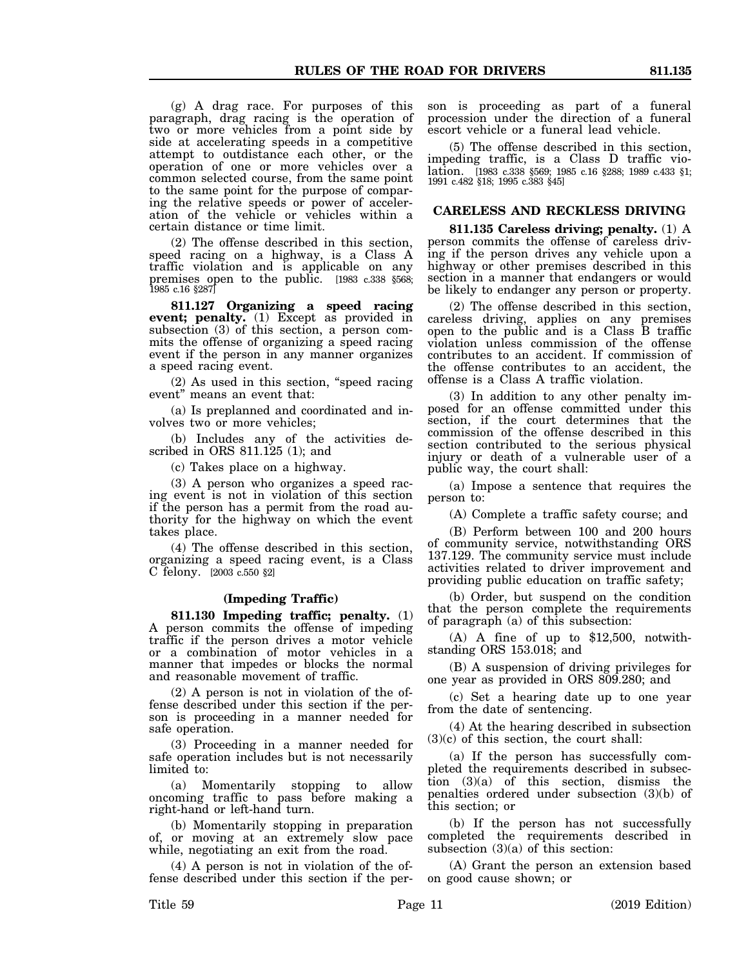(g) A drag race. For purposes of this paragraph, drag racing is the operation of two or more vehicles from a point side by side at accelerating speeds in a competitive attempt to outdistance each other, or the operation of one or more vehicles over a common selected course, from the same point to the same point for the purpose of comparing the relative speeds or power of acceleration of the vehicle or vehicles within a certain distance or time limit.

(2) The offense described in this section, speed racing on a highway, is a Class A traffic violation and is applicable on any premises open to the public. [1983 c.338 §568; 1985 c.16 §287]

**811.127 Organizing a speed racing event; penalty.** (1) Except as provided in subsection (3) of this section, a person commits the offense of organizing a speed racing event if the person in any manner organizes a speed racing event.

(2) As used in this section, "speed racing event" means an event that:

(a) Is preplanned and coordinated and involves two or more vehicles;

(b) Includes any of the activities described in ORS 811.125 (1); and

(c) Takes place on a highway.

(3) A person who organizes a speed racing event is not in violation of this section if the person has a permit from the road authority for the highway on which the event takes place.

(4) The offense described in this section, organizing a speed racing event, is a Class C felony. [2003 c.550 §2]

## **(Impeding Traffic)**

**811.130 Impeding traffic; penalty.** (1) A person commits the offense of impeding traffic if the person drives a motor vehicle or a combination of motor vehicles in a manner that impedes or blocks the normal and reasonable movement of traffic.

(2) A person is not in violation of the offense described under this section if the person is proceeding in a manner needed for safe operation.

(3) Proceeding in a manner needed for safe operation includes but is not necessarily limited to:

(a) Momentarily stopping to allow oncoming traffic to pass before making a right-hand or left-hand turn.

(b) Momentarily stopping in preparation of, or moving at an extremely slow pace while, negotiating an exit from the road.

(4) A person is not in violation of the offense described under this section if the person is proceeding as part of a funeral procession under the direction of a funeral escort vehicle or a funeral lead vehicle.

(5) The offense described in this section, impeding traffic, is a Class D traffic violation. [1983 c.338 §569; 1985 c.16 §288; 1989 c.433 §1; 1991 c.482 §18; 1995 c.383 §45]

## **CARELESS AND RECKLESS DRIVING**

**811.135 Careless driving; penalty.** (1) A person commits the offense of careless driving if the person drives any vehicle upon a highway or other premises described in this section in a manner that endangers or would be likely to endanger any person or property.

(2) The offense described in this section, careless driving, applies on any premises open to the public and is a Class B traffic violation unless commission of the offense contributes to an accident. If commission of the offense contributes to an accident, the offense is a Class A traffic violation.

(3) In addition to any other penalty imposed for an offense committed under this section, if the court determines that the commission of the offense described in this section contributed to the serious physical injury or death of a vulnerable user of a public way, the court shall:

(a) Impose a sentence that requires the person to:

(A) Complete a traffic safety course; and

(B) Perform between 100 and 200 hours of community service, notwithstanding ORS 137.129. The community service must include activities related to driver improvement and providing public education on traffic safety;

(b) Order, but suspend on the condition that the person complete the requirements of paragraph (a) of this subsection:

(A) A fine of up to \$12,500, notwithstanding ORS 153.018; and

(B) A suspension of driving privileges for one year as provided in ORS 809.280; and

(c) Set a hearing date up to one year from the date of sentencing.

(4) At the hearing described in subsection (3)(c) of this section, the court shall:

(a) If the person has successfully completed the requirements described in subsection (3)(a) of this section, dismiss the penalties ordered under subsection (3)(b) of this section; or

(b) If the person has not successfully completed the requirements described in subsection  $(3)(a)$  of this section:

(A) Grant the person an extension based on good cause shown; or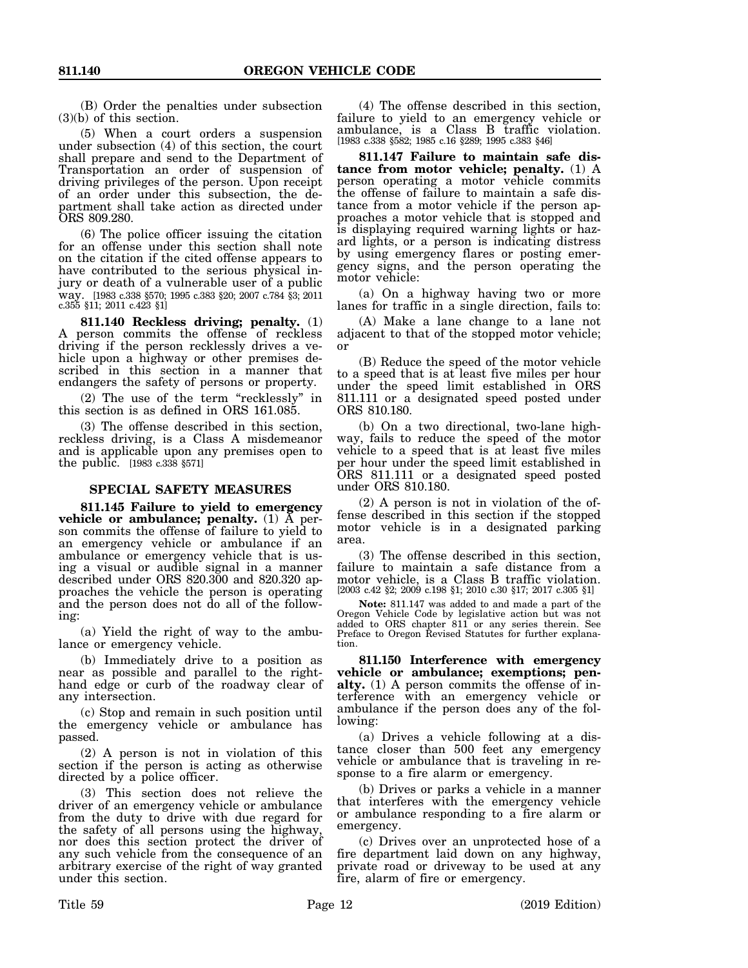(B) Order the penalties under subsection (3)(b) of this section.

(5) When a court orders a suspension under subsection (4) of this section, the court shall prepare and send to the Department of Transportation an order of suspension of driving privileges of the person. Upon receipt of an order under this subsection, the department shall take action as directed under ORS 809.280.

(6) The police officer issuing the citation for an offense under this section shall note on the citation if the cited offense appears to have contributed to the serious physical injury or death of a vulnerable user of a public way. [1983 c.338 §570; 1995 c.383 §20; 2007 c.784 §3; 2011 c.355 §11; 2011 c.423 §1]

**811.140 Reckless driving; penalty.** (1) A person commits the offense of reckless driving if the person recklessly drives a vehicle upon a highway or other premises described in this section in a manner that endangers the safety of persons or property.

(2) The use of the term "recklessly" in this section is as defined in ORS 161.085.

(3) The offense described in this section, reckless driving, is a Class A misdemeanor and is applicable upon any premises open to the public. [1983 c.338 §571]

#### **SPECIAL SAFETY MEASURES**

**811.145 Failure to yield to emergency vehicle or ambulance; penalty.** (1) A person commits the offense of failure to yield to an emergency vehicle or ambulance if an ambulance or emergency vehicle that is using a visual or audible signal in a manner described under ORS 820.300 and 820.320 approaches the vehicle the person is operating and the person does not do all of the following:

(a) Yield the right of way to the ambulance or emergency vehicle.

(b) Immediately drive to a position as near as possible and parallel to the righthand edge or curb of the roadway clear of any intersection.

(c) Stop and remain in such position until the emergency vehicle or ambulance has passed.

(2) A person is not in violation of this section if the person is acting as otherwise directed by a police officer.

(3) This section does not relieve the driver of an emergency vehicle or ambulance from the duty to drive with due regard for the safety of all persons using the highway, nor does this section protect the driver of any such vehicle from the consequence of an arbitrary exercise of the right of way granted under this section.

(4) The offense described in this section, failure to yield to an emergency vehicle or ambulance, is a Class B traffic violation. [1983 c.338 §582; 1985 c.16 §289; 1995 c.383 §46]

**811.147 Failure to maintain safe distance from motor vehicle; penalty.** (1) A person operating a motor vehicle commits the offense of failure to maintain a safe distance from a motor vehicle if the person approaches a motor vehicle that is stopped and is displaying required warning lights or hazard lights, or a person is indicating distress by using emergency flares or posting emergency signs, and the person operating the motor vehicle:

(a) On a highway having two or more lanes for traffic in a single direction, fails to:

(A) Make a lane change to a lane not adjacent to that of the stopped motor vehicle; or

(B) Reduce the speed of the motor vehicle to a speed that is at least five miles per hour under the speed limit established in ORS 811.111 or a designated speed posted under ORS 810.180.

(b) On a two directional, two-lane highway, fails to reduce the speed of the motor vehicle to a speed that is at least five miles per hour under the speed limit established in ORS 811.111 or a designated speed posted under ORS 810.180.

(2) A person is not in violation of the offense described in this section if the stopped motor vehicle is in a designated parking area.

(3) The offense described in this section, failure to maintain a safe distance from a motor vehicle, is a Class B traffic violation. [2003 c.42 §2; 2009 c.198 §1; 2010 c.30 §17; 2017 c.305 §1]

**Note:** 811.147 was added to and made a part of the Oregon Vehicle Code by legislative action but was not added to ORS chapter 811 or any series therein. See Preface to Oregon Revised Statutes for further explanation.

**811.150 Interference with emergency vehicle or ambulance; exemptions; penalty.** (1) A person commits the offense of interference with an emergency vehicle or ambulance if the person does any of the following:

(a) Drives a vehicle following at a distance closer than 500 feet any emergency vehicle or ambulance that is traveling in response to a fire alarm or emergency.

(b) Drives or parks a vehicle in a manner that interferes with the emergency vehicle or ambulance responding to a fire alarm or emergency.

(c) Drives over an unprotected hose of a fire department laid down on any highway, private road or driveway to be used at any fire, alarm of fire or emergency.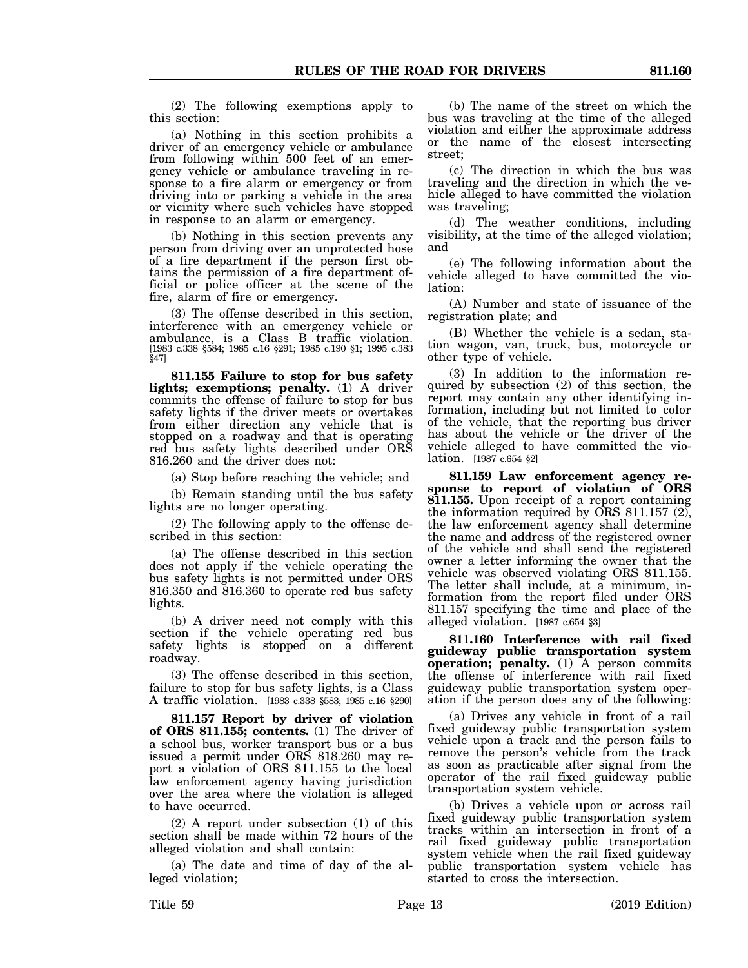(2) The following exemptions apply to this section:

(a) Nothing in this section prohibits a driver of an emergency vehicle or ambulance from following within 500 feet of an emergency vehicle or ambulance traveling in response to a fire alarm or emergency or from driving into or parking a vehicle in the area or vicinity where such vehicles have stopped in response to an alarm or emergency.

(b) Nothing in this section prevents any person from driving over an unprotected hose of a fire department if the person first obtains the permission of a fire department official or police officer at the scene of the fire, alarm of fire or emergency.

(3) The offense described in this section, interference with an emergency vehicle or ambulance, is a Class B traffic violation. [1983 c.338 §584; 1985 c.16 §291; 1985 c.190 §1; 1995 c.383 §47]

**811.155 Failure to stop for bus safety lights; exemptions; penalty.** (1) A driver commits the offense of failure to stop for bus safety lights if the driver meets or overtakes from either direction any vehicle that is stopped on a roadway and that is operating red bus safety lights described under ORS 816.260 and the driver does not:

(a) Stop before reaching the vehicle; and

(b) Remain standing until the bus safety lights are no longer operating.

(2) The following apply to the offense described in this section:

(a) The offense described in this section does not apply if the vehicle operating the bus safety lights is not permitted under ORS 816.350 and 816.360 to operate red bus safety lights.

(b) A driver need not comply with this section if the vehicle operating red bus safety lights is stopped on a different roadway.

(3) The offense described in this section, failure to stop for bus safety lights, is a Class A traffic violation. [1983 c.338 §583; 1985 c.16 §290]

**811.157 Report by driver of violation of ORS 811.155; contents.** (1) The driver of a school bus, worker transport bus or a bus issued a permit under ORS 818.260 may report a violation of ORS 811.155 to the local law enforcement agency having jurisdiction over the area where the violation is alleged to have occurred.

(2) A report under subsection (1) of this section shall be made within 72 hours of the alleged violation and shall contain:

(a) The date and time of day of the alleged violation;

(b) The name of the street on which the bus was traveling at the time of the alleged violation and either the approximate address or the name of the closest intersecting street;

(c) The direction in which the bus was traveling and the direction in which the vehicle alleged to have committed the violation was traveling;

(d) The weather conditions, including visibility, at the time of the alleged violation; and

(e) The following information about the vehicle alleged to have committed the violation:

(A) Number and state of issuance of the registration plate; and

(B) Whether the vehicle is a sedan, station wagon, van, truck, bus, motorcycle or other type of vehicle.

(3) In addition to the information required by subsection (2) of this section, the report may contain any other identifying information, including but not limited to color of the vehicle, that the reporting bus driver has about the vehicle or the driver of the vehicle alleged to have committed the violation. [1987 c.654 §2]

**811.159 Law enforcement agency response to report of violation of ORS 811.155.** Upon receipt of a report containing the information required by ORS 811.157 (2), the law enforcement agency shall determine the name and address of the registered owner of the vehicle and shall send the registered owner a letter informing the owner that the vehicle was observed violating ORS 811.155. The letter shall include, at a minimum, information from the report filed under ORS 811.157 specifying the time and place of the alleged violation. [1987 c.654 §3]

**811.160 Interference with rail fixed guideway public transportation system operation; penalty.** (1) A person commits the offense of interference with rail fixed guideway public transportation system operation if the person does any of the following:

(a) Drives any vehicle in front of a rail fixed guideway public transportation system vehicle upon a track and the person fails to remove the person's vehicle from the track as soon as practicable after signal from the operator of the rail fixed guideway public transportation system vehicle.

(b) Drives a vehicle upon or across rail fixed guideway public transportation system tracks within an intersection in front of a rail fixed guideway public transportation system vehicle when the rail fixed guideway public transportation system vehicle has started to cross the intersection.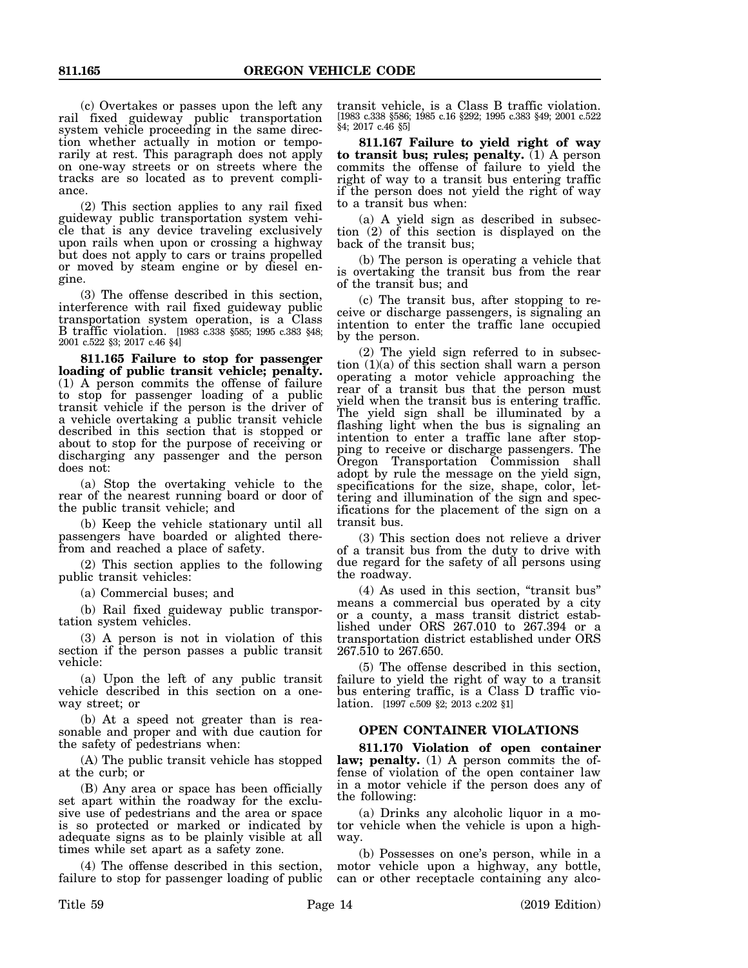(c) Overtakes or passes upon the left any rail fixed guideway public transportation system vehicle proceeding in the same direction whether actually in motion or temporarily at rest. This paragraph does not apply on one-way streets or on streets where the tracks are so located as to prevent compliance.

(2) This section applies to any rail fixed guideway public transportation system vehicle that is any device traveling exclusively upon rails when upon or crossing a highway but does not apply to cars or trains propelled or moved by steam engine or by diesel engine.

(3) The offense described in this section, interference with rail fixed guideway public transportation system operation, is a Class B traffic violation. [1983 c.338 §585; 1995 c.383 §48; 2001 c.522 §3; 2017 c.46 §4]

**811.165 Failure to stop for passenger loading of public transit vehicle; penalty.** (1) A person commits the offense of failure to stop for passenger loading of a public transit vehicle if the person is the driver of a vehicle overtaking a public transit vehicle described in this section that is stopped or about to stop for the purpose of receiving or discharging any passenger and the person does not:

(a) Stop the overtaking vehicle to the rear of the nearest running board or door of the public transit vehicle; and

(b) Keep the vehicle stationary until all passengers have boarded or alighted therefrom and reached a place of safety.

(2) This section applies to the following public transit vehicles:

(a) Commercial buses; and

(b) Rail fixed guideway public transportation system vehicles.

(3) A person is not in violation of this section if the person passes a public transit vehicle:

(a) Upon the left of any public transit vehicle described in this section on a oneway street; or

(b) At a speed not greater than is reasonable and proper and with due caution for the safety of pedestrians when:

(A) The public transit vehicle has stopped at the curb; or

(B) Any area or space has been officially set apart within the roadway for the exclusive use of pedestrians and the area or space is so protected or marked or indicated by adequate signs as to be plainly visible at all times while set apart as a safety zone.

(4) The offense described in this section, failure to stop for passenger loading of public transit vehicle, is a Class B traffic violation. [1983 c.338 §586; 1985 c.16 §292; 1995 c.383 §49; 2001 c.522 §4; 2017 c.46 §5]

**811.167 Failure to yield right of way to transit bus; rules; penalty.** (1) A person commits the offense of failure to yield the right of way to a transit bus entering traffic if the person does not yield the right of way to a transit bus when:

(a) A yield sign as described in subsection (2) of this section is displayed on the back of the transit bus;

(b) The person is operating a vehicle that is overtaking the transit bus from the rear of the transit bus; and

(c) The transit bus, after stopping to receive or discharge passengers, is signaling an intention to enter the traffic lane occupied by the person.

(2) The yield sign referred to in subsection (1)(a) of this section shall warn a person operating a motor vehicle approaching the rear of a transit bus that the person must yield when the transit bus is entering traffic. The yield sign shall be illuminated by a flashing light when the bus is signaling an intention to enter a traffic lane after stopping to receive or discharge passengers. The Oregon Transportation Commission shall adopt by rule the message on the yield sign, specifications for the size, shape, color, lettering and illumination of the sign and specifications for the placement of the sign on a transit bus.

(3) This section does not relieve a driver of a transit bus from the duty to drive with due regard for the safety of all persons using the roadway.

(4) As used in this section, "transit bus" means a commercial bus operated by a city or a county, a mass transit district established under ORS 267.010 to 267.394 or a transportation district established under ORS 267.510 to 267.650.

(5) The offense described in this section, failure to yield the right of way to a transit bus entering traffic, is a Class D traffic violation. [1997 c.509 §2; 2013 c.202 §1]

#### **OPEN CONTAINER VIOLATIONS**

**811.170 Violation of open container law; penalty.** (1) A person commits the offense of violation of the open container law in a motor vehicle if the person does any of the following:

(a) Drinks any alcoholic liquor in a motor vehicle when the vehicle is upon a highway.

(b) Possesses on one's person, while in a motor vehicle upon a highway, any bottle, can or other receptacle containing any alco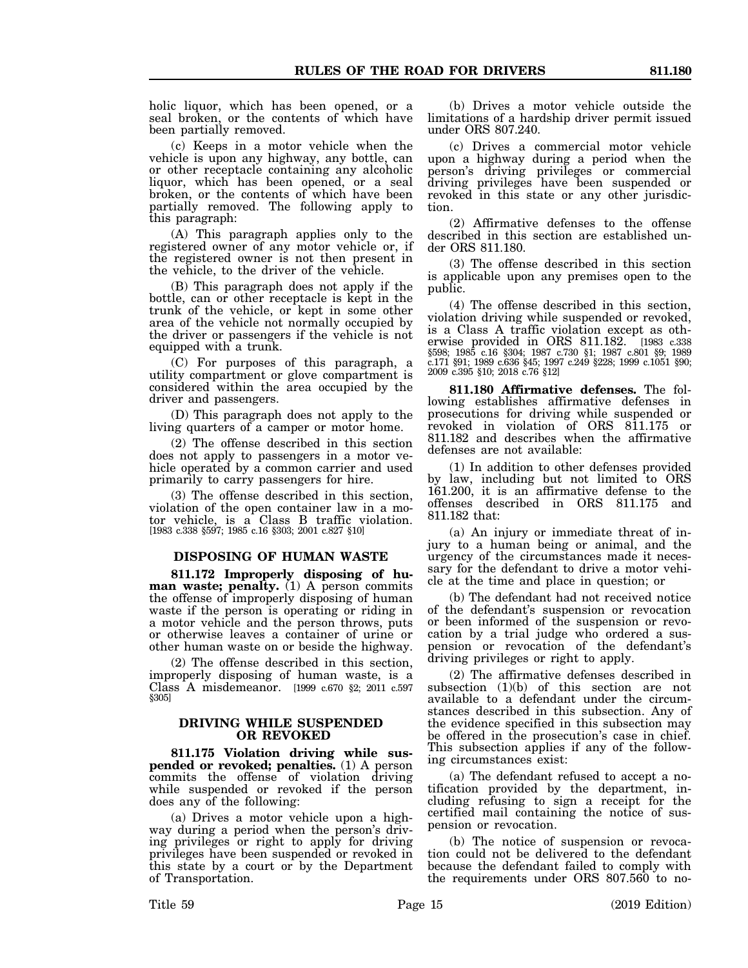holic liquor, which has been opened, or a seal broken, or the contents of which have been partially removed.

(c) Keeps in a motor vehicle when the vehicle is upon any highway, any bottle, can or other receptacle containing any alcoholic liquor, which has been opened, or a seal broken, or the contents of which have been partially removed. The following apply to this paragraph:

(A) This paragraph applies only to the registered owner of any motor vehicle or, if the registered owner is not then present in the vehicle, to the driver of the vehicle.

(B) This paragraph does not apply if the bottle, can or other receptacle is kept in the trunk of the vehicle, or kept in some other area of the vehicle not normally occupied by the driver or passengers if the vehicle is not equipped with a trunk.

(C) For purposes of this paragraph, a utility compartment or glove compartment is considered within the area occupied by the driver and passengers.

(D) This paragraph does not apply to the living quarters of a camper or motor home.

(2) The offense described in this section does not apply to passengers in a motor vehicle operated by a common carrier and used primarily to carry passengers for hire.

(3) The offense described in this section, violation of the open container law in a motor vehicle, is a Class B traffic violation. [1983 c.338 §597; 1985 c.16 §303; 2001 c.827 §10]

#### **DISPOSING OF HUMAN WASTE**

**811.172 Improperly disposing of hu**man waste; penalty. (1) A person commits the offense of improperly disposing of human waste if the person is operating or riding in a motor vehicle and the person throws, puts or otherwise leaves a container of urine or other human waste on or beside the highway.

(2) The offense described in this section, improperly disposing of human waste, is a Class A misdemeanor. [1999 c.670 §2; 2011 c.597 §305]

#### **DRIVING WHILE SUSPENDED OR REVOKED**

**811.175 Violation driving while suspended or revoked; penalties.** (1) A person commits the offense of violation driving while suspended or revoked if the person does any of the following:

(a) Drives a motor vehicle upon a highway during a period when the person's driving privileges or right to apply for driving privileges have been suspended or revoked in this state by a court or by the Department of Transportation.

(b) Drives a motor vehicle outside the limitations of a hardship driver permit issued under ORS 807.240.

(c) Drives a commercial motor vehicle upon a highway during a period when the person's driving privileges or commercial driving privileges have been suspended or revoked in this state or any other jurisdiction.

(2) Affirmative defenses to the offense described in this section are established under ORS 811.180.

(3) The offense described in this section is applicable upon any premises open to the public.

(4) The offense described in this section, violation driving while suspended or revoked, is a Class A traffic violation except as otherwise provided in ORS 811.182. [1983 c.338 §598; 1985 c.16 §304; 1987 c.730 §1; 1987 c.801 §9; 1989 c.171 §91; 1989 c.636 §45; 1997 c.249 §228; 1999 c.1051 §90; 2009 c.395 §10; 2018 c.76 §12]

**811.180 Affirmative defenses.** The following establishes affirmative defenses in prosecutions for driving while suspended or revoked in violation of ORS 811.175 or 811.182 and describes when the affirmative defenses are not available:

(1) In addition to other defenses provided by law, including but not limited to ORS 161.200, it is an affirmative defense to the offenses described in ORS 811.175 and 811.182 that:

(a) An injury or immediate threat of injury to a human being or animal, and the urgency of the circumstances made it necessary for the defendant to drive a motor vehicle at the time and place in question; or

(b) The defendant had not received notice of the defendant's suspension or revocation or been informed of the suspension or revocation by a trial judge who ordered a suspension or revocation of the defendant's driving privileges or right to apply.

(2) The affirmative defenses described in subsection (1)(b) of this section are not available to a defendant under the circumstances described in this subsection. Any of the evidence specified in this subsection may be offered in the prosecution's case in chief. This subsection applies if any of the following circumstances exist:

(a) The defendant refused to accept a notification provided by the department, including refusing to sign a receipt for the certified mail containing the notice of suspension or revocation.

(b) The notice of suspension or revocation could not be delivered to the defendant because the defendant failed to comply with the requirements under ORS 807.560 to no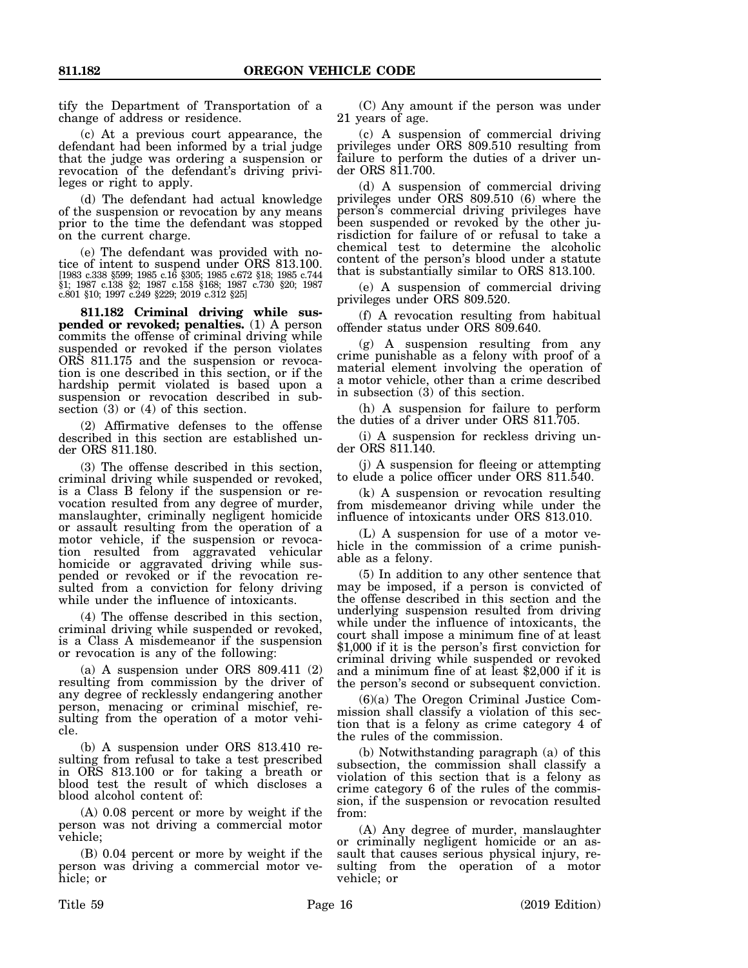tify the Department of Transportation of a change of address or residence.

(c) At a previous court appearance, the defendant had been informed by a trial judge that the judge was ordering a suspension or revocation of the defendant's driving privileges or right to apply.

(d) The defendant had actual knowledge of the suspension or revocation by any means prior to the time the defendant was stopped on the current charge.

(e) The defendant was provided with notice of intent to suspend under ORS 813.100. [1983 c.338 §599; 1985 c.16 §305; 1985 c.672 §18; 1985 c.744 §1; 1987 c.138 §2; 1987 c.158 §168; 1987 c.730 §20; 1987 c.801 §10; 1997 c.249 §229; 2019 c.312 §25]

**811.182 Criminal driving while suspended or revoked; penalties.** (1) A person commits the offense of criminal driving while suspended or revoked if the person violates ORS 811.175 and the suspension or revocation is one described in this section, or if the hardship permit violated is based upon a suspension or revocation described in subsection (3) or (4) of this section.

(2) Affirmative defenses to the offense described in this section are established under ORS 811.180.

(3) The offense described in this section, criminal driving while suspended or revoked, is a Class B felony if the suspension or revocation resulted from any degree of murder, manslaughter, criminally negligent homicide or assault resulting from the operation of a motor vehicle, if the suspension or revocation resulted from aggravated vehicular homicide or aggravated driving while suspended or revoked or if the revocation resulted from a conviction for felony driving while under the influence of intoxicants.

(4) The offense described in this section, criminal driving while suspended or revoked, is a Class A misdemeanor if the suspension or revocation is any of the following:

(a) A suspension under ORS 809.411 (2) resulting from commission by the driver of any degree of recklessly endangering another person, menacing or criminal mischief, resulting from the operation of a motor vehicle.

(b) A suspension under ORS 813.410 resulting from refusal to take a test prescribed in ORS 813.100 or for taking a breath or blood test the result of which discloses a blood alcohol content of:

(A) 0.08 percent or more by weight if the person was not driving a commercial motor vehicle;

(B) 0.04 percent or more by weight if the person was driving a commercial motor vehicle; or

(C) Any amount if the person was under 21 years of age.

(c) A suspension of commercial driving privileges under ORS 809.510 resulting from failure to perform the duties of a driver under ORS 811.700.

(d) A suspension of commercial driving privileges under ORS 809.510 (6) where the person's commercial driving privileges have been suspended or revoked by the other jurisdiction for failure of or refusal to take a chemical test to determine the alcoholic content of the person's blood under a statute that is substantially similar to ORS 813.100.

(e) A suspension of commercial driving privileges under ORS 809.520.

(f) A revocation resulting from habitual offender status under ORS 809.640.

(g) A suspension resulting from any crime punishable as a felony with proof of a material element involving the operation of a motor vehicle, other than a crime described in subsection  $(3)$  of this section.

(h) A suspension for failure to perform the duties of a driver under ORS 811.705.

(i) A suspension for reckless driving under ORS 811.140.

(j) A suspension for fleeing or attempting to elude a police officer under ORS 811.540.

(k) A suspension or revocation resulting from misdemeanor driving while under the influence of intoxicants under ORS 813.010.

(L) A suspension for use of a motor vehicle in the commission of a crime punishable as a felony.

(5) In addition to any other sentence that may be imposed, if a person is convicted of the offense described in this section and the underlying suspension resulted from driving while under the influence of intoxicants, the court shall impose a minimum fine of at least \$1,000 if it is the person's first conviction for criminal driving while suspended or revoked and a minimum fine of at least \$2,000 if it is the person's second or subsequent conviction.

(6)(a) The Oregon Criminal Justice Commission shall classify a violation of this section that is a felony as crime category 4 of the rules of the commission.

(b) Notwithstanding paragraph (a) of this subsection, the commission shall classify a violation of this section that is a felony as crime category 6 of the rules of the commission, if the suspension or revocation resulted from:

(A) Any degree of murder, manslaughter or criminally negligent homicide or an assault that causes serious physical injury, resulting from the operation of a motor vehicle; or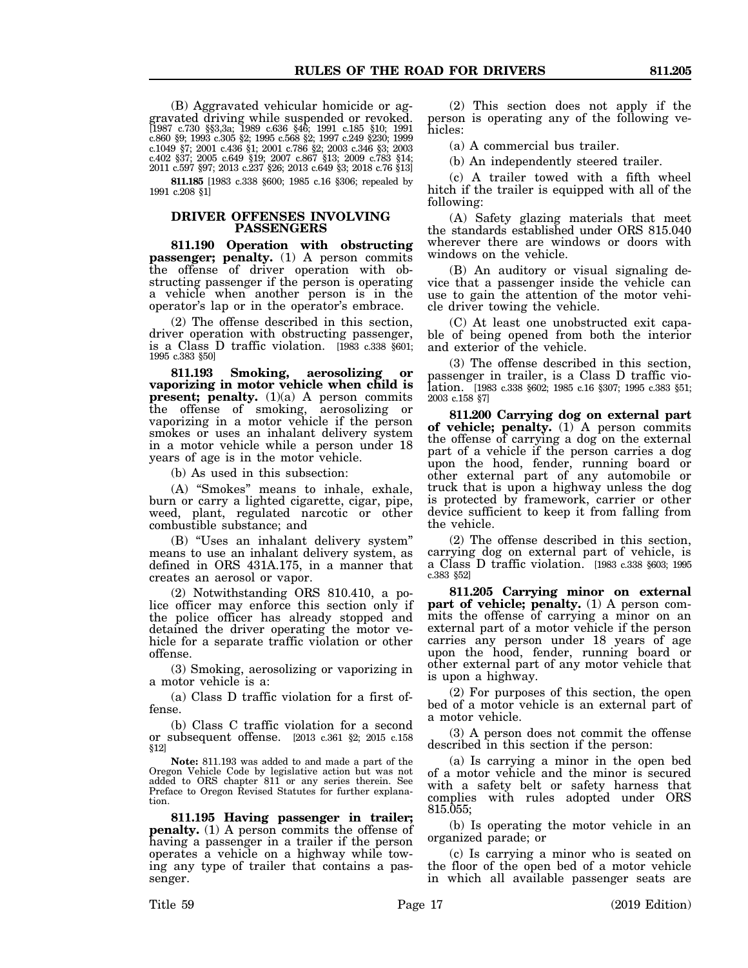(B) Aggravated vehicular homicide or aggravated driving while suspended or revoked. [1987 c.730 §§3,3a; 1989 c.636 §46; 1991 c.185 §10; 1991 c.860 §9; 1993 c.305 §2; 1995 c.568 §2; 1997 c.249 §230; 1999 c.1049 §7; 2001 c.436 §1; 2001 c.786 §2; 2003 c.346 §3; 2003 c.402 §37; 2005 c.649 §19; 2007 c.867 §13; 2009 c.783 §14; 2011 c.597 §97; 2013 c.237 §26; 2013 c.649 §3; 2018 c.76 §13]

**811.185** [1983 c.338 §600; 1985 c.16 §306; repealed by 1991 c.208 §1]

### **DRIVER OFFENSES INVOLVING PASSENGERS**

**811.190 Operation with obstructing passenger; penalty.** (1) A person commits the offense of driver operation with obstructing passenger if the person is operating a vehicle when another person is in the operator's lap or in the operator's embrace.

(2) The offense described in this section, driver operation with obstructing passenger, is a Class D traffic violation. [1983 c.338 §601; 1995 c.383 §50]

**811.193 Smoking, aerosolizing or vaporizing in motor vehicle when child is present; penalty.** (1)(a) A person commits the offense of smoking, aerosolizing or vaporizing in a motor vehicle if the person smokes or uses an inhalant delivery system in a motor vehicle while a person under 18 years of age is in the motor vehicle.

(b) As used in this subsection:

(A) "Smokes" means to inhale, exhale, burn or carry a lighted cigarette, cigar, pipe, weed, plant, regulated narcotic or other combustible substance; and

(B) "Uses an inhalant delivery system" means to use an inhalant delivery system, as defined in ORS 431A.175, in a manner that creates an aerosol or vapor.

(2) Notwithstanding ORS 810.410, a police officer may enforce this section only if the police officer has already stopped and detained the driver operating the motor vehicle for a separate traffic violation or other offense.

(3) Smoking, aerosolizing or vaporizing in a motor vehicle is a:

(a) Class D traffic violation for a first offense.

(b) Class C traffic violation for a second or subsequent offense. [2013 c.361 §2; 2015 c.158 §12]

**Note:** 811.193 was added to and made a part of the Oregon Vehicle Code by legislative action but was not added to ORS chapter 811 or any series therein. See Preface to Oregon Revised Statutes for further explanation.

**811.195 Having passenger in trailer; penalty.** (1) A person commits the offense of having a passenger in a trailer if the person operates a vehicle on a highway while towing any type of trailer that contains a passenger.

(2) This section does not apply if the person is operating any of the following vehicles:

(a) A commercial bus trailer.

(b) An independently steered trailer.

(c) A trailer towed with a fifth wheel hitch if the trailer is equipped with all of the following:

(A) Safety glazing materials that meet the standards established under ORS 815.040 wherever there are windows or doors with windows on the vehicle.

(B) An auditory or visual signaling device that a passenger inside the vehicle can use to gain the attention of the motor vehicle driver towing the vehicle.

(C) At least one unobstructed exit capable of being opened from both the interior and exterior of the vehicle.

(3) The offense described in this section, passenger in trailer, is a Class D traffic violation. [1983 c.338 §602; 1985 c.16 §307; 1995 c.383 §51; 2003 c.158 §7]

**811.200 Carrying dog on external part of vehicle; penalty.** (1) A person commits the offense of carrying a dog on the external part of a vehicle if the person carries a dog upon the hood, fender, running board or other external part of any automobile or truck that is upon a highway unless the dog is protected by framework, carrier or other device sufficient to keep it from falling from the vehicle.

(2) The offense described in this section, carrying dog on external part of vehicle, is a Class D traffic violation. [1983 c.338 §603; 1995 c.383 §52]

**811.205 Carrying minor on external part of vehicle; penalty.** (1) A person commits the offense of carrying a minor on an external part of a motor vehicle if the person carries any person under 18 years of age upon the hood, fender, running board or other external part of any motor vehicle that is upon a highway.

(2) For purposes of this section, the open bed of a motor vehicle is an external part of a motor vehicle.

(3) A person does not commit the offense described in this section if the person:

(a) Is carrying a minor in the open bed of a motor vehicle and the minor is secured with a safety belt or safety harness that complies with rules adopted under ORS 815.055;

(b) Is operating the motor vehicle in an organized parade; or

(c) Is carrying a minor who is seated on the floor of the open bed of a motor vehicle in which all available passenger seats are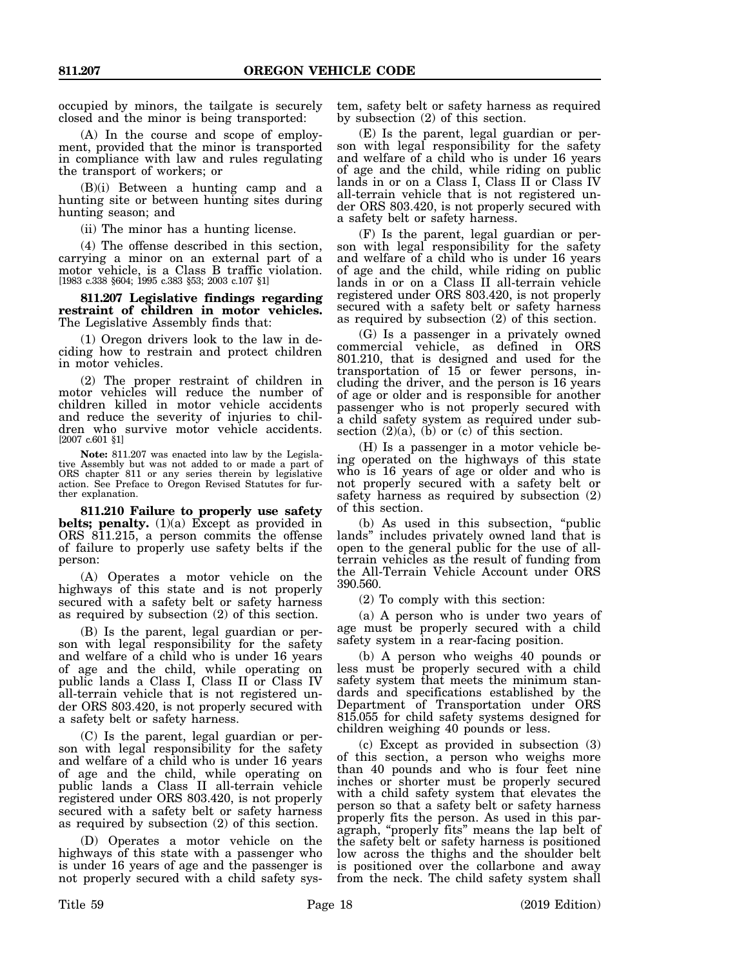occupied by minors, the tailgate is securely closed and the minor is being transported:

(A) In the course and scope of employment, provided that the minor is transported in compliance with law and rules regulating the transport of workers; or

(B)(i) Between a hunting camp and a hunting site or between hunting sites during hunting season; and

(ii) The minor has a hunting license.

(4) The offense described in this section, carrying a minor on an external part of a motor vehicle, is a Class B traffic violation. [1983 c.338 §604; 1995 c.383 §53; 2003 c.107 §1]

**811.207 Legislative findings regarding restraint of children in motor vehicles.** The Legislative Assembly finds that:

(1) Oregon drivers look to the law in deciding how to restrain and protect children in motor vehicles.

(2) The proper restraint of children in motor vehicles will reduce the number of children killed in motor vehicle accidents and reduce the severity of injuries to children who survive motor vehicle accidents. [2007 c.601 §1]

**Note:** 811.207 was enacted into law by the Legislative Assembly but was not added to or made a part of ORS chapter 811 or any series therein by legislative action. See Preface to Oregon Revised Statutes for further explanation.

**811.210 Failure to properly use safety belts; penalty.** (1)(a) Except as provided in ORS 811.215, a person commits the offense of failure to properly use safety belts if the person:

(A) Operates a motor vehicle on the highways of this state and is not properly secured with a safety belt or safety harness as required by subsection (2) of this section.

(B) Is the parent, legal guardian or person with legal responsibility for the safety and welfare of a child who is under 16 years of age and the child, while operating on public lands a Class I, Class II or Class IV all-terrain vehicle that is not registered under ORS 803.420, is not properly secured with a safety belt or safety harness.

(C) Is the parent, legal guardian or person with legal responsibility for the safety and welfare of a child who is under 16 years of age and the child, while operating on public lands a Class II all-terrain vehicle registered under ORS 803.420, is not properly secured with a safety belt or safety harness as required by subsection (2) of this section.

(D) Operates a motor vehicle on the highways of this state with a passenger who is under 16 years of age and the passenger is not properly secured with a child safety sys-

tem, safety belt or safety harness as required by subsection (2) of this section.

(E) Is the parent, legal guardian or person with legal responsibility for the safety and welfare of a child who is under 16 years of age and the child, while riding on public lands in or on a Class I, Class II or Class IV all-terrain vehicle that is not registered under ORS 803.420, is not properly secured with a safety belt or safety harness.

(F) Is the parent, legal guardian or person with legal responsibility for the safety and welfare of a child who is under 16 years of age and the child, while riding on public lands in or on a Class II all-terrain vehicle registered under ORS 803.420, is not properly secured with a safety belt or safety harness as required by subsection (2) of this section.

(G) Is a passenger in a privately owned commercial vehicle, as defined in ORS 801.210, that is designed and used for the transportation of 15 or fewer persons, including the driver, and the person is 16 years of age or older and is responsible for another passenger who is not properly secured with a child safety system as required under subsection  $(2)(a)$ ,  $(b)$  or  $(c)$  of this section.

(H) Is a passenger in a motor vehicle being operated on the highways of this state who is 16 years of age or older and who is not properly secured with a safety belt or safety harness as required by subsection (2) of this section.

(b) As used in this subsection, "public lands" includes privately owned land that is open to the general public for the use of allterrain vehicles as the result of funding from the All-Terrain Vehicle Account under ORS 390.560.

(2) To comply with this section:

(a) A person who is under two years of age must be properly secured with a child safety system in a rear-facing position.

(b) A person who weighs 40 pounds or less must be properly secured with a child safety system that meets the minimum standards and specifications established by the Department of Transportation under ORS 815.055 for child safety systems designed for children weighing 40 pounds or less.

(c) Except as provided in subsection (3) of this section, a person who weighs more than 40 pounds and who is four feet nine inches or shorter must be properly secured with a child safety system that elevates the person so that a safety belt or safety harness properly fits the person. As used in this paragraph, "properly fits" means the lap belt of the safety belt or safety harness is positioned low across the thighs and the shoulder belt is positioned over the collarbone and away from the neck. The child safety system shall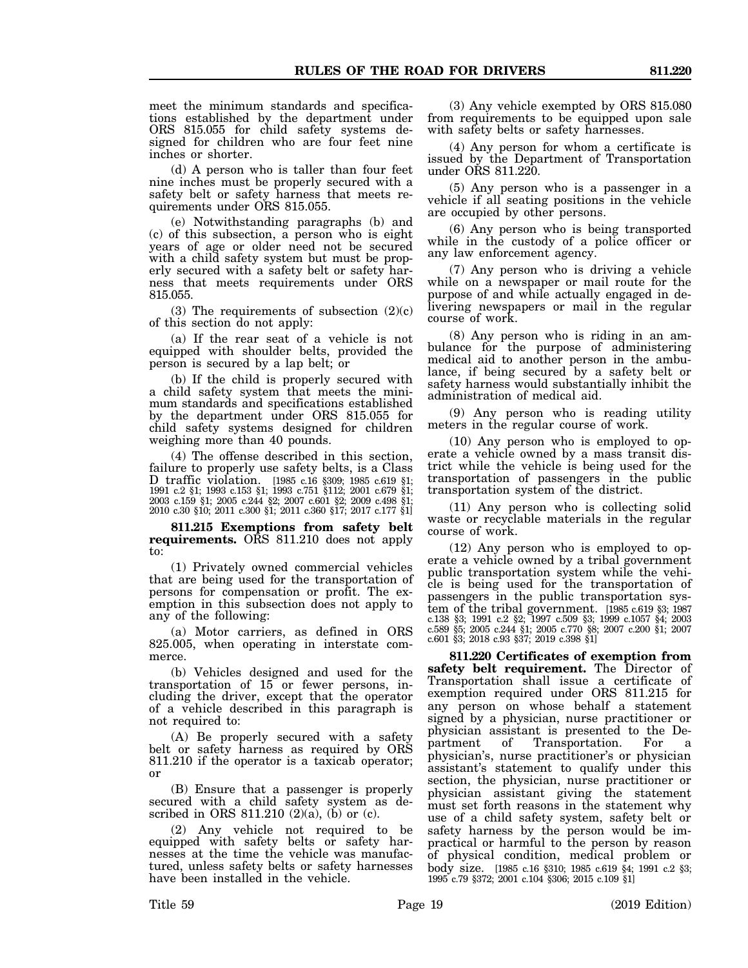meet the minimum standards and specifications established by the department under ORS 815.055 for child safety systems designed for children who are four feet nine inches or shorter.

(d) A person who is taller than four feet nine inches must be properly secured with a safety belt or safety harness that meets requirements under ORS 815.055.

(e) Notwithstanding paragraphs (b) and (c) of this subsection, a person who is eight years of age or older need not be secured with a child safety system but must be properly secured with a safety belt or safety harness that meets requirements under ORS 815.055.

(3) The requirements of subsection  $(2)(c)$ of this section do not apply:

(a) If the rear seat of a vehicle is not equipped with shoulder belts, provided the person is secured by a lap belt; or

(b) If the child is properly secured with a child safety system that meets the minimum standards and specifications established by the department under ORS 815.055 for child safety systems designed for children weighing more than 40 pounds.

(4) The offense described in this section, failure to properly use safety belts, is a Class D traffic violation. [1985 c.16 §309; 1985 c.619 §1; 1991 c.2 §1; 1993 c.153 §1; 1993 c.751 §112; 2001 c.679 §1; 2003 c.159 §1; 2005 c.244 §2; 2007 c.601 §2; 2009 c.498 §1; 2010 c.30 §10; 2011 c.300 §1; 2011 c.360 §17; 2017 c.177 §1]

**811.215 Exemptions from safety belt requirements.** ORS 811.210 does not apply to:

(1) Privately owned commercial vehicles that are being used for the transportation of persons for compensation or profit. The exemption in this subsection does not apply to any of the following:

(a) Motor carriers, as defined in ORS 825.005, when operating in interstate commerce.

(b) Vehicles designed and used for the transportation of 15 or fewer persons, including the driver, except that the operator of a vehicle described in this paragraph is not required to:

(A) Be properly secured with a safety belt or safety harness as required by ORS 811.210 if the operator is a taxicab operator; or

(B) Ensure that a passenger is properly secured with a child safety system as described in ORS 811.210  $(2)(a)$ ,  $(b)$  or  $(c)$ .

(2) Any vehicle not required to be equipped with safety belts or safety harnesses at the time the vehicle was manufactured, unless safety belts or safety harnesses have been installed in the vehicle.

(3) Any vehicle exempted by ORS 815.080 from requirements to be equipped upon sale with safety belts or safety harnesses.

(4) Any person for whom a certificate is issued by the Department of Transportation under ORS 811.220.

(5) Any person who is a passenger in a vehicle if all seating positions in the vehicle are occupied by other persons.

(6) Any person who is being transported while in the custody of a police officer or any law enforcement agency.

(7) Any person who is driving a vehicle while on a newspaper or mail route for the purpose of and while actually engaged in delivering newspapers or mail in the regular course of work.

(8) Any person who is riding in an ambulance for the purpose of administering medical aid to another person in the ambulance, if being secured by a safety belt or safety harness would substantially inhibit the administration of medical aid.

(9) Any person who is reading utility meters in the regular course of work.

(10) Any person who is employed to operate a vehicle owned by a mass transit district while the vehicle is being used for the transportation of passengers in the public transportation system of the district.

(11) Any person who is collecting solid waste or recyclable materials in the regular course of work.

(12) Any person who is employed to operate a vehicle owned by a tribal government public transportation system while the vehicle is being used for the transportation of passengers in the public transportation system of the tribal government. [1985 c.619 §3; 1987 c.138 §3; 1991 c.2 §2; 1997 c.509 §3; 1999 c.1057 §4; 2003 c.589 §5; 2005 c.244 §1; 2005 c.770 §8; 2007 c.200 §1; 2007 c.601 §3; 2018 c.93 §37; 2019 c.398 §1]

**811.220 Certificates of exemption from safety belt requirement.** The Director of Transportation shall issue a certificate of exemption required under ORS 811.215 for any person on whose behalf a statement signed by a physician, nurse practitioner or physician assistant is presented to the Department of Transportation. For a physician's, nurse practitioner's or physician assistant's statement to qualify under this section, the physician, nurse practitioner or physician assistant giving the statement must set forth reasons in the statement why use of a child safety system, safety belt or safety harness by the person would be impractical or harmful to the person by reason of physical condition, medical problem or body size. [1985 c.16 §310; 1985 c.619 §4; 1991 c.2 §3; 1995 c.79 §372; 2001 c.104 §306; 2015 c.109 §1]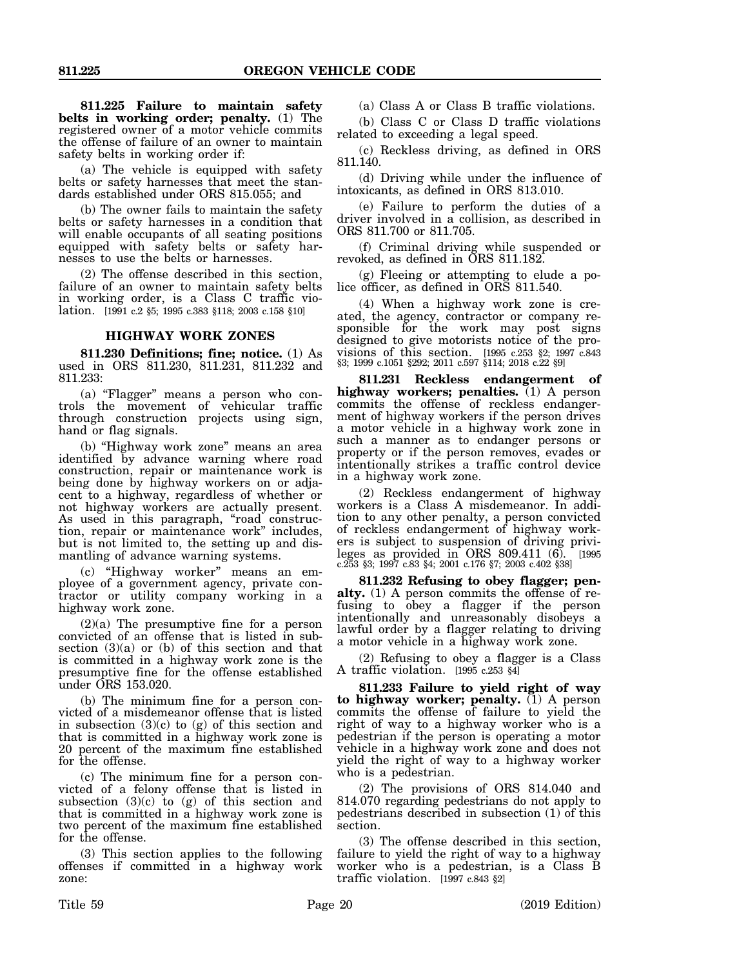**811.225 Failure to maintain safety belts in working order; penalty.** (1) The registered owner of a motor vehicle commits the offense of failure of an owner to maintain safety belts in working order if:

(a) The vehicle is equipped with safety belts or safety harnesses that meet the standards established under ORS 815.055; and

(b) The owner fails to maintain the safety belts or safety harnesses in a condition that will enable occupants of all seating positions equipped with safety belts or safety harnesses to use the belts or harnesses.

(2) The offense described in this section, failure of an owner to maintain safety belts in working order, is a Class C traffic violation. [1991 c.2 §5; 1995 c.383 §118; 2003 c.158 §10]

## **HIGHWAY WORK ZONES**

**811.230 Definitions; fine; notice.** (1) As used in ORS 811.230, 811.231, 811.232 and 811.233:

(a) "Flagger" means a person who controls the movement of vehicular traffic through construction projects using sign, hand or flag signals.

(b) "Highway work zone" means an area identified by advance warning where road construction, repair or maintenance work is being done by highway workers on or adjacent to a highway, regardless of whether or not highway workers are actually present. As used in this paragraph, "road construction, repair or maintenance work" includes, but is not limited to, the setting up and dismantling of advance warning systems.

(c) "Highway worker" means an employee of a government agency, private contractor or utility company working in a highway work zone.

(2)(a) The presumptive fine for a person convicted of an offense that is listed in subsection  $(3)(a)$  or  $(b)$  of this section and that is committed in a highway work zone is the presumptive fine for the offense established under ORS 153.020.

(b) The minimum fine for a person convicted of a misdemeanor offense that is listed in subsection  $(3)(c)$  to  $(g)$  of this section and that is committed in a highway work zone is 20 percent of the maximum fine established for the offense.

(c) The minimum fine for a person convicted of a felony offense that is listed in subsection  $(3)(c)$  to  $(g)$  of this section and that is committed in a highway work zone is two percent of the maximum fine established for the offense.

(3) This section applies to the following offenses if committed in a highway work zone:

(a) Class A or Class B traffic violations.

(b) Class C or Class D traffic violations related to exceeding a legal speed.

(c) Reckless driving, as defined in ORS 811.140.

(d) Driving while under the influence of intoxicants, as defined in ORS 813.010.

(e) Failure to perform the duties of a driver involved in a collision, as described in ORS 811.700 or 811.705.

(f) Criminal driving while suspended or revoked, as defined in ORS 811.182.

(g) Fleeing or attempting to elude a police officer, as defined in ORS 811.540.

(4) When a highway work zone is created, the agency, contractor or company responsible for the work may post signs designed to give motorists notice of the provisions of this section. [1995 c.253 §2; 1997 c.843 §3; 1999 c.1051 §292; 2011 c.597 §114; 2018 c.22 §9]

**811.231 Reckless endangerment of highway workers; penalties.** (1) A person commits the offense of reckless endangerment of highway workers if the person drives a motor vehicle in a highway work zone in such a manner as to endanger persons or property or if the person removes, evades or intentionally strikes a traffic control device in a highway work zone.

(2) Reckless endangerment of highway workers is a Class A misdemeanor. In addition to any other penalty, a person convicted of reckless endangerment of highway workers is subject to suspension of driving privileges as provided in ORS  $809.411$  (6). [1995] c.253 §3; 1997 c.83 §4; 2001 c.176 §7; 2003 c.402 §38]

**811.232 Refusing to obey flagger; penalty.** (1) A person commits the offense of refusing to obey a flagger if the person intentionally and unreasonably disobeys a lawful order by a flagger relating to driving a motor vehicle in a highway work zone.

(2) Refusing to obey a flagger is a Class A traffic violation. [1995 c.253 §4]

**811.233 Failure to yield right of way to highway worker; penalty.** (1) A person commits the offense of failure to yield the right of way to a highway worker who is a pedestrian if the person is operating a motor vehicle in a highway work zone and does not yield the right of way to a highway worker who is a pedestrian.

(2) The provisions of ORS 814.040 and 814.070 regarding pedestrians do not apply to pedestrians described in subsection  $(1)$  of this section.

(3) The offense described in this section, failure to yield the right of way to a highway worker who is a pedestrian, is a Class B traffic violation.  $[1997 \c.843 \t\&2]$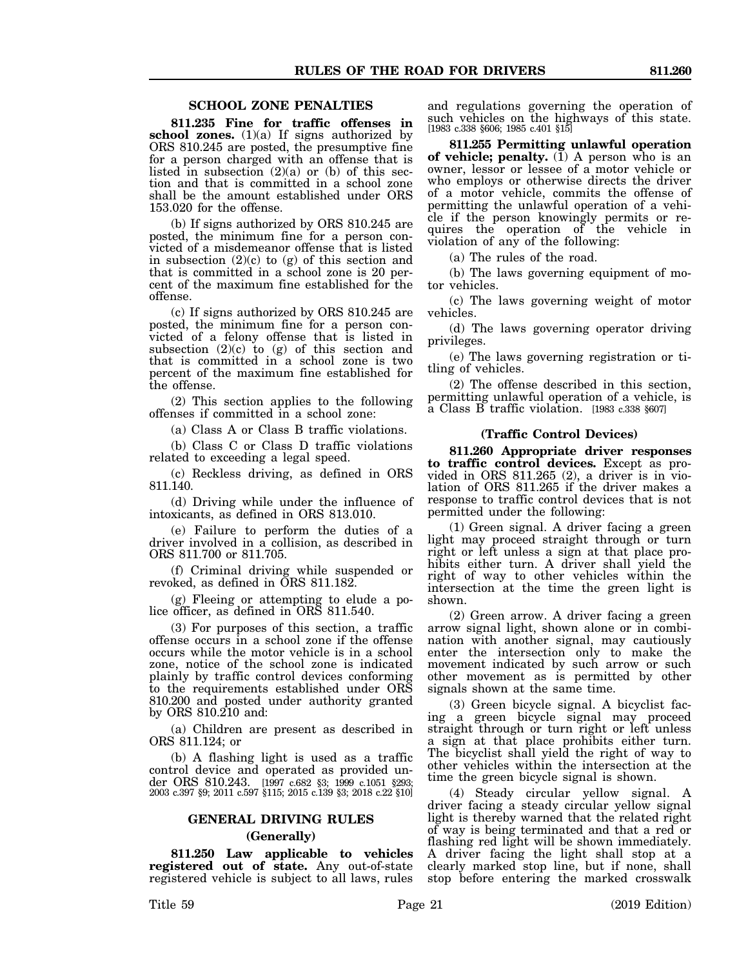#### **SCHOOL ZONE PENALTIES**

**811.235 Fine for traffic offenses in** school zones. (1)(a) If signs authorized by ORS 810.245 are posted, the presumptive fine for a person charged with an offense that is listed in subsection  $(2)(a)$  or  $(b)$  of this section and that is committed in a school zone shall be the amount established under ORS 153.020 for the offense.

(b) If signs authorized by ORS 810.245 are posted, the minimum fine for a person convicted of a misdemeanor offense that is listed in subsection  $(2)(c)$  to  $(g)$  of this section and that is committed in a school zone is 20 percent of the maximum fine established for the offense.

(c) If signs authorized by ORS 810.245 are posted, the minimum fine for a person convicted of a felony offense that is listed in subsection  $(2)(c)$  to  $(g)$  of this section and that is committed in a school zone is two percent of the maximum fine established for the offense.

(2) This section applies to the following offenses if committed in a school zone:

(a) Class A or Class B traffic violations.

(b) Class C or Class D traffic violations related to exceeding a legal speed.

(c) Reckless driving, as defined in ORS 811.140.

(d) Driving while under the influence of intoxicants, as defined in ORS 813.010.

(e) Failure to perform the duties of a driver involved in a collision, as described in ORS 811.700 or 811.705.

(f) Criminal driving while suspended or revoked, as defined in ORS 811.182.

(g) Fleeing or attempting to elude a police officer, as defined in ORS 811.540.

(3) For purposes of this section, a traffic offense occurs in a school zone if the offense occurs while the motor vehicle is in a school zone, notice of the school zone is indicated plainly by traffic control devices conforming to the requirements established under ORS 810.200 and posted under authority granted by ORS 810.210 and:

(a) Children are present as described in ORS 811.124; or

(b) A flashing light is used as a traffic control device and operated as provided under ORS 810.243. [1997 c.682 §3; 1999 c.1051 §293; 2003 c.397 §9; 2011 c.597 §115; 2015 c.139 §3; 2018 c.22 §10]

## **GENERAL DRIVING RULES**

## **(Generally)**

**811.250 Law applicable to vehicles registered out of state.** Any out-of-state registered vehicle is subject to all laws, rules and regulations governing the operation of such vehicles on the highways of this state. [1983 c.338 §606; 1985 c.401 §15]

**811.255 Permitting unlawful operation of vehicle; penalty.** (1) A person who is an owner, lessor or lessee of a motor vehicle or who employs or otherwise directs the driver of a motor vehicle, commits the offense of permitting the unlawful operation of a vehicle if the person knowingly permits or requires the operation of the vehicle in violation of any of the following:

(a) The rules of the road.

(b) The laws governing equipment of motor vehicles.

(c) The laws governing weight of motor vehicles.

(d) The laws governing operator driving privileges.

(e) The laws governing registration or titling of vehicles.

(2) The offense described in this section, permitting unlawful operation of a vehicle, is a Class B traffic violation. [1983 c.338 §607]

#### **(Traffic Control Devices)**

**811.260 Appropriate driver responses to traffic control devices.** Except as provided in ORS 811.265 (2), a driver is in violation of ORS 811.265 if the driver makes a response to traffic control devices that is not permitted under the following:

(1) Green signal. A driver facing a green light may proceed straight through or turn right or left unless a sign at that place prohibits either turn. A driver shall yield the right of way to other vehicles within the intersection at the time the green light is shown.

(2) Green arrow. A driver facing a green arrow signal light, shown alone or in combination with another signal, may cautiously enter the intersection only to make the movement indicated by such arrow or such other movement as is permitted by other signals shown at the same time.

(3) Green bicycle signal. A bicyclist facing a green bicycle signal may proceed straight through or turn right or left unless a sign at that place prohibits either turn. The bicyclist shall yield the right of way to other vehicles within the intersection at the time the green bicycle signal is shown.

(4) Steady circular yellow signal. A driver facing a steady circular yellow signal light is thereby warned that the related right of way is being terminated and that a red or flashing red light will be shown immediately. A driver facing the light shall stop at a clearly marked stop line, but if none, shall stop before entering the marked crosswalk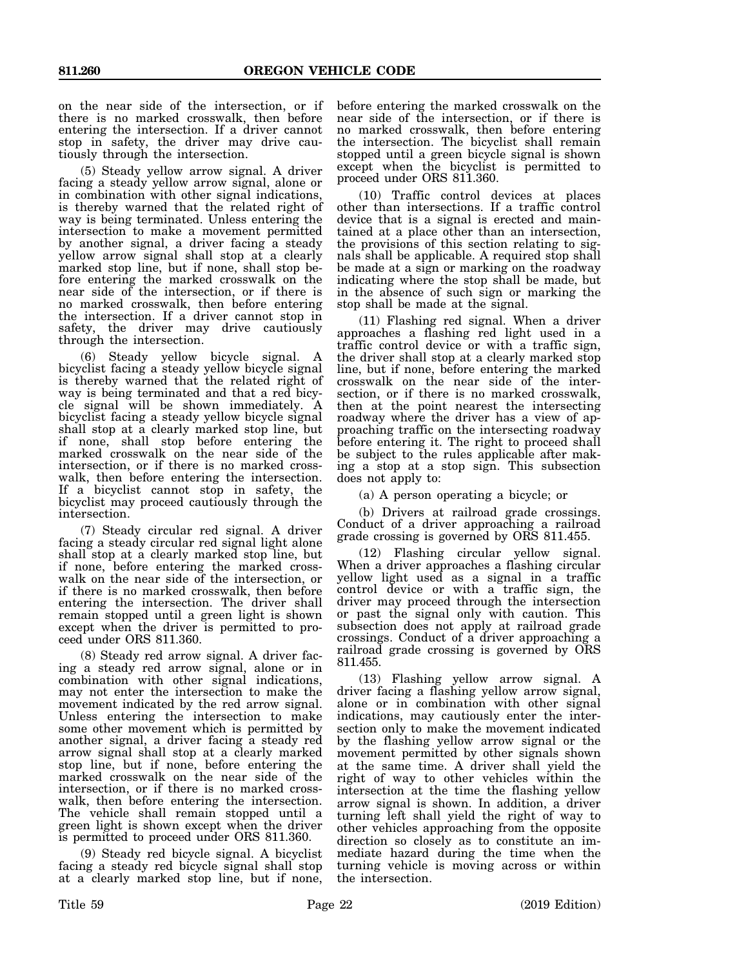on the near side of the intersection, or if there is no marked crosswalk, then before entering the intersection. If a driver cannot stop in safety, the driver may drive cautiously through the intersection.

(5) Steady yellow arrow signal. A driver facing a steady yellow arrow signal, alone or in combination with other signal indications, is thereby warned that the related right of way is being terminated. Unless entering the intersection to make a movement permitted by another signal, a driver facing a steady yellow arrow signal shall stop at a clearly marked stop line, but if none, shall stop before entering the marked crosswalk on the near side of the intersection, or if there is no marked crosswalk, then before entering the intersection. If a driver cannot stop in safety, the driver may drive cautiously through the intersection.

(6) Steady yellow bicycle signal. A bicyclist facing a steady yellow bicycle signal is thereby warned that the related right of way is being terminated and that a red bicycle signal will be shown immediately. A bicyclist facing a steady yellow bicycle signal shall stop at a clearly marked stop line, but if none, shall stop before entering the marked crosswalk on the near side of the intersection, or if there is no marked crosswalk, then before entering the intersection. If a bicyclist cannot stop in safety, the bicyclist may proceed cautiously through the intersection.

(7) Steady circular red signal. A driver facing a steady circular red signal light alone shall stop at a clearly marked stop line, but if none, before entering the marked crosswalk on the near side of the intersection, or if there is no marked crosswalk, then before entering the intersection. The driver shall remain stopped until a green light is shown except when the driver is permitted to proceed under ORS 811.360.

(8) Steady red arrow signal. A driver facing a steady red arrow signal, alone or in combination with other signal indications, may not enter the intersection to make the movement indicated by the red arrow signal. Unless entering the intersection to make some other movement which is permitted by another signal, a driver facing a steady red arrow signal shall stop at a clearly marked stop line, but if none, before entering the marked crosswalk on the near side of the intersection, or if there is no marked crosswalk, then before entering the intersection. The vehicle shall remain stopped until a green light is shown except when the driver is permitted to proceed under ORS 811.360.

(9) Steady red bicycle signal. A bicyclist facing a steady red bicycle signal shall stop at a clearly marked stop line, but if none, before entering the marked crosswalk on the near side of the intersection, or if there is no marked crosswalk, then before entering the intersection. The bicyclist shall remain stopped until a green bicycle signal is shown except when the bicyclist is permitted to proceed under ORS 811.360.

(10) Traffic control devices at places other than intersections. If a traffic control device that is a signal is erected and maintained at a place other than an intersection, the provisions of this section relating to signals shall be applicable. A required stop shall be made at a sign or marking on the roadway indicating where the stop shall be made, but in the absence of such sign or marking the stop shall be made at the signal.

(11) Flashing red signal. When a driver approaches a flashing red light used in a traffic control device or with a traffic sign, the driver shall stop at a clearly marked stop line, but if none, before entering the marked crosswalk on the near side of the intersection, or if there is no marked crosswalk, then at the point nearest the intersecting roadway where the driver has a view of approaching traffic on the intersecting roadway before entering it. The right to proceed shall be subject to the rules applicable after making a stop at a stop sign. This subsection does not apply to:

(a) A person operating a bicycle; or

(b) Drivers at railroad grade crossings. Conduct of a driver approaching a railroad grade crossing is governed by ORS 811.455.

(12) Flashing circular yellow signal. When a driver approaches a flashing circular yellow light used as a signal in a traffic control device or with a traffic sign, the driver may proceed through the intersection or past the signal only with caution. This subsection does not apply at railroad grade crossings. Conduct of a driver approaching a railroad grade crossing is governed by ORS 811.455.

(13) Flashing yellow arrow signal. A driver facing a flashing yellow arrow signal, alone or in combination with other signal indications, may cautiously enter the intersection only to make the movement indicated by the flashing yellow arrow signal or the movement permitted by other signals shown at the same time. A driver shall yield the right of way to other vehicles within the intersection at the time the flashing yellow arrow signal is shown. In addition, a driver turning left shall yield the right of way to other vehicles approaching from the opposite direction so closely as to constitute an immediate hazard during the time when the turning vehicle is moving across or within the intersection.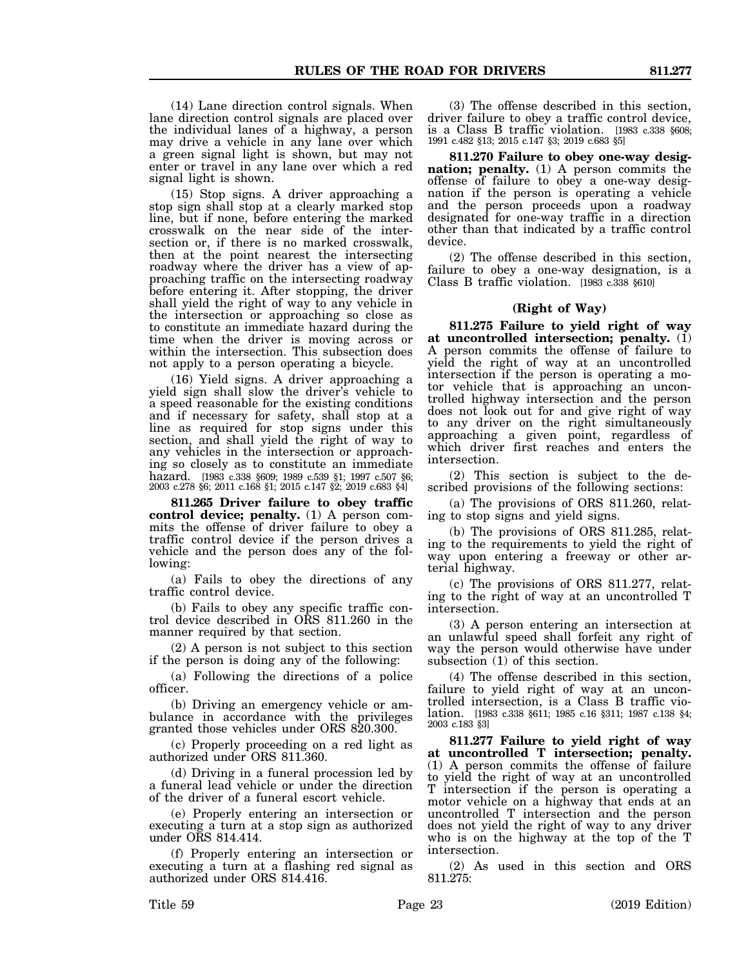(14) Lane direction control signals. When lane direction control signals are placed over the individual lanes of a highway, a person may drive a vehicle in any lane over which a green signal light is shown, but may not enter or travel in any lane over which a red signal light is shown.

(15) Stop signs. A driver approaching a stop sign shall stop at a clearly marked stop line, but if none, before entering the marked crosswalk on the near side of the intersection or, if there is no marked crosswalk, then at the point nearest the intersecting roadway where the driver has a view of approaching traffic on the intersecting roadway before entering it. After stopping, the driver shall yield the right of way to any vehicle in the intersection or approaching so close as to constitute an immediate hazard during the time when the driver is moving across or within the intersection. This subsection does not apply to a person operating a bicycle.

(16) Yield signs. A driver approaching a yield sign shall slow the driver's vehicle to a speed reasonable for the existing conditions and if necessary for safety, shall stop at a line as required for stop signs under this section, and shall yield the right of way to any vehicles in the intersection or approaching so closely as to constitute an immediate hazard. [1983 c.338 §609; 1989 c.539 §1; 1997 c.507 §6; 2003 c.278 §6; 2011 c.168 §1; 2015 c.147 §2; 2019 c.683 §4]

**811.265 Driver failure to obey traffic control device; penalty.** (1) A person commits the offense of driver failure to obey a traffic control device if the person drives a vehicle and the person does any of the following:

(a) Fails to obey the directions of any traffic control device.

(b) Fails to obey any specific traffic control device described in ORS 811.260 in the manner required by that section.

(2) A person is not subject to this section if the person is doing any of the following:

(a) Following the directions of a police officer.

(b) Driving an emergency vehicle or ambulance in accordance with the privileges granted those vehicles under ORS 820.300.

(c) Properly proceeding on a red light as authorized under ORS 811.360.

(d) Driving in a funeral procession led by a funeral lead vehicle or under the direction of the driver of a funeral escort vehicle.

(e) Properly entering an intersection or executing a turn at a stop sign as authorized under ORS 814.414.

(f) Properly entering an intersection or executing a turn at a flashing red signal as authorized under ORS 814.416.

(3) The offense described in this section, driver failure to obey a traffic control device, is a Class B traffic violation. [1983 c.338 §608; 1991 c.482 §13; 2015 c.147 §3; 2019 c.683 §5]

**811.270 Failure to obey one-way designation; penalty.** (1) A person commits the offense of failure to obey a one-way designation if the person is operating a vehicle and the person proceeds upon a roadway designated for one-way traffic in a direction other than that indicated by a traffic control device.

(2) The offense described in this section, failure to obey a one-way designation, is a Class B traffic violation. [1983 c.338 §610]

#### **(Right of Way)**

**811.275 Failure to yield right of way at uncontrolled intersection; penalty.** (1) A person commits the offense of failure to yield the right of way at an uncontrolled intersection if the person is operating a motor vehicle that is approaching an uncontrolled highway intersection and the person does not look out for and give right of way to any driver on the right simultaneously approaching a given point, regardless of which driver first reaches and enters the intersection.

(2) This section is subject to the described provisions of the following sections:

(a) The provisions of ORS 811.260, relating to stop signs and yield signs.

(b) The provisions of ORS 811.285, relating to the requirements to yield the right of way upon entering a freeway or other arterial highway.

(c) The provisions of ORS 811.277, relating to the right of way at an uncontrolled T intersection.

(3) A person entering an intersection at an unlawful speed shall forfeit any right of way the person would otherwise have under subsection (1) of this section.

(4) The offense described in this section, failure to yield right of way at an uncontrolled intersection, is a Class B traffic violation. [1983 c.338 §611; 1985 c.16 §311; 1987 c.138 §4; 2003 c.183 §3]

**811.277 Failure to yield right of way at uncontrolled T intersection; penalty.** (1) A person commits the offense of failure to yield the right of way at an uncontrolled T intersection if the person is operating a motor vehicle on a highway that ends at an uncontrolled T intersection and the person does not yield the right of way to any driver who is on the highway at the top of the T intersection.

(2) As used in this section and ORS 811.275: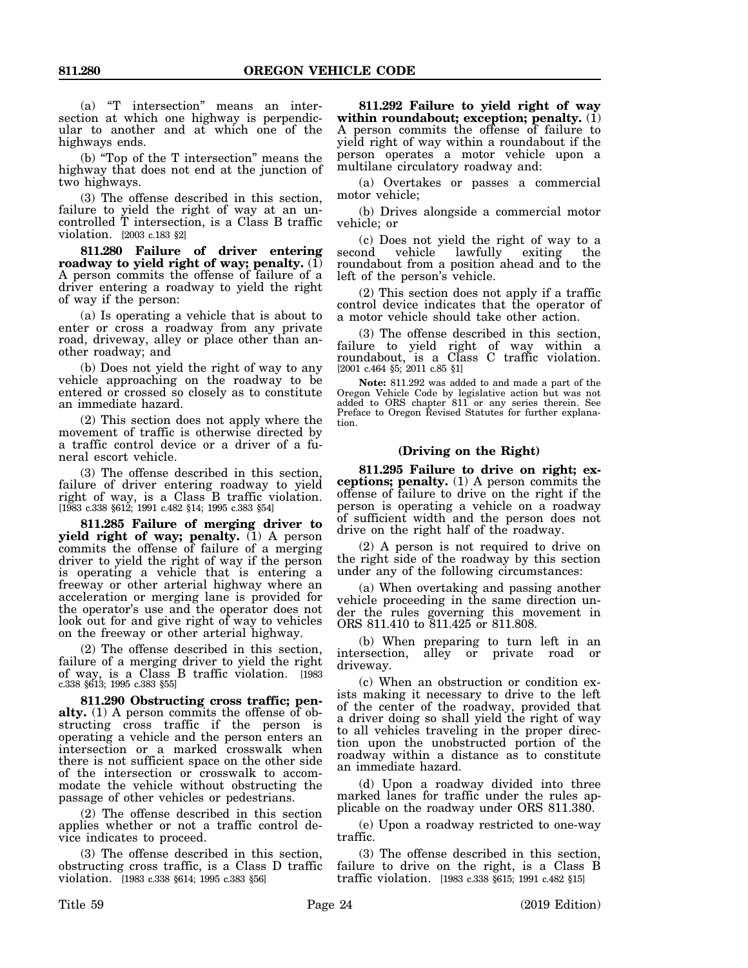(a) "T intersection" means an intersection at which one highway is perpendicular to another and at which one of the highways ends.

(b) "Top of the T intersection" means the highway that does not end at the junction of two highways.

(3) The offense described in this section, failure to yield the right of way at an uncontrolled T intersection, is a Class B traffic violation. [2003 c.183 §2]

**811.280 Failure of driver entering roadway to yield right of way; penalty.** (1) A person commits the offense of failure of a driver entering a roadway to yield the right of way if the person:

(a) Is operating a vehicle that is about to enter or cross a roadway from any private road, driveway, alley or place other than another roadway; and

(b) Does not yield the right of way to any vehicle approaching on the roadway to be entered or crossed so closely as to constitute an immediate hazard.

(2) This section does not apply where the movement of traffic is otherwise directed by a traffic control device or a driver of a funeral escort vehicle.

(3) The offense described in this section, failure of driver entering roadway to yield right of way, is a Class B traffic violation. [1983 c.338 §612; 1991 c.482 §14; 1995 c.383 §54]

**811.285 Failure of merging driver to yield right of way; penalty.** (1) A person commits the offense of failure of a merging driver to yield the right of way if the person is operating a vehicle that is entering a freeway or other arterial highway where an acceleration or merging lane is provided for the operator's use and the operator does not look out for and give right of way to vehicles on the freeway or other arterial highway.

(2) The offense described in this section, failure of a merging driver to yield the right of way, is a Class B traffic violation. [1983 c.338 §613; 1995 c.383 §55]

**811.290 Obstructing cross traffic; penalty.** (1) A person commits the offense of obstructing cross traffic if the person is operating a vehicle and the person enters an intersection or a marked crosswalk when there is not sufficient space on the other side of the intersection or crosswalk to accommodate the vehicle without obstructing the passage of other vehicles or pedestrians.

(2) The offense described in this section applies whether or not a traffic control device indicates to proceed.

(3) The offense described in this section, obstructing cross traffic, is a Class D traffic violation. [1983 c.338 §614; 1995 c.383 §56]

**811.292 Failure to yield right of way within roundabout; exception; penalty.** (1) A person commits the offense of failure to yield right of way within a roundabout if the person operates a motor vehicle upon a multilane circulatory roadway and:

(a) Overtakes or passes a commercial motor vehicle;

(b) Drives alongside a commercial motor vehicle; or

(c) Does not yield the right of way to a second vehicle lawfully exiting the vehicle lawfully exiting the roundabout from a position ahead and to the left of the person's vehicle.

(2) This section does not apply if a traffic control device indicates that the operator of a motor vehicle should take other action.

(3) The offense described in this section, failure to yield right of way within a roundabout, is a Class C traffic violation. [2001 c.464 §5; 2011 c.85 §1]

**Note:** 811.292 was added to and made a part of the Oregon Vehicle Code by legislative action but was not added to ORS chapter 811 or any series therein. See Preface to Oregon Revised Statutes for further explanation.

#### **(Driving on the Right)**

**811.295 Failure to drive on right; exceptions; penalty.** (1) A person commits the offense of failure to drive on the right if the person is operating a vehicle on a roadway of sufficient width and the person does not drive on the right half of the roadway.

(2) A person is not required to drive on the right side of the roadway by this section under any of the following circumstances:

(a) When overtaking and passing another vehicle proceeding in the same direction under the rules governing this movement in ORS 811.410 to 811.425 or 811.808.

(b) When preparing to turn left in an intersection, alley or private road or driveway.

(c) When an obstruction or condition exists making it necessary to drive to the left of the center of the roadway, provided that a driver doing so shall yield the right of way to all vehicles traveling in the proper direction upon the unobstructed portion of the roadway within a distance as to constitute an immediate hazard.

(d) Upon a roadway divided into three marked lanes for traffic under the rules applicable on the roadway under ORS 811.380.

(e) Upon a roadway restricted to one-way traffic.

(3) The offense described in this section, failure to drive on the right, is a Class B traffic violation. [1983 c.338 §615; 1991 c.482 §15]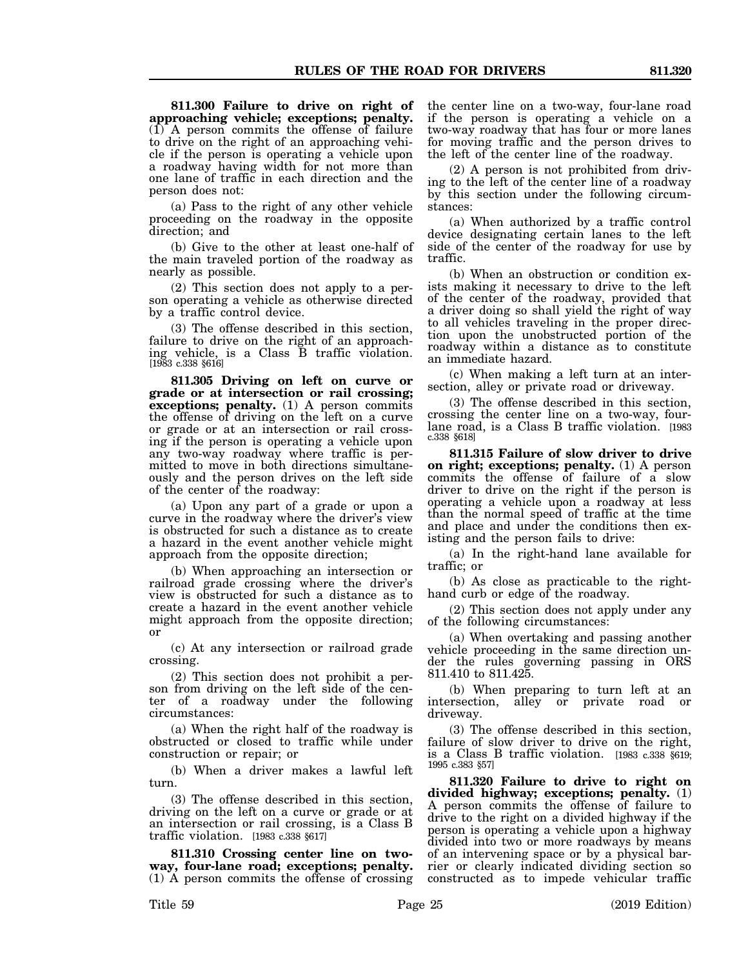**811.300 Failure to drive on right of approaching vehicle; exceptions; penalty.** (1) A person commits the offense of failure to drive on the right of an approaching vehicle if the person is operating a vehicle upon a roadway having width for not more than one lane of traffic in each direction and the person does not:

(a) Pass to the right of any other vehicle proceeding on the roadway in the opposite direction; and

(b) Give to the other at least one-half of the main traveled portion of the roadway as nearly as possible.

(2) This section does not apply to a person operating a vehicle as otherwise directed by a traffic control device.

(3) The offense described in this section, failure to drive on the right of an approaching vehicle, is a Class B traffic violation. [1983 c.338 §616]

**811.305 Driving on left on curve or grade or at intersection or rail crossing; exceptions; penalty.** (1) A person commits the offense of driving on the left on a curve or grade or at an intersection or rail crossing if the person is operating a vehicle upon any two-way roadway where traffic is permitted to move in both directions simultaneously and the person drives on the left side of the center of the roadway:

(a) Upon any part of a grade or upon a curve in the roadway where the driver's view is obstructed for such a distance as to create a hazard in the event another vehicle might approach from the opposite direction;

(b) When approaching an intersection or railroad grade crossing where the driver's view is obstructed for such a distance as to create a hazard in the event another vehicle might approach from the opposite direction; or

(c) At any intersection or railroad grade crossing.

(2) This section does not prohibit a person from driving on the left side of the center of a roadway under the following circumstances:

(a) When the right half of the roadway is obstructed or closed to traffic while under construction or repair; or

(b) When a driver makes a lawful left turn.

(3) The offense described in this section, driving on the left on a curve or grade or at an intersection or rail crossing, is a Class B traffic violation. [1983 c.338 §617]

**811.310 Crossing center line on twoway, four-lane road; exceptions; penalty.** (1) A person commits the offense of crossing the center line on a two-way, four-lane road if the person is operating a vehicle on a two-way roadway that has four or more lanes for moving traffic and the person drives to the left of the center line of the roadway.

(2) A person is not prohibited from driving to the left of the center line of a roadway by this section under the following circumstances:

(a) When authorized by a traffic control device designating certain lanes to the left side of the center of the roadway for use by traffic.

(b) When an obstruction or condition exists making it necessary to drive to the left of the center of the roadway, provided that a driver doing so shall yield the right of way to all vehicles traveling in the proper direction upon the unobstructed portion of the roadway within a distance as to constitute an immediate hazard.

(c) When making a left turn at an intersection, alley or private road or driveway.

(3) The offense described in this section, crossing the center line on a two-way, fourlane road, is a Class B traffic violation. [1983 c.338 §618]

**811.315 Failure of slow driver to drive on right; exceptions; penalty.** (1) A person commits the offense of failure of a slow driver to drive on the right if the person is operating a vehicle upon a roadway at less than the normal speed of traffic at the time and place and under the conditions then existing and the person fails to drive:

(a) In the right-hand lane available for traffic; or

(b) As close as practicable to the righthand curb or edge of the roadway.

(2) This section does not apply under any of the following circumstances:

(a) When overtaking and passing another vehicle proceeding in the same direction under the rules governing passing in ORS 811.410 to 811.425.

(b) When preparing to turn left at an intersection, alley or private road or driveway.

(3) The offense described in this section, failure of slow driver to drive on the right, is a Class B traffic violation. [1983 c.338 §619; 1995 c.383 §57]

**811.320 Failure to drive to right on divided highway; exceptions; penalty.** (1) A person commits the offense of failure to drive to the right on a divided highway if the person is operating a vehicle upon a highway divided into two or more roadways by means of an intervening space or by a physical barrier or clearly indicated dividing section so constructed as to impede vehicular traffic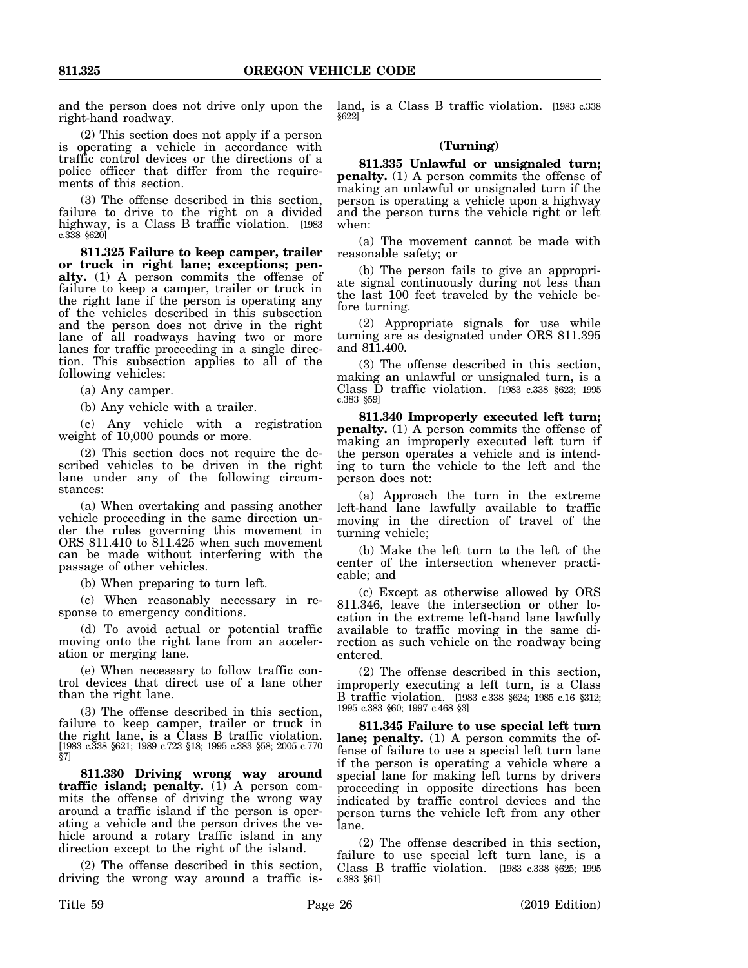and the person does not drive only upon the right-hand roadway.

(2) This section does not apply if a person is operating a vehicle in accordance with traffic control devices or the directions of a police officer that differ from the requirements of this section.

(3) The offense described in this section, failure to drive to the right on a divided highway, is a Class B traffic violation. [1983 c.338 §620]

**811.325 Failure to keep camper, trailer or truck in right lane; exceptions; penalty.** (1) A person commits the offense of failure to keep a camper, trailer or truck in the right lane if the person is operating any of the vehicles described in this subsection and the person does not drive in the right lane of all roadways having two or more lanes for traffic proceeding in a single direction. This subsection applies to all of the following vehicles:

(a) Any camper.

(b) Any vehicle with a trailer.

(c) Any vehicle with a registration weight of  $10,000$  pounds or more.

(2) This section does not require the described vehicles to be driven in the right lane under any of the following circumstances:

(a) When overtaking and passing another vehicle proceeding in the same direction under the rules governing this movement in ORS 811.410 to 811.425 when such movement can be made without interfering with the passage of other vehicles.

(b) When preparing to turn left.

(c) When reasonably necessary in response to emergency conditions.

(d) To avoid actual or potential traffic moving onto the right lane from an acceleration or merging lane.

(e) When necessary to follow traffic control devices that direct use of a lane other than the right lane.

(3) The offense described in this section, failure to keep camper, trailer or truck in the right lane, is a Class B traffic violation. [1983 c.338 §621; 1989 c.723 §18; 1995 c.383 §58; 2005 c.770 §7]

**811.330 Driving wrong way around traffic island; penalty.** (1) A person commits the offense of driving the wrong way around a traffic island if the person is operating a vehicle and the person drives the vehicle around a rotary traffic island in any direction except to the right of the island.

(2) The offense described in this section, driving the wrong way around a traffic island, is a Class B traffic violation. [1983 c.338 §622]

## **(Turning)**

**811.335 Unlawful or unsignaled turn; penalty.** (1) A person commits the offense of making an unlawful or unsignaled turn if the person is operating a vehicle upon a highway and the person turns the vehicle right or left when:

(a) The movement cannot be made with reasonable safety; or

(b) The person fails to give an appropriate signal continuously during not less than the last 100 feet traveled by the vehicle before turning.

(2) Appropriate signals for use while turning are as designated under ORS 811.395 and 811.400.

(3) The offense described in this section, making an unlawful or unsignaled turn, is a Class D traffic violation. [1983 c.338 §623; 1995 c.383 §59]

**811.340 Improperly executed left turn; penalty.** (1) A person commits the offense of making an improperly executed left turn if the person operates a vehicle and is intending to turn the vehicle to the left and the person does not:

(a) Approach the turn in the extreme left-hand lane lawfully available to traffic moving in the direction of travel of the turning vehicle;

(b) Make the left turn to the left of the center of the intersection whenever practicable; and

(c) Except as otherwise allowed by ORS 811.346, leave the intersection or other location in the extreme left-hand lane lawfully available to traffic moving in the same direction as such vehicle on the roadway being entered.

(2) The offense described in this section, improperly executing a left turn, is a Class B traffic violation. [1983 c.338 §624; 1985 c.16 §312; 1995 c.383 §60; 1997 c.468 §3]

**811.345 Failure to use special left turn lane; penalty.** (1) A person commits the offense of failure to use a special left turn lane if the person is operating a vehicle where a special lane for making left turns by drivers proceeding in opposite directions has been indicated by traffic control devices and the person turns the vehicle left from any other lane.

(2) The offense described in this section, failure to use special left turn lane, is a Class B traffic violation. [1983 c.338 §625; 1995 c.383 §61]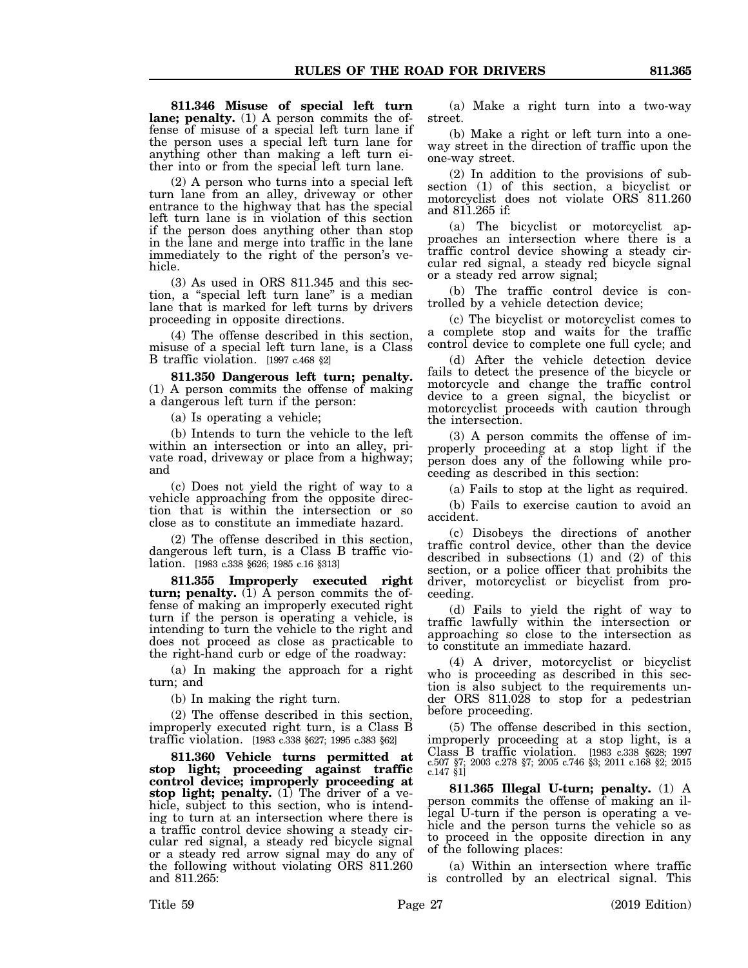**811.346 Misuse of special left turn lane; penalty.** (1) A person commits the offense of misuse of a special left turn lane if the person uses a special left turn lane for anything other than making a left turn either into or from the special left turn lane.

(2) A person who turns into a special left turn lane from an alley, driveway or other entrance to the highway that has the special left turn lane is in violation of this section if the person does anything other than stop in the lane and merge into traffic in the lane immediately to the right of the person's vehicle.

(3) As used in ORS 811.345 and this section, a "special left turn lane" is a median lane that is marked for left turns by drivers proceeding in opposite directions.

(4) The offense described in this section, misuse of a special left turn lane, is a Class B traffic violation. [1997 c.468 §2]

**811.350 Dangerous left turn; penalty.** (1) A person commits the offense of making a dangerous left turn if the person:

(a) Is operating a vehicle;

(b) Intends to turn the vehicle to the left within an intersection or into an alley, private road, driveway or place from a highway; and

(c) Does not yield the right of way to a vehicle approaching from the opposite direction that is within the intersection or so close as to constitute an immediate hazard.

(2) The offense described in this section, dangerous left turn, is a Class B traffic violation. [1983 c.338 §626; 1985 c.16 §313]

**811.355 Improperly executed right turn; penalty.** (1) A person commits the offense of making an improperly executed right turn if the person is operating a vehicle, is intending to turn the vehicle to the right and does not proceed as close as practicable to the right-hand curb or edge of the roadway:

(a) In making the approach for a right turn; and

(b) In making the right turn.

(2) The offense described in this section, improperly executed right turn, is a Class B traffic violation. [1983 c.338 §627; 1995 c.383 §62]

**811.360 Vehicle turns permitted at stop light; proceeding against traffic control device; improperly proceeding at stop light; penalty.** (1) The driver of a vehicle, subject to this section, who is intending to turn at an intersection where there is a traffic control device showing a steady circular red signal, a steady red bicycle signal or a steady red arrow signal may do any of the following without violating ORS 811.260 and 811.265:

(a) Make a right turn into a two-way street.

(b) Make a right or left turn into a oneway street in the direction of traffic upon the one-way street.

(2) In addition to the provisions of subsection (1) of this section, a bicyclist or motorcyclist does not violate ORS 811.260 and 811.265 if:

(a) The bicyclist or motorcyclist approaches an intersection where there is a traffic control device showing a steady circular red signal, a steady red bicycle signal or a steady red arrow signal;

(b) The traffic control device is controlled by a vehicle detection device;

(c) The bicyclist or motorcyclist comes to a complete stop and waits for the traffic control device to complete one full cycle; and

(d) After the vehicle detection device fails to detect the presence of the bicycle or motorcycle and change the traffic control device to a green signal, the bicyclist or motorcyclist proceeds with caution through the intersection.

(3) A person commits the offense of improperly proceeding at a stop light if the person does any of the following while proceeding as described in this section:

(a) Fails to stop at the light as required.

(b) Fails to exercise caution to avoid an accident.

(c) Disobeys the directions of another traffic control device, other than the device described in subsections (1) and (2) of this section, or a police officer that prohibits the driver, motorcyclist or bicyclist from proceeding.

(d) Fails to yield the right of way to traffic lawfully within the intersection or approaching so close to the intersection as to constitute an immediate hazard.

(4) A driver, motorcyclist or bicyclist who is proceeding as described in this section is also subject to the requirements under ORS 811.028 to stop for a pedestrian before proceeding.

(5) The offense described in this section, improperly proceeding at a stop light, is a Class B traffic violation. [1983 c.338 §628; 1997 c.507 §7; 2003 c.278 §7; 2005 c.746 §3; 2011 c.168 §2; 2015 c.147 §1]

**811.365 Illegal U-turn; penalty.** (1) A person commits the offense of making an illegal U-turn if the person is operating a vehicle and the person turns the vehicle so as to proceed in the opposite direction in any of the following places:

(a) Within an intersection where traffic is controlled by an electrical signal. This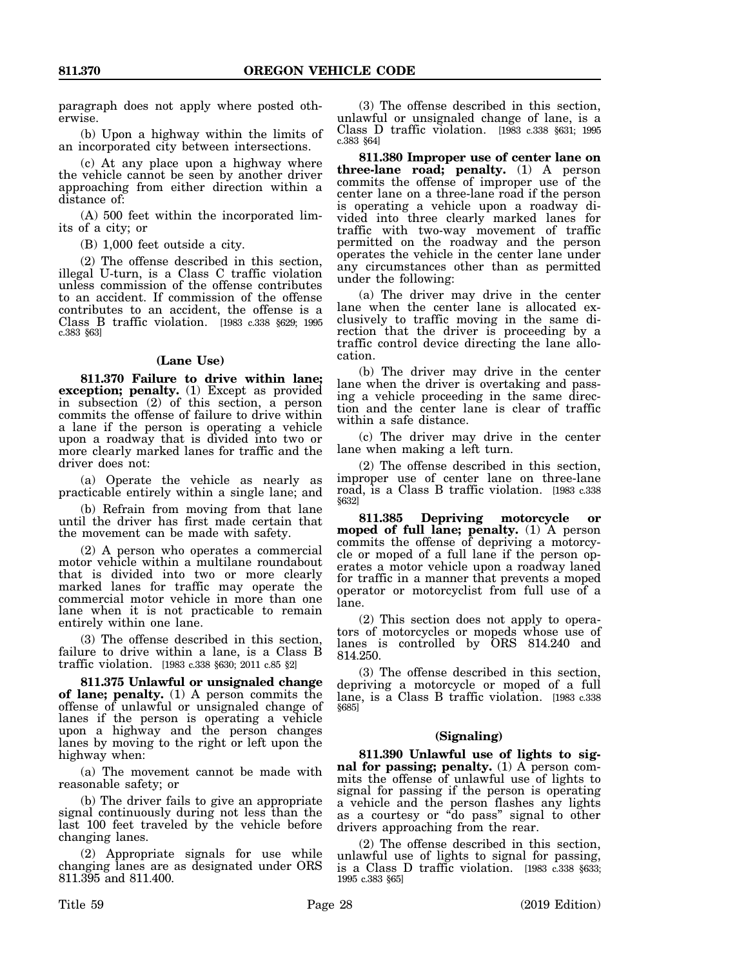paragraph does not apply where posted otherwise.

(b) Upon a highway within the limits of an incorporated city between intersections.

(c) At any place upon a highway where the vehicle cannot be seen by another driver approaching from either direction within a distance of:

(A) 500 feet within the incorporated limits of a city; or

(B) 1,000 feet outside a city.

(2) The offense described in this section, illegal U-turn, is a Class C traffic violation unless commission of the offense contributes to an accident. If commission of the offense contributes to an accident, the offense is a Class B traffic violation. [1983 c.338 §629; 1995 c.383 §63]

## **(Lane Use)**

**811.370 Failure to drive within lane; exception; penalty.** (1) Except as provided in subsection (2) of this section, a person commits the offense of failure to drive within a lane if the person is operating a vehicle upon a roadway that is divided into two or more clearly marked lanes for traffic and the driver does not:

(a) Operate the vehicle as nearly as practicable entirely within a single lane; and

(b) Refrain from moving from that lane until the driver has first made certain that the movement can be made with safety.

(2) A person who operates a commercial motor vehicle within a multilane roundabout that is divided into two or more clearly marked lanes for traffic may operate the commercial motor vehicle in more than one lane when it is not practicable to remain entirely within one lane.

(3) The offense described in this section, failure to drive within a lane, is a Class B traffic violation. [1983 c.338 §630; 2011 c.85 §2]

**811.375 Unlawful or unsignaled change of lane; penalty.** (1) A person commits the offense of unlawful or unsignaled change of lanes if the person is operating a vehicle upon a highway and the person changes lanes by moving to the right or left upon the highway when:

(a) The movement cannot be made with reasonable safety; or

(b) The driver fails to give an appropriate signal continuously during not less than the last 100 feet traveled by the vehicle before changing lanes.

(2) Appropriate signals for use while changing lanes are as designated under ORS 811.395 and 811.400.

(3) The offense described in this section, unlawful or unsignaled change of lane, is a Class D traffic violation. [1983 c.338 §631; 1995 c.383 §64]

**811.380 Improper use of center lane on three-lane road; penalty.** (1) A person commits the offense of improper use of the center lane on a three-lane road if the person is operating a vehicle upon a roadway divided into three clearly marked lanes for traffic with two-way movement of traffic permitted on the roadway and the person operates the vehicle in the center lane under any circumstances other than as permitted under the following:

(a) The driver may drive in the center lane when the center lane is allocated exclusively to traffic moving in the same direction that the driver is proceeding by a traffic control device directing the lane allocation.

(b) The driver may drive in the center lane when the driver is overtaking and passing a vehicle proceeding in the same direction and the center lane is clear of traffic within a safe distance.

(c) The driver may drive in the center lane when making a left turn.

(2) The offense described in this section, improper use of center lane on three-lane road, is a Class B traffic violation. [1983 c.338 §632]

**811.385 Depriving motorcycle or moped of full lane; penalty.** (1) A person commits the offense of depriving a motorcycle or moped of a full lane if the person operates a motor vehicle upon a roadway laned for traffic in a manner that prevents a moped operator or motorcyclist from full use of a lane.

(2) This section does not apply to operators of motorcycles or mopeds whose use of lanes is controlled by ORS 814.240 and 814.250.

(3) The offense described in this section, depriving a motorcycle or moped of a full lane, is a Class B traffic violation. [1983 c.338 §685]

#### **(Signaling)**

**811.390 Unlawful use of lights to signal for passing; penalty.** (1) A person commits the offense of unlawful use of lights to signal for passing if the person is operating a vehicle and the person flashes any lights as a courtesy or "do pass" signal to other drivers approaching from the rear.

(2) The offense described in this section, unlawful use of lights to signal for passing, is a Class D traffic violation. [1983 c.338 §633; 1995 c.383 §65]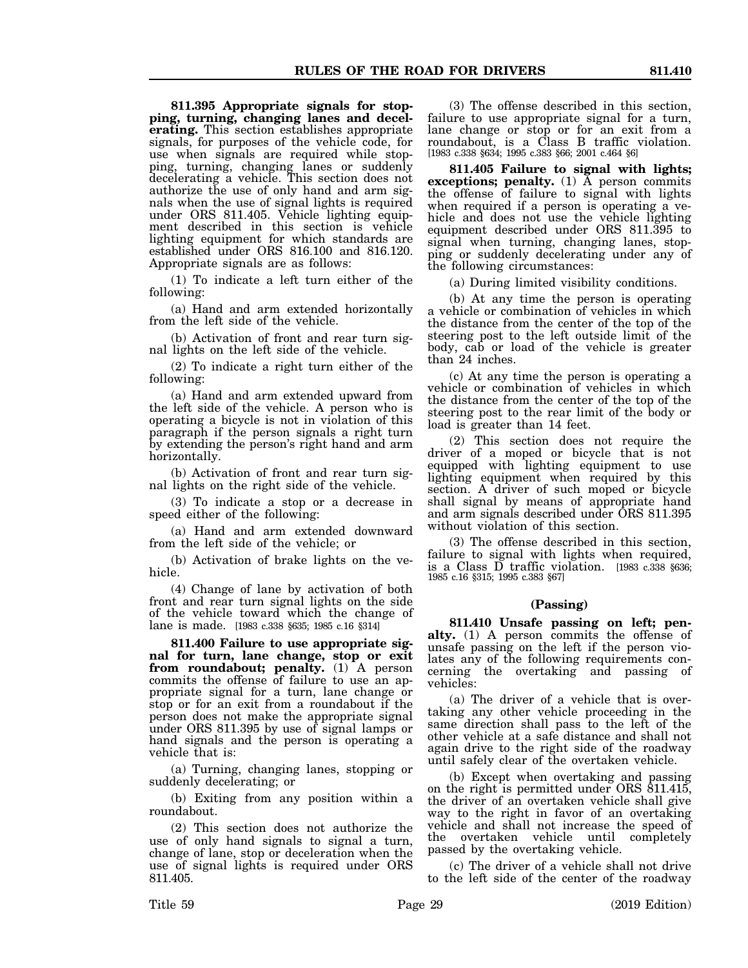**811.395 Appropriate signals for stopping, turning, changing lanes and decelerating.** This section establishes appropriate signals, for purposes of the vehicle code, for use when signals are required while stopping, turning, changing lanes or suddenly decelerating a vehicle. This section does not authorize the use of only hand and arm signals when the use of signal lights is required under ORS 811.405. Vehicle lighting equipment described in this section is vehicle lighting equipment for which standards are established under ORS 816.100 and 816.120. Appropriate signals are as follows:

(1) To indicate a left turn either of the following:

(a) Hand and arm extended horizontally from the left side of the vehicle.

(b) Activation of front and rear turn signal lights on the left side of the vehicle.

(2) To indicate a right turn either of the following:

(a) Hand and arm extended upward from the left side of the vehicle. A person who is operating a bicycle is not in violation of this paragraph if the person signals a right turn by extending the person's right hand and arm horizontally.

(b) Activation of front and rear turn signal lights on the right side of the vehicle.

(3) To indicate a stop or a decrease in speed either of the following:

(a) Hand and arm extended downward from the left side of the vehicle; or

(b) Activation of brake lights on the vehicle.

(4) Change of lane by activation of both front and rear turn signal lights on the side of the vehicle toward which the change of lane is made. [1983 c.338 §635; 1985 c.16 §314]

**811.400 Failure to use appropriate signal for turn, lane change, stop or exit from roundabout; penalty.** (1) A person commits the offense of failure to use an appropriate signal for a turn, lane change or stop or for an exit from a roundabout if the person does not make the appropriate signal under ORS 811.395 by use of signal lamps or hand signals and the person is operating a vehicle that is:

(a) Turning, changing lanes, stopping or suddenly decelerating; or

(b) Exiting from any position within a roundabout.

(2) This section does not authorize the use of only hand signals to signal a turn, change of lane, stop or deceleration when the use of signal lights is required under ORS 811.405.

(3) The offense described in this section, failure to use appropriate signal for a turn, lane change or stop or for an exit from a roundabout, is a Class B traffic violation. [1983 c.338 §634; 1995 c.383 §66; 2001 c.464 §6]

**811.405 Failure to signal with lights; exceptions; penalty.** (1)  $\overline{A}$  person commits the offense of failure to signal with lights when required if a person is operating a vehicle and does not use the vehicle lighting equipment described under ORS 811.395 to signal when turning, changing lanes, stopping or suddenly decelerating under any of the following circumstances:

(a) During limited visibility conditions.

(b) At any time the person is operating a vehicle or combination of vehicles in which the distance from the center of the top of the steering post to the left outside limit of the body, cab or load of the vehicle is greater than 24 inches.

(c) At any time the person is operating a vehicle or combination of vehicles in which the distance from the center of the top of the steering post to the rear limit of the body or load is greater than 14 feet.

(2) This section does not require the driver of a moped or bicycle that is not equipped with lighting equipment to use lighting equipment when required by this section. A driver of such moped or bicycle shall signal by means of appropriate hand and arm signals described under ORS 811.395 without violation of this section.

(3) The offense described in this section, failure to signal with lights when required, is a Class D traffic violation. [1983 c.338 §636; 1985 c.16 §315; 1995 c.383 §67]

#### **(Passing)**

**811.410 Unsafe passing on left; penalty.** (1) A person commits the offense of unsafe passing on the left if the person violates any of the following requirements concerning the overtaking and passing of vehicles:

(a) The driver of a vehicle that is overtaking any other vehicle proceeding in the same direction shall pass to the left of the other vehicle at a safe distance and shall not again drive to the right side of the roadway until safely clear of the overtaken vehicle.

(b) Except when overtaking and passing on the right is permitted under ORS 811.415, the driver of an overtaken vehicle shall give way to the right in favor of an overtaking vehicle and shall not increase the speed of the overtaken vehicle until completely passed by the overtaking vehicle.

(c) The driver of a vehicle shall not drive to the left side of the center of the roadway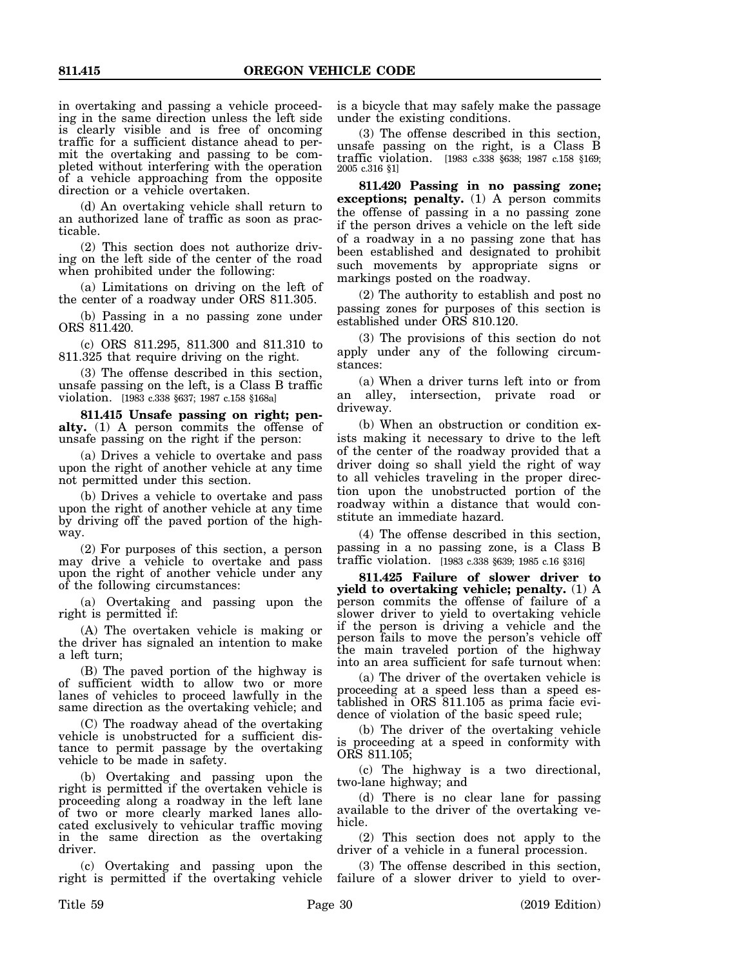in overtaking and passing a vehicle proceeding in the same direction unless the left side is clearly visible and is free of oncoming traffic for a sufficient distance ahead to permit the overtaking and passing to be completed without interfering with the operation of a vehicle approaching from the opposite direction or a vehicle overtaken.

(d) An overtaking vehicle shall return to an authorized lane of traffic as soon as practicable.

(2) This section does not authorize driving on the left side of the center of the road when prohibited under the following:

(a) Limitations on driving on the left of the center of a roadway under ORS 811.305.

(b) Passing in a no passing zone under ORS 811.420.

(c) ORS 811.295, 811.300 and 811.310 to 811.325 that require driving on the right.

(3) The offense described in this section, unsafe passing on the left, is a Class B traffic violation. [1983 c.338 §637; 1987 c.158 §168a]

**811.415 Unsafe passing on right; penalty.** (1) A person commits the offense of unsafe passing on the right if the person:

(a) Drives a vehicle to overtake and pass upon the right of another vehicle at any time not permitted under this section.

(b) Drives a vehicle to overtake and pass upon the right of another vehicle at any time by driving off the paved portion of the highway.

(2) For purposes of this section, a person may drive a vehicle to overtake and pass upon the right of another vehicle under any of the following circumstances:

(a) Overtaking and passing upon the right is permitted if:

(A) The overtaken vehicle is making or the driver has signaled an intention to make a left turn;

(B) The paved portion of the highway is of sufficient width to allow two or more lanes of vehicles to proceed lawfully in the same direction as the overtaking vehicle; and

(C) The roadway ahead of the overtaking vehicle is unobstructed for a sufficient distance to permit passage by the overtaking vehicle to be made in safety.

(b) Overtaking and passing upon the right is permitted if the overtaken vehicle is proceeding along a roadway in the left lane of two or more clearly marked lanes allocated exclusively to vehicular traffic moving in the same direction as the overtaking driver.

(c) Overtaking and passing upon the right is permitted if the overtaking vehicle

is a bicycle that may safely make the passage under the existing conditions.

(3) The offense described in this section, unsafe passing on the right, is a Class B traffic violation. [1983 c.338 §638; 1987 c.158 §169; 2005 c.316 §1]

**811.420 Passing in no passing zone; exceptions; penalty.** (1) A person commits the offense of passing in a no passing zone if the person drives a vehicle on the left side of a roadway in a no passing zone that has been established and designated to prohibit such movements by appropriate signs or markings posted on the roadway.

(2) The authority to establish and post no passing zones for purposes of this section is established under ORS 810.120.

(3) The provisions of this section do not apply under any of the following circumstances:

(a) When a driver turns left into or from an alley, intersection, private road or driveway.

(b) When an obstruction or condition exists making it necessary to drive to the left of the center of the roadway provided that a driver doing so shall yield the right of way to all vehicles traveling in the proper direction upon the unobstructed portion of the roadway within a distance that would constitute an immediate hazard.

(4) The offense described in this section, passing in a no passing zone, is a Class B traffic violation. [1983 c.338 §639; 1985 c.16 §316]

**811.425 Failure of slower driver to yield to overtaking vehicle; penalty.** (1) A person commits the offense of failure of a slower driver to yield to overtaking vehicle if the person is driving a vehicle and the person fails to move the person's vehicle off the main traveled portion of the highway into an area sufficient for safe turnout when:

(a) The driver of the overtaken vehicle is proceeding at a speed less than a speed established in ORS 811.105 as prima facie evidence of violation of the basic speed rule;

(b) The driver of the overtaking vehicle is proceeding at a speed in conformity with ORS 811.105;

(c) The highway is a two directional, two-lane highway; and

(d) There is no clear lane for passing available to the driver of the overtaking vehicle.

(2) This section does not apply to the driver of a vehicle in a funeral procession.

(3) The offense described in this section, failure of a slower driver to yield to over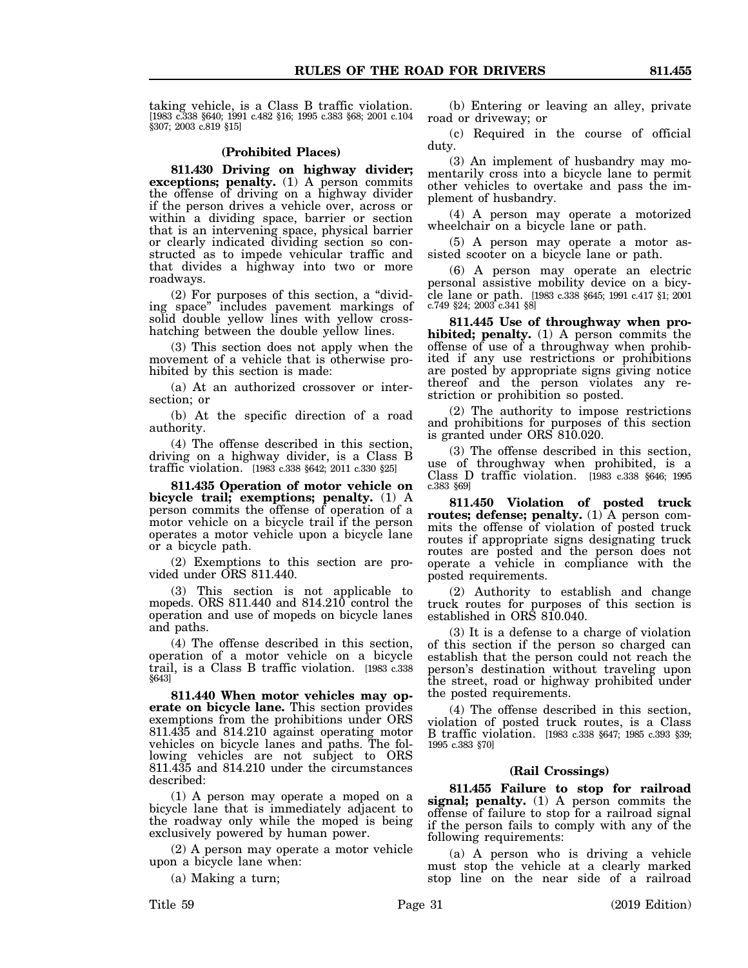taking vehicle, is a Class B traffic violation. [1983 c.338 §640; 1991 c.482 §16; 1995 c.383 §68; 2001 c.104 §307; 2003 c.819 §15]

#### **(Prohibited Places)**

**811.430 Driving on highway divider; exceptions; penalty.** (1) A person commits the offense of driving on a highway divider if the person drives a vehicle over, across or within a dividing space, barrier or section that is an intervening space, physical barrier or clearly indicated dividing section so constructed as to impede vehicular traffic and that divides a highway into two or more roadways.

(2) For purposes of this section, a "dividing space" includes pavement markings of solid double yellow lines with yellow crosshatching between the double yellow lines.

(3) This section does not apply when the movement of a vehicle that is otherwise prohibited by this section is made:

(a) At an authorized crossover or intersection; or

(b) At the specific direction of a road authority.

(4) The offense described in this section, driving on a highway divider, is a Class B traffic violation. [1983 c.338 §642; 2011 c.330 §25]

**811.435 Operation of motor vehicle on bicycle trail; exemptions; penalty.** (1) A person commits the offense of operation of a motor vehicle on a bicycle trail if the person operates a motor vehicle upon a bicycle lane or a bicycle path.

(2) Exemptions to this section are provided under ORS 811.440.

(3) This section is not applicable to mopeds. ORS  $811.440$  and  $814.210$  control the operation and use of mopeds on bicycle lanes and paths.

(4) The offense described in this section, operation of a motor vehicle on a bicycle trail, is a Class B traffic violation. [1983 c.338 §643]

**811.440 When motor vehicles may operate on bicycle lane.** This section provides exemptions from the prohibitions under ORS 811.435 and 814.210 against operating motor vehicles on bicycle lanes and paths. The following vehicles are not subject to ORS 811.435 and 814.210 under the circumstances described:

(1) A person may operate a moped on a bicycle lane that is immediately adjacent to the roadway only while the moped is being exclusively powered by human power.

(2) A person may operate a motor vehicle upon a bicycle lane when:

(a) Making a turn;

(b) Entering or leaving an alley, private road or driveway; or

(c) Required in the course of official duty.

(3) An implement of husbandry may momentarily cross into a bicycle lane to permit other vehicles to overtake and pass the implement of husbandry.

(4) A person may operate a motorized wheelchair on a bicycle lane or path.

(5) A person may operate a motor assisted scooter on a bicycle lane or path.

(6) A person may operate an electric personal assistive mobility device on a bicycle lane or path. [1983 c.338 §645; 1991 c.417 §1; 2001 c.749 §24; 2003 c.341 §8]

**811.445 Use of throughway when prohibited; penalty.** (1) A person commits the offense of use of a throughway when prohibited if any use restrictions or prohibitions are posted by appropriate signs giving notice thereof and the person violates any restriction or prohibition so posted.

(2) The authority to impose restrictions and prohibitions for purposes of this section is granted under ORS 810.020.

(3) The offense described in this section, use of throughway when prohibited, is a Class D traffic violation. [1983 c.338 §646; 1995 c.383 §69]

**811.450 Violation of posted truck routes; defense; penalty.** (1) A person commits the offense of violation of posted truck routes if appropriate signs designating truck routes are posted and the person does not operate a vehicle in compliance with the posted requirements.

(2) Authority to establish and change truck routes for purposes of this section is established in ORS 810.040.

(3) It is a defense to a charge of violation of this section if the person so charged can establish that the person could not reach the person's destination without traveling upon the street, road or highway prohibited under the posted requirements.

(4) The offense described in this section, violation of posted truck routes, is a Class B traffic violation. [1983 c.338 §647; 1985 c.393 §39; 1995 c.383 §70]

#### **(Rail Crossings)**

**811.455 Failure to stop for railroad signal; penalty.** (1) A person commits the offense of failure to stop for a railroad signal if the person fails to comply with any of the following requirements:

(a) A person who is driving a vehicle must stop the vehicle at a clearly marked stop line on the near side of a railroad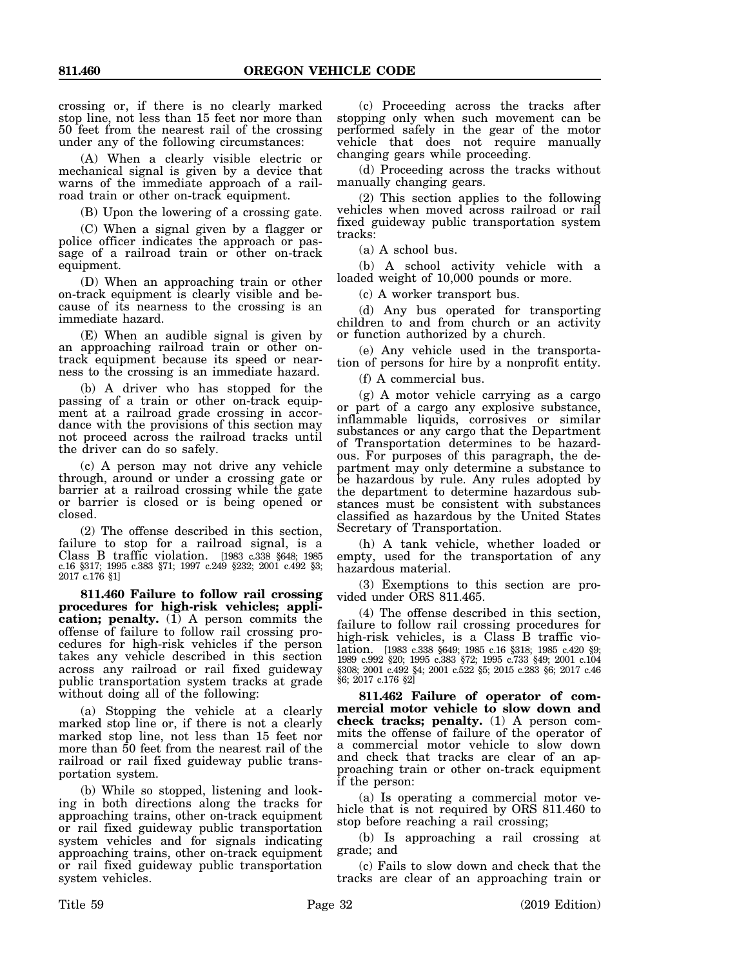crossing or, if there is no clearly marked stop line, not less than 15 feet nor more than 50 feet from the nearest rail of the crossing under any of the following circumstances:

(A) When a clearly visible electric or mechanical signal is given by a device that warns of the immediate approach of a railroad train or other on-track equipment.

(B) Upon the lowering of a crossing gate.

(C) When a signal given by a flagger or police officer indicates the approach or passage of a railroad train or other on-track equipment.

(D) When an approaching train or other on-track equipment is clearly visible and because of its nearness to the crossing is an immediate hazard.

(E) When an audible signal is given by an approaching railroad train or other ontrack equipment because its speed or nearness to the crossing is an immediate hazard.

(b) A driver who has stopped for the passing of a train or other on-track equipment at a railroad grade crossing in accordance with the provisions of this section may not proceed across the railroad tracks until the driver can do so safely.

(c) A person may not drive any vehicle through, around or under a crossing gate or barrier at a railroad crossing while the gate or barrier is closed or is being opened or closed.

(2) The offense described in this section, failure to stop for a railroad signal, is a Class B traffic violation. [1983 c.338 §648; 1985 c.16 §317; 1995 c.383 §71; 1997 c.249 §232; 2001 c.492 §3; 2017 c.176 §1]

**811.460 Failure to follow rail crossing procedures for high-risk vehicles; appli**cation; penalty. (1) A person commits the offense of failure to follow rail crossing procedures for high-risk vehicles if the person takes any vehicle described in this section across any railroad or rail fixed guideway public transportation system tracks at grade without doing all of the following:

(a) Stopping the vehicle at a clearly marked stop line or, if there is not a clearly marked stop line, not less than 15 feet nor more than 50 feet from the nearest rail of the railroad or rail fixed guideway public transportation system.

(b) While so stopped, listening and looking in both directions along the tracks for approaching trains, other on-track equipment or rail fixed guideway public transportation system vehicles and for signals indicating approaching trains, other on-track equipment or rail fixed guideway public transportation system vehicles.

(d) Proceeding across the tracks without manually changing gears.

(2) This section applies to the following vehicles when moved across railroad or rail fixed guideway public transportation system tracks:

(a) A school bus.

(b) A school activity vehicle with a loaded weight of 10,000 pounds or more.

(c) A worker transport bus.

(d) Any bus operated for transporting children to and from church or an activity or function authorized by a church.

(e) Any vehicle used in the transportation of persons for hire by a nonprofit entity.

(f) A commercial bus.

(g) A motor vehicle carrying as a cargo or part of a cargo any explosive substance, inflammable liquids, corrosives or similar substances or any cargo that the Department of Transportation determines to be hazardous. For purposes of this paragraph, the department may only determine a substance to be hazardous by rule. Any rules adopted by the department to determine hazardous substances must be consistent with substances classified as hazardous by the United States Secretary of Transportation.

(h) A tank vehicle, whether loaded or empty, used for the transportation of any hazardous material.

(3) Exemptions to this section are provided under ORS 811.465.

(4) The offense described in this section, failure to follow rail crossing procedures for high-risk vehicles, is a Class B traffic violation. [1983 c.338 §649; 1985 c.16 §318; 1985 c.420 §9; 1989 c.992 §20; 1995 c.383 §72; 1995 c.733 §49; 2001 c.104 §308; 2001 c.492 §4; 2001 c.522 §5; 2015 c.283 §6; 2017 c.46 §6; 2017 c.176 §2]

**811.462 Failure of operator of commercial motor vehicle to slow down and check tracks; penalty.** (1) A person commits the offense of failure of the operator of a commercial motor vehicle to slow down and check that tracks are clear of an approaching train or other on-track equipment if the person:

(a) Is operating a commercial motor vehicle that is not required by ORS 811.460 to stop before reaching a rail crossing;

(b) Is approaching a rail crossing at grade; and

(c) Fails to slow down and check that the tracks are clear of an approaching train or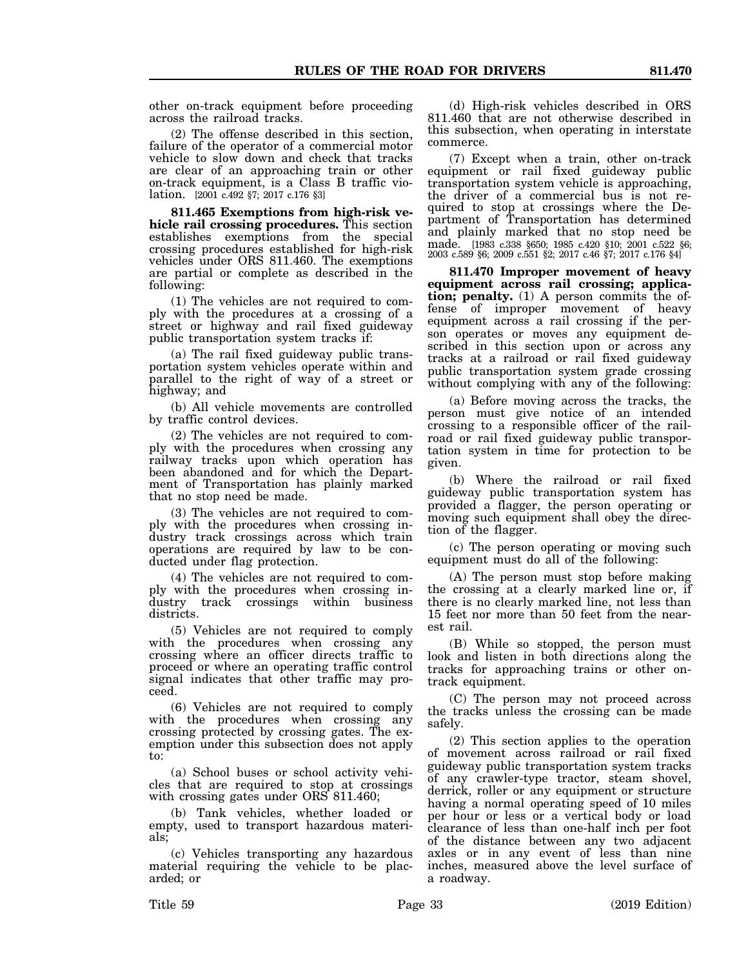other on-track equipment before proceeding across the railroad tracks.

(2) The offense described in this section, failure of the operator of a commercial motor vehicle to slow down and check that tracks are clear of an approaching train or other on-track equipment, is a Class B traffic violation. [2001 c.492 §7; 2017 c.176 §3]

**811.465 Exemptions from high-risk vehicle rail crossing procedures.** This section establishes exemptions from the special crossing procedures established for high-risk vehicles under ORS 811.460. The exemptions are partial or complete as described in the following:

(1) The vehicles are not required to comply with the procedures at a crossing of a street or highway and rail fixed guideway public transportation system tracks if:

(a) The rail fixed guideway public transportation system vehicles operate within and parallel to the right of way of a street or highway; and

(b) All vehicle movements are controlled by traffic control devices.

(2) The vehicles are not required to comply with the procedures when crossing any railway tracks upon which operation has been abandoned and for which the Department of Transportation has plainly marked that no stop need be made.

(3) The vehicles are not required to comply with the procedures when crossing industry track crossings across which train operations are required by law to be conducted under flag protection.

(4) The vehicles are not required to comply with the procedures when crossing industry track crossings within business districts.

(5) Vehicles are not required to comply with the procedures when crossing any crossing where an officer directs traffic to proceed or where an operating traffic control signal indicates that other traffic may proceed.

(6) Vehicles are not required to comply with the procedures when crossing any crossing protected by crossing gates. The exemption under this subsection does not apply to:

(a) School buses or school activity vehicles that are required to stop at crossings with crossing gates under ORS 811.460;

(b) Tank vehicles, whether loaded or empty, used to transport hazardous materials;

(c) Vehicles transporting any hazardous material requiring the vehicle to be placarded; or

(d) High-risk vehicles described in ORS 811.460 that are not otherwise described in this subsection, when operating in interstate commerce.

(7) Except when a train, other on-track equipment or rail fixed guideway public transportation system vehicle is approaching, the driver of a commercial bus is not required to stop at crossings where the Department of Transportation has determined and plainly marked that no stop need be made. [1983 c.338 §650; 1985 c.420 §10; 2001 c.522 §6; 2003 c.589 §6; 2009 c.551 §2; 2017 c.46 §7; 2017 c.176 §4]

**811.470 Improper movement of heavy equipment across rail crossing; application; penalty.** (1) A person commits the offense of improper movement of heavy equipment across a rail crossing if the person operates or moves any equipment described in this section upon or across any tracks at a railroad or rail fixed guideway public transportation system grade crossing without complying with any of the following:

(a) Before moving across the tracks, the person must give notice of an intended crossing to a responsible officer of the railroad or rail fixed guideway public transportation system in time for protection to be given.

(b) Where the railroad or rail fixed guideway public transportation system has provided a flagger, the person operating or moving such equipment shall obey the direction of the flagger.

(c) The person operating or moving such equipment must do all of the following:

(A) The person must stop before making the crossing at a clearly marked line or, if there is no clearly marked line, not less than 15 feet nor more than 50 feet from the nearest rail.

(B) While so stopped, the person must look and listen in both directions along the tracks for approaching trains or other ontrack equipment.

(C) The person may not proceed across the tracks unless the crossing can be made safely.

(2) This section applies to the operation of movement across railroad or rail fixed guideway public transportation system tracks of any crawler-type tractor, steam shovel, derrick, roller or any equipment or structure having a normal operating speed of 10 miles per hour or less or a vertical body or load clearance of less than one-half inch per foot of the distance between any two adjacent axles or in any event of less than nine inches, measured above the level surface of a roadway.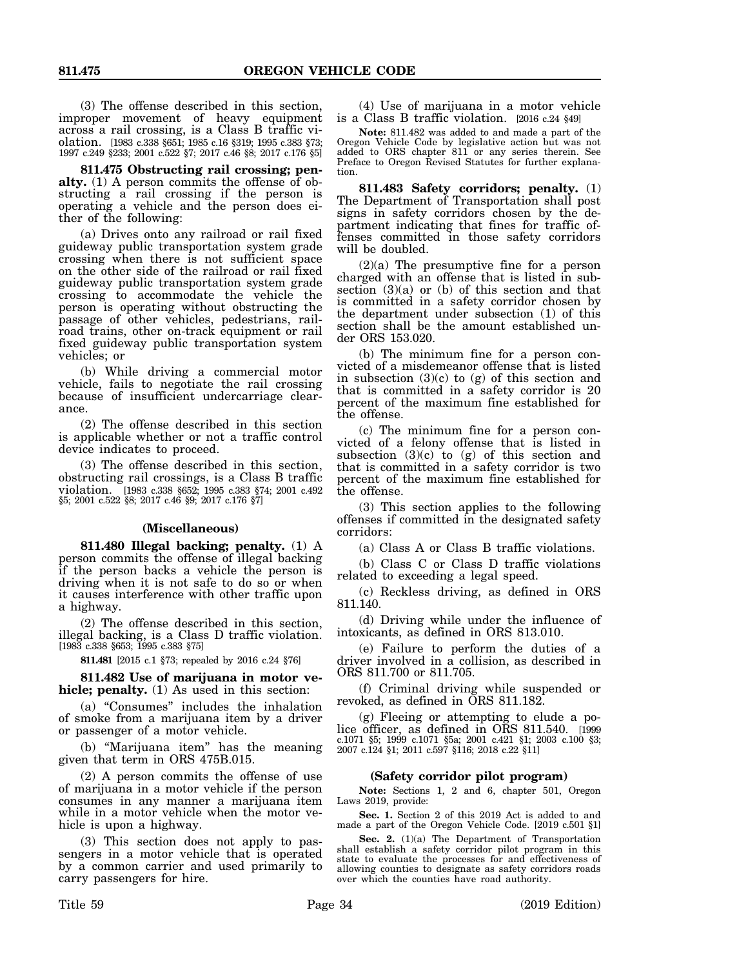(3) The offense described in this section, improper movement of heavy equipment across a rail crossing, is a Class B traffic violation. [1983 c.338 §651; 1985 c.16 §319; 1995 c.383 §73; 1997 c.249 §233; 2001 c.522 §7; 2017 c.46 §8; 2017 c.176 §5]

**811.475 Obstructing rail crossing; penalty.** (1) A person commits the offense of obstructing a rail crossing if the person is operating a vehicle and the person does either of the following:

(a) Drives onto any railroad or rail fixed guideway public transportation system grade crossing when there is not sufficient space on the other side of the railroad or rail fixed guideway public transportation system grade crossing to accommodate the vehicle the person is operating without obstructing the passage of other vehicles, pedestrians, railroad trains, other on-track equipment or rail fixed guideway public transportation system vehicles; or

(b) While driving a commercial motor vehicle, fails to negotiate the rail crossing because of insufficient undercarriage clearance.

(2) The offense described in this section is applicable whether or not a traffic control device indicates to proceed.

(3) The offense described in this section, obstructing rail crossings, is a Class B traffic violation. [1983 c.338 §652; 1995 c.383 §74; 2001 c.492 §5; 2001 c.522 §8; 2017 c.46 §9; 2017 c.176 §7]

#### **(Miscellaneous)**

**811.480 Illegal backing; penalty.** (1) A person commits the offense of illegal backing if the person backs a vehicle the person is driving when it is not safe to do so or when it causes interference with other traffic upon a highway.

(2) The offense described in this section, illegal backing, is a Class D traffic violation. [1983 c.338 §653; 1995 c.383 §75]

**811.481** [2015 c.1 §73; repealed by 2016 c.24 §76]

**811.482 Use of marijuana in motor vehicle; penalty.** (1) As used in this section:

(a) "Consumes" includes the inhalation of smoke from a marijuana item by a driver or passenger of a motor vehicle.

(b) "Marijuana item" has the meaning given that term in ORS 475B.015.

(2) A person commits the offense of use of marijuana in a motor vehicle if the person consumes in any manner a marijuana item while in a motor vehicle when the motor vehicle is upon a highway.

(3) This section does not apply to passengers in a motor vehicle that is operated by a common carrier and used primarily to carry passengers for hire.

(4) Use of marijuana in a motor vehicle is a Class B traffic violation. [2016 c.24 §49]

**Note:** 811.482 was added to and made a part of the Oregon Vehicle Code by legislative action but was not added to ORS chapter 811 or any series therein. See Preface to Oregon Revised Statutes for further explanation.

**811.483 Safety corridors; penalty.** (1) The Department of Transportation shall post signs in safety corridors chosen by the department indicating that fines for traffic offenses committed in those safety corridors will be doubled.

(2)(a) The presumptive fine for a person charged with an offense that is listed in subsection  $(3)(a)$  or  $(b)$  of this section and that is committed in a safety corridor chosen by the department under subsection (1) of this section shall be the amount established under ORS 153.020.

(b) The minimum fine for a person convicted of a misdemeanor offense that is listed in subsection  $(3)(c)$  to  $(g)$  of this section and that is committed in a safety corridor is 20 percent of the maximum fine established for the offense.

(c) The minimum fine for a person convicted of a felony offense that is listed in subsection (3)(c) to (g) of this section and that is committed in a safety corridor is two percent of the maximum fine established for the offense.

(3) This section applies to the following offenses if committed in the designated safety corridors:

(a) Class A or Class B traffic violations.

(b) Class C or Class D traffic violations related to exceeding a legal speed.

(c) Reckless driving, as defined in ORS 811.140.

(d) Driving while under the influence of intoxicants, as defined in ORS 813.010.

(e) Failure to perform the duties of a driver involved in a collision, as described in ORS 811.700 or 811.705.

(f) Criminal driving while suspended or revoked, as defined in ORS 811.182.

(g) Fleeing or attempting to elude a police officer, as defined in ORS 811.540. [1999 c.1071 §5; 1999 c.1071 §5a; 2001 c.421 §1; 2003 c.100 §3; 2007 c.124 §1; 2011 c.597 §116; 2018 c.22 §11]

#### **(Safety corridor pilot program)**

**Note:** Sections 1, 2 and 6, chapter 501, Oregon Laws 2019, provide:

**Sec. 1.** Section 2 of this 2019 Act is added to and made a part of the Oregon Vehicle Code. [2019 c.501 §1]

Sec. 2. (1)(a) The Department of Transportation shall establish a safety corridor pilot program in this state to evaluate the processes for and effectiveness of allowing counties to designate as safety corridors roads over which the counties have road authority.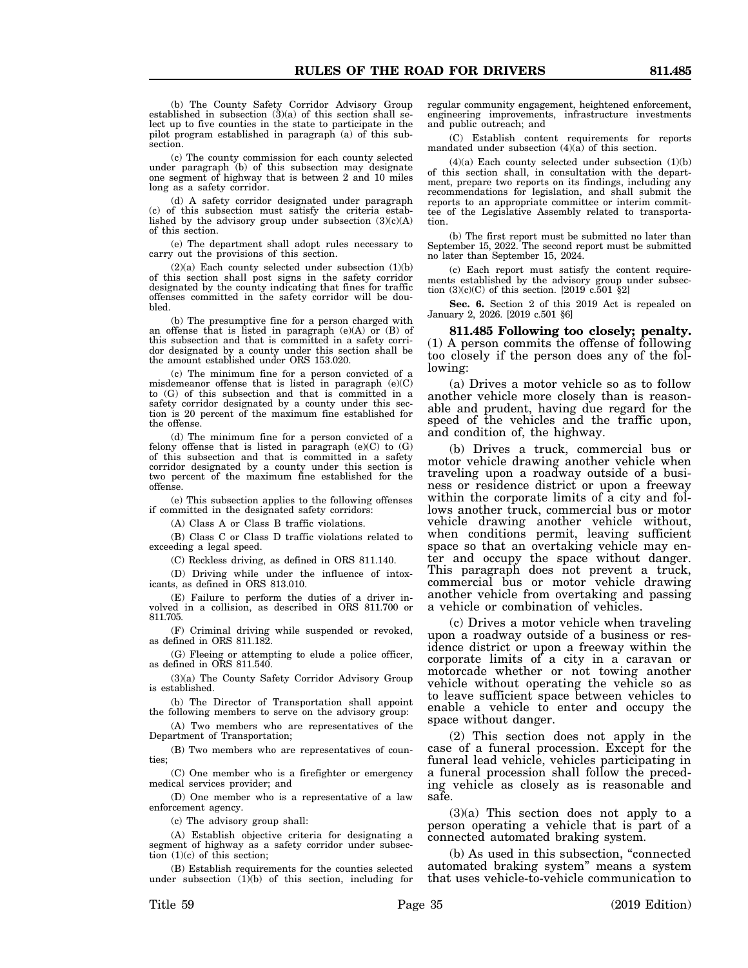(b) The County Safety Corridor Advisory Group established in subsection (3)(a) of this section shall select up to five counties in the state to participate in the pilot program established in paragraph (a) of this subsection.

(c) The county commission for each county selected under paragraph (b) of this subsection may designate one segment of highway that is between 2 and 10 miles long as a safety corridor.

(d) A safety corridor designated under paragraph (c) of this subsection must satisfy the criteria established by the advisory group under subsection  $(3)(c)(A)$ of this section.

(e) The department shall adopt rules necessary to carry out the provisions of this section.

 $(2)(a)$  Each county selected under subsection  $(1)(b)$ of this section shall post signs in the safety corridor designated by the county indicating that fines for traffic offenses committed in the safety corridor will be doubled.

(b) The presumptive fine for a person charged with an offense that is listed in paragraph  $(e)(A)$  or  $(B)$  of this subsection and that is committed in a safety corridor designated by a county under this section shall be the amount established under ORS 153.020.

(c) The minimum fine for a person convicted of a misdemeanor offense that is listed in paragraph (e)(C) to (G) of this subsection and that is committed in a safety corridor designated by a county under this section is 20 percent of the maximum fine established for the offense.

(d) The minimum fine for a person convicted of a felony offense that is listed in paragraph  $(e)(C)$  to  $(G)$ of this subsection and that is committed in a safety corridor designated by a county under this section is two percent of the maximum fine established for the offense.

(e) This subsection applies to the following offenses if committed in the designated safety corridors:

(A) Class A or Class B traffic violations.

(B) Class C or Class D traffic violations related to exceeding a legal speed.

(C) Reckless driving, as defined in ORS 811.140.

(D) Driving while under the influence of intoxicants, as defined in ORS 813.010.

(E) Failure to perform the duties of a driver involved in a collision, as described in ORS 811.700 or 811.705.

(F) Criminal driving while suspended or revoked, as defined in ORS 811.182.

(G) Fleeing or attempting to elude a police officer, as defined in ORS 811.540.

(3)(a) The County Safety Corridor Advisory Group is established.

(b) The Director of Transportation shall appoint the following members to serve on the advisory group:

(A) Two members who are representatives of the Department of Transportation;

(B) Two members who are representatives of counties;

(C) One member who is a firefighter or emergency medical services provider; and

(D) One member who is a representative of a law enforcement agency.

(c) The advisory group shall:

(A) Establish objective criteria for designating a segment of highway as a safety corridor under subsection (1)(c) of this section;

(B) Establish requirements for the counties selected under subsection  $(1)(b)$  of this section, including for

regular community engagement, heightened enforcement, engineering improvements, infrastructure investments and public outreach; and

(C) Establish content requirements for reports mandated under subsection  $(4)(a)$  of this section.

(4)(a) Each county selected under subsection (1)(b) of this section shall, in consultation with the department, prepare two reports on its findings, including any recommendations for legislation, and shall submit the reports to an appropriate committee or interim committee of the Legislative Assembly related to transportation.

(b) The first report must be submitted no later than September 15, 2022. The second report must be submitted no later than September 15, 2024.

(c) Each report must satisfy the content requirements established by the advisory group under subsection  $(3)(c)(C)$  of this section. [2019  $c.\overline{5}01$   $\S 2]$ ]

**Sec. 6.** Section 2 of this 2019 Act is repealed on January 2, 2026. [2019 c.501 §6]

**811.485 Following too closely; penalty.** (1) A person commits the offense of following too closely if the person does any of the following:

(a) Drives a motor vehicle so as to follow another vehicle more closely than is reasonable and prudent, having due regard for the speed of the vehicles and the traffic upon, and condition of, the highway.

(b) Drives a truck, commercial bus or motor vehicle drawing another vehicle when traveling upon a roadway outside of a business or residence district or upon a freeway within the corporate limits of a city and follows another truck, commercial bus or motor vehicle drawing another vehicle without, when conditions permit, leaving sufficient space so that an overtaking vehicle may enter and occupy the space without danger. This paragraph does not prevent a truck, commercial bus or motor vehicle drawing another vehicle from overtaking and passing a vehicle or combination of vehicles.

(c) Drives a motor vehicle when traveling upon a roadway outside of a business or residence district or upon a freeway within the corporate limits of a city in a caravan or motorcade whether or not towing another vehicle without operating the vehicle so as to leave sufficient space between vehicles to enable a vehicle to enter and occupy the space without danger.

(2) This section does not apply in the case of a funeral procession. Except for the funeral lead vehicle, vehicles participating in a funeral procession shall follow the preceding vehicle as closely as is reasonable and safe.

(3)(a) This section does not apply to a person operating a vehicle that is part of a connected automated braking system.

(b) As used in this subsection, "connected automated braking system" means a system that uses vehicle-to-vehicle communication to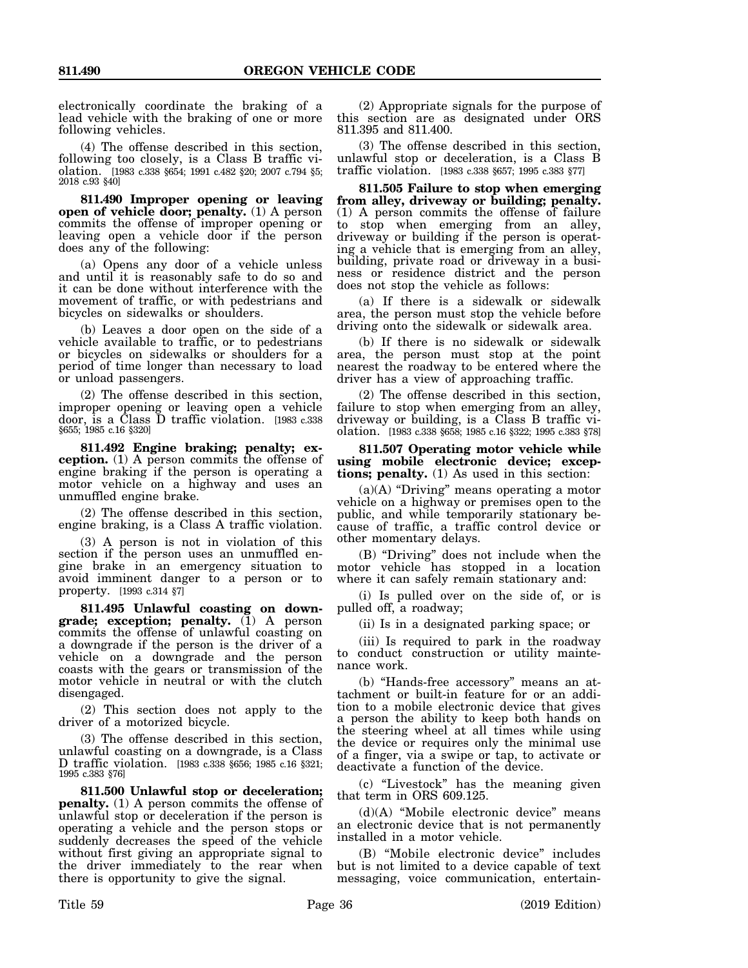electronically coordinate the braking of a lead vehicle with the braking of one or more following vehicles.

(4) The offense described in this section, following too closely, is a Class B traffic violation. [1983 c.338 §654; 1991 c.482 §20; 2007 c.794 §5; 2018 c.93 §40]

**811.490 Improper opening or leaving open of vehicle door; penalty.** (1) A person commits the offense of improper opening or leaving open a vehicle door if the person does any of the following:

(a) Opens any door of a vehicle unless and until it is reasonably safe to do so and it can be done without interference with the movement of traffic, or with pedestrians and bicycles on sidewalks or shoulders.

(b) Leaves a door open on the side of a vehicle available to traffic, or to pedestrians or bicycles on sidewalks or shoulders for a period of time longer than necessary to load or unload passengers.

(2) The offense described in this section, improper opening or leaving open a vehicle door, is a Class D traffic violation. [1983 c.338 §655; 1985 c.16 §320]

**811.492 Engine braking; penalty; exception.** (1) A person commits the offense of engine braking if the person is operating a motor vehicle on a highway and uses an unmuffled engine brake.

(2) The offense described in this section, engine braking, is a Class A traffic violation.

(3) A person is not in violation of this section if the person uses an unmuffled engine brake in an emergency situation to avoid imminent danger to a person or to property. [1993 c.314 §7]

**811.495 Unlawful coasting on downgrade; exception; penalty.** (1) A person commits the offense of unlawful coasting on a downgrade if the person is the driver of a vehicle on a downgrade and the person coasts with the gears or transmission of the motor vehicle in neutral or with the clutch disengaged.

(2) This section does not apply to the driver of a motorized bicycle.

(3) The offense described in this section, unlawful coasting on a downgrade, is a Class D traffic violation. [1983 c.338 §656; 1985 c.16 §321; 1995 c.383 §76]

**811.500 Unlawful stop or deceleration; penalty.** (1) A person commits the offense of unlawful stop or deceleration if the person is operating a vehicle and the person stops or suddenly decreases the speed of the vehicle without first giving an appropriate signal to the driver immediately to the rear when there is opportunity to give the signal.

(2) Appropriate signals for the purpose of this section are as designated under ORS 811.395 and 811.400.

(3) The offense described in this section, unlawful stop or deceleration, is a Class B traffic violation. [1983 c.338 §657; 1995 c.383 §77]

**811.505 Failure to stop when emerging from alley, driveway or building; penalty.** (1) A person commits the offense of failure to stop when emerging from an alley, driveway or building if the person is operating a vehicle that is emerging from an alley, building, private road or driveway in a business or residence district and the person does not stop the vehicle as follows:

(a) If there is a sidewalk or sidewalk area, the person must stop the vehicle before driving onto the sidewalk or sidewalk area.

(b) If there is no sidewalk or sidewalk area, the person must stop at the point nearest the roadway to be entered where the driver has a view of approaching traffic.

(2) The offense described in this section, failure to stop when emerging from an alley, driveway or building, is a Class B traffic violation. [1983 c.338 §658; 1985 c.16 §322; 1995 c.383 §78]

**811.507 Operating motor vehicle while using mobile electronic device; exceptions; penalty.** (1) As used in this section:

(a)(A) "Driving" means operating a motor vehicle on a highway or premises open to the public, and while temporarily stationary because of traffic, a traffic control device or other momentary delays.

(B) "Driving" does not include when the motor vehicle has stopped in a location where it can safely remain stationary and:

(i) Is pulled over on the side of, or is pulled off, a roadway;

(ii) Is in a designated parking space; or

(iii) Is required to park in the roadway to conduct construction or utility maintenance work.

(b) "Hands-free accessory" means an attachment or built-in feature for or an addition to a mobile electronic device that gives a person the ability to keep both hands on the steering wheel at all times while using the device or requires only the minimal use of a finger, via a swipe or tap, to activate or deactivate a function of the device.

(c) "Livestock" has the meaning given that term in ORS 609.125.

(d)(A) "Mobile electronic device" means an electronic device that is not permanently installed in a motor vehicle.

(B) "Mobile electronic device" includes but is not limited to a device capable of text messaging, voice communication, entertain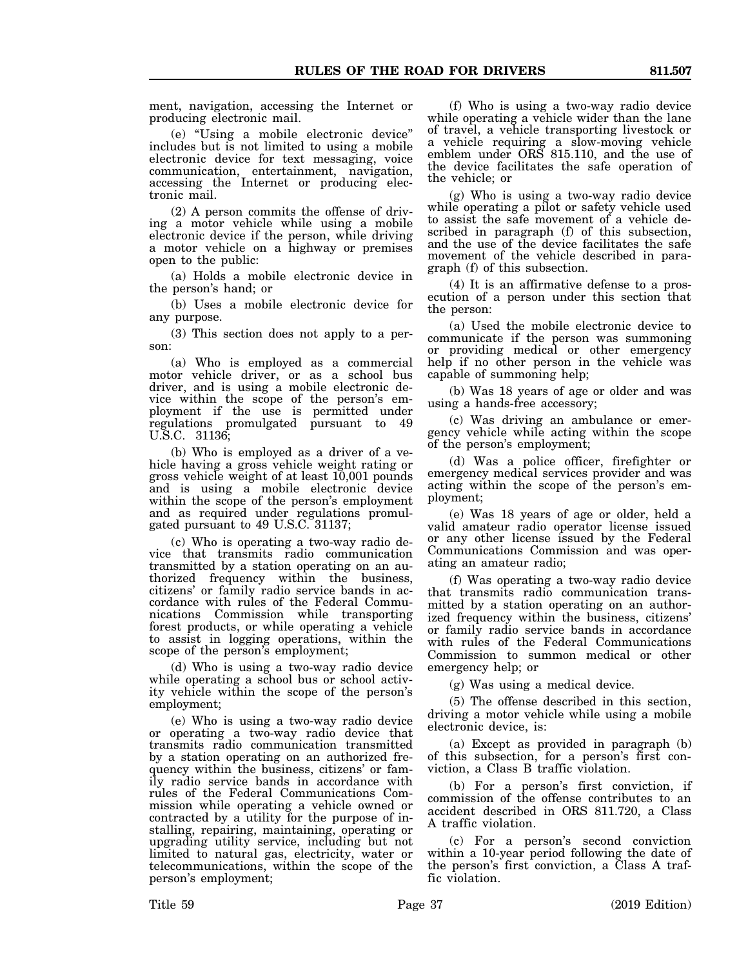ment, navigation, accessing the Internet or producing electronic mail.

(e) "Using a mobile electronic device" includes but is not limited to using a mobile electronic device for text messaging, voice communication, entertainment, navigation, accessing the Internet or producing electronic mail.

(2) A person commits the offense of driving a motor vehicle while using a mobile electronic device if the person, while driving a motor vehicle on a highway or premises open to the public:

(a) Holds a mobile electronic device in the person's hand; or

(b) Uses a mobile electronic device for any purpose.

(3) This section does not apply to a person:

(a) Who is employed as a commercial motor vehicle driver, or as a school bus driver, and is using a mobile electronic device within the scope of the person's employment if the use is permitted under regulations promulgated pursuant to 49 U.S.C. 31136;

(b) Who is employed as a driver of a vehicle having a gross vehicle weight rating or gross vehicle weight of at least 10,001 pounds and is using a mobile electronic device within the scope of the person's employment and as required under regulations promulgated pursuant to 49 U.S.C. 31137;

(c) Who is operating a two-way radio device that transmits radio communication transmitted by a station operating on an authorized frequency within the business, citizens' or family radio service bands in accordance with rules of the Federal Communications Commission while transporting forest products, or while operating a vehicle to assist in logging operations, within the scope of the person's employment;

(d) Who is using a two-way radio device while operating a school bus or school activity vehicle within the scope of the person's employment;

(e) Who is using a two-way radio device or operating a two-way radio device that transmits radio communication transmitted by a station operating on an authorized frequency within the business, citizens' or family radio service bands in accordance with rules of the Federal Communications Commission while operating a vehicle owned or contracted by a utility for the purpose of installing, repairing, maintaining, operating or upgrading utility service, including but not limited to natural gas, electricity, water or telecommunications, within the scope of the person's employment;

(f) Who is using a two-way radio device while operating a vehicle wider than the lane of travel, a vehicle transporting livestock or a vehicle requiring a slow-moving vehicle emblem under ORS 815.110, and the use of the device facilitates the safe operation of the vehicle; or

(g) Who is using a two-way radio device while operating a pilot or safety vehicle used to assist the safe movement of a vehicle described in paragraph (f) of this subsection, and the use of the device facilitates the safe movement of the vehicle described in paragraph (f) of this subsection.

(4) It is an affirmative defense to a prosecution of a person under this section that the person:

(a) Used the mobile electronic device to communicate if the person was summoning or providing medical or other emergency help if no other person in the vehicle was capable of summoning help;

(b) Was 18 years of age or older and was using a hands-free accessory;

(c) Was driving an ambulance or emergency vehicle while acting within the scope of the person's employment;

(d) Was a police officer, firefighter or emergency medical services provider and was acting within the scope of the person's employment;

(e) Was 18 years of age or older, held a valid amateur radio operator license issued or any other license issued by the Federal Communications Commission and was operating an amateur radio;

(f) Was operating a two-way radio device that transmits radio communication transmitted by a station operating on an authorized frequency within the business, citizens' or family radio service bands in accordance with rules of the Federal Communications Commission to summon medical or other emergency help; or

(g) Was using a medical device.

(5) The offense described in this section, driving a motor vehicle while using a mobile electronic device, is:

(a) Except as provided in paragraph (b) of this subsection, for a person's first conviction, a Class B traffic violation.

(b) For a person's first conviction, if commission of the offense contributes to an accident described in ORS 811.720, a Class A traffic violation.

(c) For a person's second conviction within a 10-year period following the date of the person's first conviction, a Class A traffic violation.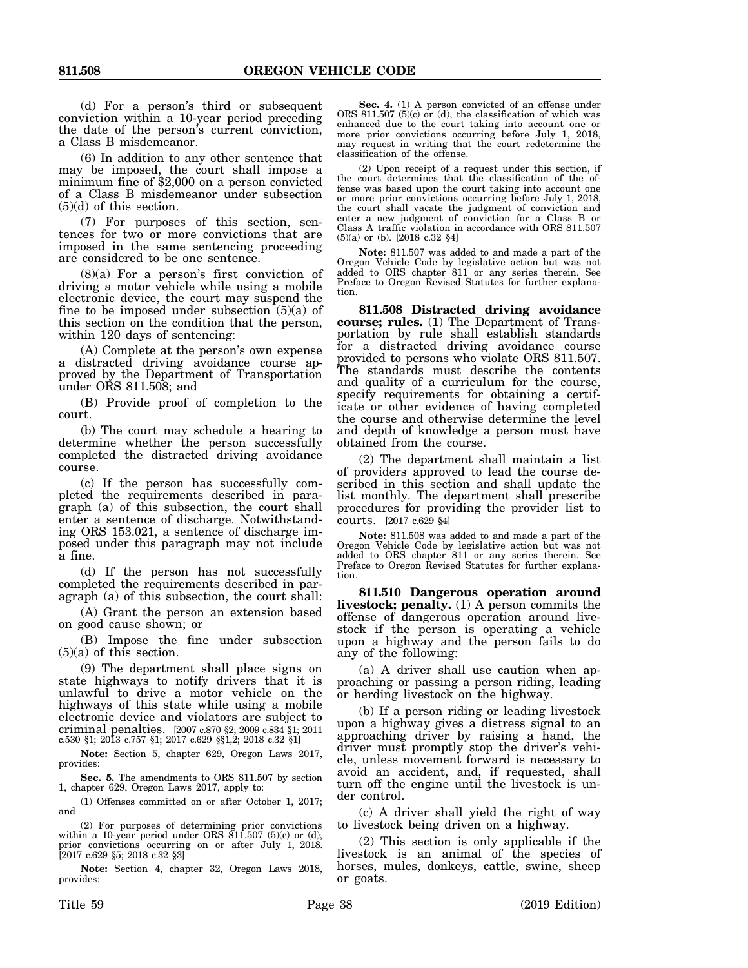(d) For a person's third or subsequent conviction within a 10-year period preceding the date of the person's current conviction, a Class B misdemeanor.

(6) In addition to any other sentence that may be imposed, the court shall impose a minimum fine of \$2,000 on a person convicted of a Class B misdemeanor under subsection (5)(d) of this section.

(7) For purposes of this section, sentences for two or more convictions that are imposed in the same sentencing proceeding are considered to be one sentence.

(8)(a) For a person's first conviction of driving a motor vehicle while using a mobile electronic device, the court may suspend the fine to be imposed under subsection  $(5)(a)$  of this section on the condition that the person, within 120 days of sentencing:

(A) Complete at the person's own expense a distracted driving avoidance course approved by the Department of Transportation under ORS 811.508; and

(B) Provide proof of completion to the court.

(b) The court may schedule a hearing to determine whether the person successfully completed the distracted driving avoidance course.

(c) If the person has successfully completed the requirements described in paragraph (a) of this subsection, the court shall enter a sentence of discharge. Notwithstanding ORS 153.021, a sentence of discharge imposed under this paragraph may not include a fine.

(d) If the person has not successfully completed the requirements described in paragraph (a) of this subsection, the court shall:

(A) Grant the person an extension based on good cause shown; or

(B) Impose the fine under subsection  $(5)(a)$  of this section.

(9) The department shall place signs on state highways to notify drivers that it is unlawful to drive a motor vehicle on the highways of this state while using a mobile electronic device and violators are subject to criminal penalties. [2007 c.870 §2; 2009 c.834 §1; 2011 c.530 §1; 2013 c.757 §1; 2017 c.629 §§1,2; 2018 c.32 §1]

**Note:** Section 5, chapter 629, Oregon Laws 2017, provides:

**Sec. 5.** The amendments to ORS 811.507 by section 1, chapter 629, Oregon Laws 2017, apply to:

(1) Offenses committed on or after October 1, 2017; and

(2) For purposes of determining prior convictions within a 10-year period under ORS 811.507 (5)(c) or (d), prior convictions occurring on or after July 1, 2018. [2017 c.629 §5; 2018 c.32 §3]

**Note:** Section 4, chapter 32, Oregon Laws 2018, provides:

**Sec. 4.** (1) A person convicted of an offense under ORS 811.507 (5)(c) or (d), the classification of which was enhanced due to the court taking into account one or more prior convictions occurring before July 1, 2018, may request in writing that the court redetermine the classification of the offense.

(2) Upon receipt of a request under this section, if the court determines that the classification of the offense was based upon the court taking into account one or more prior convictions occurring before July 1, 2018, the court shall vacate the judgment of conviction and enter a new judgment of conviction for a Class B or Class A traffic violation in accordance with ORS 811.507 (5)(a) or (b). [2018 c.32 §4]

**Note:** 811.507 was added to and made a part of the Oregon Vehicle Code by legislative action but was not added to ORS chapter 811 or any series therein. See Preface to Oregon Revised Statutes for further explanation.

**811.508 Distracted driving avoidance course; rules.** (1) The Department of Transportation by rule shall establish standards for a distracted driving avoidance course provided to persons who violate ORS 811.507. The standards must describe the contents and quality of a curriculum for the course, specify requirements for obtaining a certificate or other evidence of having completed the course and otherwise determine the level and depth of knowledge a person must have obtained from the course.

(2) The department shall maintain a list of providers approved to lead the course described in this section and shall update the list monthly. The department shall prescribe procedures for providing the provider list to courts. [2017 c.629 §4]

**Note:** 811.508 was added to and made a part of the Oregon Vehicle Code by legislative action but was not added to ORS chapter 811 or any series therein. See Preface to Oregon Revised Statutes for further explanation.

**811.510 Dangerous operation around livestock; penalty.** (1) A person commits the offense of dangerous operation around livestock if the person is operating a vehicle upon a highway and the person fails to do any of the following:

(a) A driver shall use caution when approaching or passing a person riding, leading or herding livestock on the highway.

(b) If a person riding or leading livestock upon a highway gives a distress signal to an approaching driver by raising a hand, the driver must promptly stop the driver's vehicle, unless movement forward is necessary to avoid an accident, and, if requested, shall turn off the engine until the livestock is under control.

(c) A driver shall yield the right of way to livestock being driven on a highway.

(2) This section is only applicable if the livestock is an animal of the species of horses, mules, donkeys, cattle, swine, sheep or goats.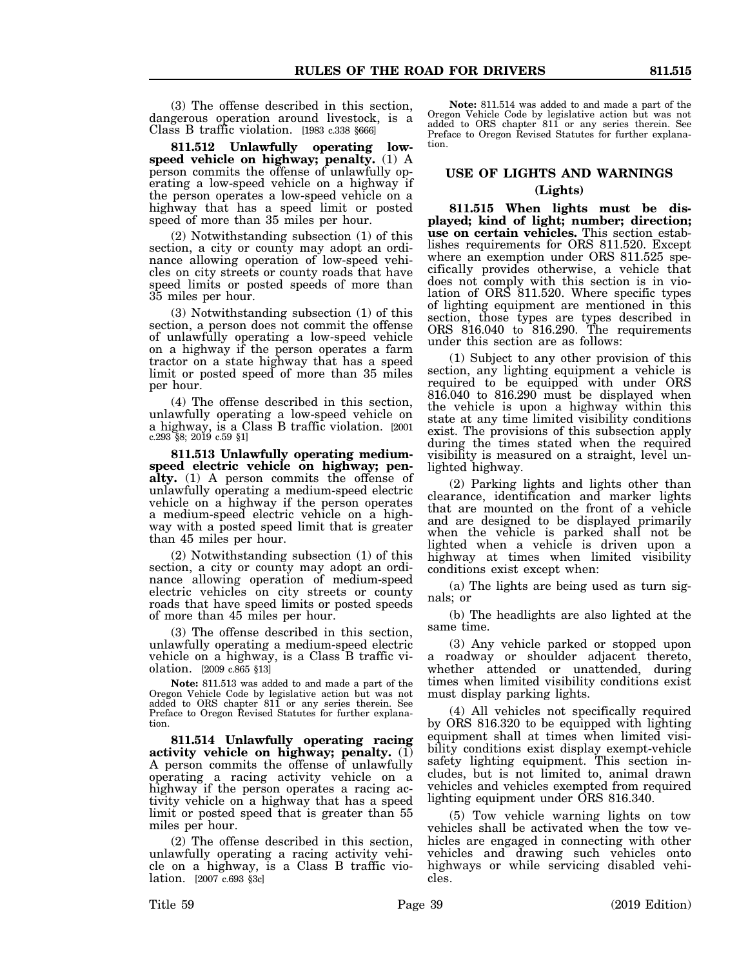(3) The offense described in this section, dangerous operation around livestock, is a Class B traffic violation. [1983 c.338 §666]

**811.512 Unlawfully operating lowspeed vehicle on highway; penalty.** (1) A person commits the offense of unlawfully operating a low-speed vehicle on a highway if the person operates a low-speed vehicle on a highway that has a speed limit or posted speed of more than 35 miles per hour.

(2) Notwithstanding subsection (1) of this section, a city or county may adopt an ordinance allowing operation of low-speed vehicles on city streets or county roads that have speed limits or posted speeds of more than 35 miles per hour.

(3) Notwithstanding subsection (1) of this section, a person does not commit the offense of unlawfully operating a low-speed vehicle on a highway if the person operates a farm tractor on a state highway that has a speed limit or posted speed of more than 35 miles per hour.

(4) The offense described in this section, unlawfully operating a low-speed vehicle on a highway, is a Class B traffic violation. [2001 c.293 §8; 2019 c.59 §1]

**811.513 Unlawfully operating mediumspeed electric vehicle on highway; penalty.** (1) A person commits the offense of unlawfully operating a medium-speed electric vehicle on a highway if the person operates a medium-speed electric vehicle on a highway with a posted speed limit that is greater than 45 miles per hour.

(2) Notwithstanding subsection (1) of this section, a city or county may adopt an ordinance allowing operation of medium-speed electric vehicles on city streets or county roads that have speed limits or posted speeds of more than 45 miles per hour.

(3) The offense described in this section, unlawfully operating a medium-speed electric vehicle on a highway, is a Class B traffic violation. [2009 c.865 §13]

**Note:** 811.513 was added to and made a part of the Oregon Vehicle Code by legislative action but was not added to ORS chapter 811 or any series therein. See Preface to Oregon Revised Statutes for further explanation.

**811.514 Unlawfully operating racing activity vehicle on highway; penalty.** (1) A person commits the offense of unlawfully operating a racing activity vehicle on a highway if the person operates a racing activity vehicle on a highway that has a speed limit or posted speed that is greater than 55 miles per hour.

(2) The offense described in this section, unlawfully operating a racing activity vehicle on a highway, is a Class B traffic violation. [2007 c.693 §3c]

**Note:** 811.514 was added to and made a part of the Oregon Vehicle Code by legislative action but was not added to ORS chapter 811 or any series therein. See Preface to Oregon Revised Statutes for further explanation.

## **USE OF LIGHTS AND WARNINGS (Lights)**

**811.515 When lights must be displayed; kind of light; number; direction; use on certain vehicles.** This section establishes requirements for ORS 811.520. Except where an exemption under ORS 811.525 specifically provides otherwise, a vehicle that does not comply with this section is in violation of ORS 811.520. Where specific types of lighting equipment are mentioned in this section, those types are types described in ORS 816.040 to 816.290. The requirements under this section are as follows:

(1) Subject to any other provision of this section, any lighting equipment a vehicle is required to be equipped with under ORS 816.040 to 816.290 must be displayed when the vehicle is upon a highway within this state at any time limited visibility conditions exist. The provisions of this subsection apply during the times stated when the required visibility is measured on a straight, level unlighted highway.

(2) Parking lights and lights other than clearance, identification and marker lights that are mounted on the front of a vehicle and are designed to be displayed primarily when the vehicle is parked shall not be lighted when a vehicle is driven upon a highway at times when limited visibility conditions exist except when:

(a) The lights are being used as turn signals; or

(b) The headlights are also lighted at the same time.

(3) Any vehicle parked or stopped upon a roadway or shoulder adjacent thereto, whether attended or unattended, during times when limited visibility conditions exist must display parking lights.

(4) All vehicles not specifically required by ORS 816.320 to be equipped with lighting equipment shall at times when limited visibility conditions exist display exempt-vehicle safety lighting equipment. This section includes, but is not limited to, animal drawn vehicles and vehicles exempted from required lighting equipment under ORS 816.340.

(5) Tow vehicle warning lights on tow vehicles shall be activated when the tow vehicles are engaged in connecting with other vehicles and drawing such vehicles onto highways or while servicing disabled vehicles.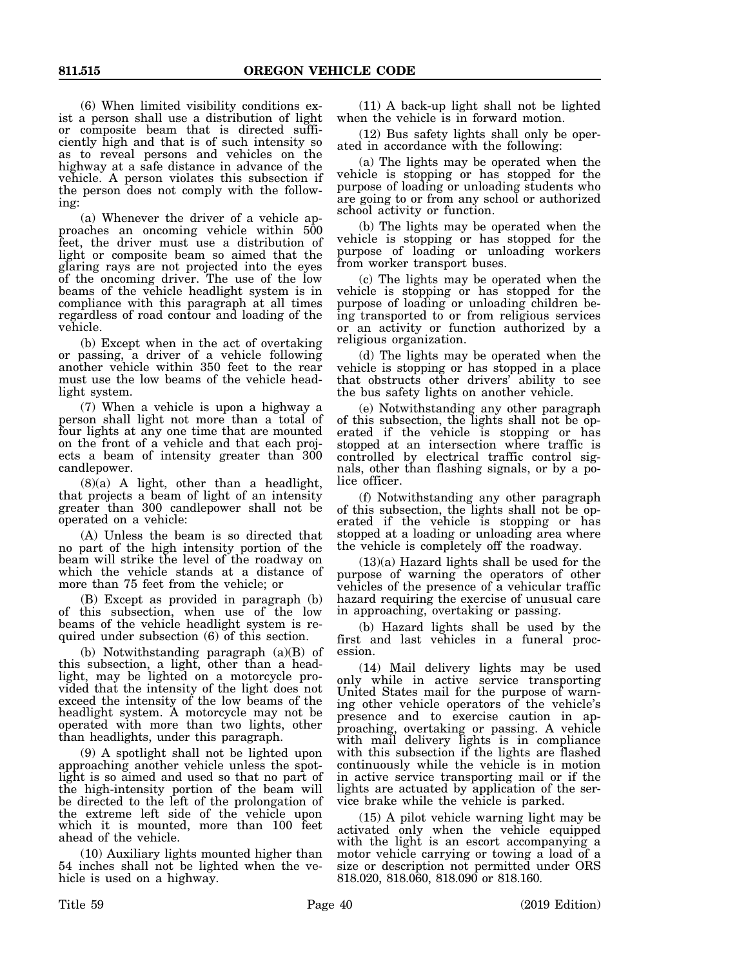(6) When limited visibility conditions exist a person shall use a distribution of light or composite beam that is directed sufficiently high and that is of such intensity so as to reveal persons and vehicles on the highway at a safe distance in advance of the vehicle. A person violates this subsection if the person does not comply with the following:

(a) Whenever the driver of a vehicle approaches an oncoming vehicle within 500 feet, the driver must use a distribution of light or composite beam so aimed that the glaring rays are not projected into the eyes of the oncoming driver. The use of the low beams of the vehicle headlight system is in compliance with this paragraph at all times regardless of road contour and loading of the vehicle.

(b) Except when in the act of overtaking or passing, a driver of a vehicle following another vehicle within 350 feet to the rear must use the low beams of the vehicle headlight system.

(7) When a vehicle is upon a highway a person shall light not more than a total of four lights at any one time that are mounted on the front of a vehicle and that each projects a beam of intensity greater than 300 candlepower.

 $(8)(a)$  A light, other than a headlight, that projects a beam of light of an intensity greater than 300 candlepower shall not be operated on a vehicle:

(A) Unless the beam is so directed that no part of the high intensity portion of the beam will strike the level of the roadway on which the vehicle stands at a distance of more than 75 feet from the vehicle; or

(B) Except as provided in paragraph (b) of this subsection, when use of the low beams of the vehicle headlight system is required under subsection (6) of this section.

(b) Notwithstanding paragraph (a)(B) of this subsection, a light, other than a headlight, may be lighted on a motorcycle provided that the intensity of the light does not exceed the intensity of the low beams of the headlight system. A motorcycle may not be operated with more than two lights, other than headlights, under this paragraph.

(9) A spotlight shall not be lighted upon approaching another vehicle unless the spotlight is so aimed and used so that no part of the high-intensity portion of the beam will be directed to the left of the prolongation of the extreme left side of the vehicle upon which it is mounted, more than 100 feet ahead of the vehicle.

(10) Auxiliary lights mounted higher than 54 inches shall not be lighted when the vehicle is used on a highway.

(11) A back-up light shall not be lighted when the vehicle is in forward motion.

(12) Bus safety lights shall only be operated in accordance with the following:

(a) The lights may be operated when the vehicle is stopping or has stopped for the purpose of loading or unloading students who are going to or from any school or authorized school activity or function.

(b) The lights may be operated when the vehicle is stopping or has stopped for the purpose of loading or unloading workers from worker transport buses.

(c) The lights may be operated when the vehicle is stopping or has stopped for the purpose of loading or unloading children being transported to or from religious services or an activity or function authorized by a religious organization.

(d) The lights may be operated when the vehicle is stopping or has stopped in a place that obstructs other drivers' ability to see the bus safety lights on another vehicle.

(e) Notwithstanding any other paragraph of this subsection, the lights shall not be operated if the vehicle is stopping or has stopped at an intersection where traffic is controlled by electrical traffic control signals, other than flashing signals, or by a police officer.

(f) Notwithstanding any other paragraph of this subsection, the lights shall not be operated if the vehicle is stopping or has stopped at a loading or unloading area where the vehicle is completely off the roadway.

(13)(a) Hazard lights shall be used for the purpose of warning the operators of other vehicles of the presence of a vehicular traffic hazard requiring the exercise of unusual care in approaching, overtaking or passing.

(b) Hazard lights shall be used by the first and last vehicles in a funeral procession.

(14) Mail delivery lights may be used only while in active service transporting United States mail for the purpose of warning other vehicle operators of the vehicle's presence and to exercise caution in approaching, overtaking or passing. A vehicle with mail delivery lights is in compliance with this subsection if the lights are flashed continuously while the vehicle is in motion in active service transporting mail or if the lights are actuated by application of the service brake while the vehicle is parked.

(15) A pilot vehicle warning light may be activated only when the vehicle equipped with the light is an escort accompanying a motor vehicle carrying or towing a load of a size or description not permitted under ORS 818.020, 818.060, 818.090 or 818.160.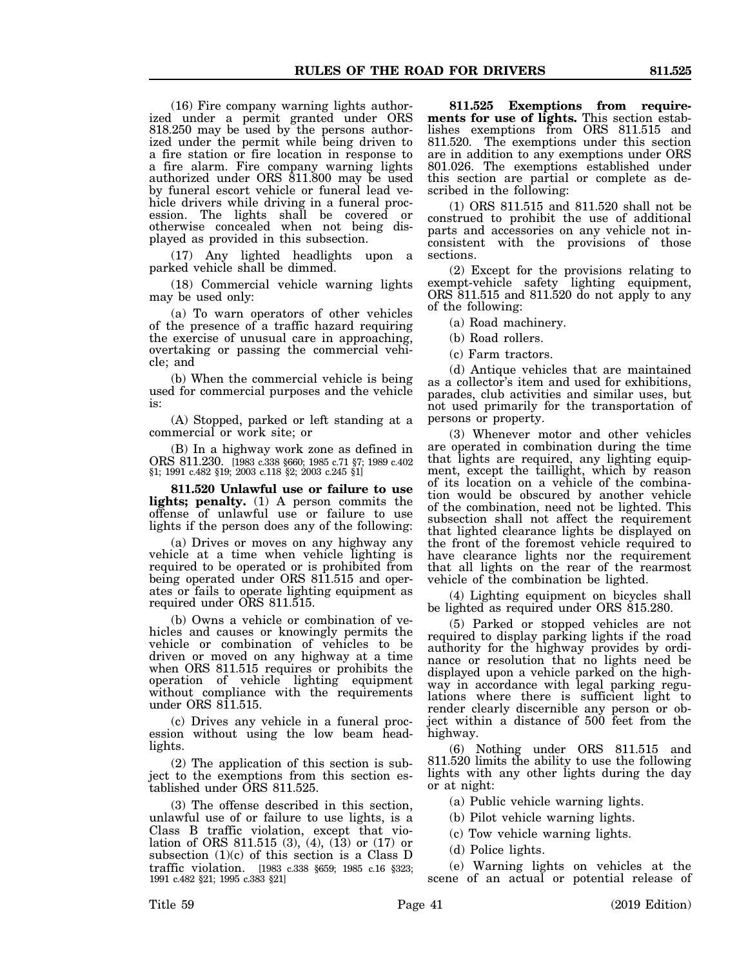(16) Fire company warning lights authorized under a permit granted under ORS 818.250 may be used by the persons authorized under the permit while being driven to a fire station or fire location in response to a fire alarm. Fire company warning lights authorized under ORS 811.800 may be used by funeral escort vehicle or funeral lead vehicle drivers while driving in a funeral procession. The lights shall be covered or otherwise concealed when not being displayed as provided in this subsection.

(17) Any lighted headlights upon a parked vehicle shall be dimmed.

(18) Commercial vehicle warning lights may be used only:

(a) To warn operators of other vehicles of the presence of a traffic hazard requiring the exercise of unusual care in approaching, overtaking or passing the commercial vehicle; and

(b) When the commercial vehicle is being used for commercial purposes and the vehicle is:

(A) Stopped, parked or left standing at a commercial or work site; or

(B) In a highway work zone as defined in ORS 811.230. [1983 c.338 §660; 1985 c.71 §7; 1989 c.402 §1; 1991 c.482 §19; 2003 c.118 §2; 2003 c.245 §1]

**811.520 Unlawful use or failure to use lights; penalty.** (1) A person commits the offense of unlawful use or failure to use lights if the person does any of the following:

(a) Drives or moves on any highway any vehicle at a time when vehicle lighting is required to be operated or is prohibited from being operated under ORS 811.515 and operates or fails to operate lighting equipment as required under ORS 811.515.

(b) Owns a vehicle or combination of vehicles and causes or knowingly permits the vehicle or combination of vehicles to be driven or moved on any highway at a time when ORS 811.515 requires or prohibits the operation of vehicle lighting equipment without compliance with the requirements under ORS 811.515.

(c) Drives any vehicle in a funeral procession without using the low beam headlights.

(2) The application of this section is subject to the exemptions from this section established under ORS 811.525.

(3) The offense described in this section, unlawful use of or failure to use lights, is a Class B traffic violation, except that violation of ORS 811.515 (3), (4), (13) or (17) or subsection  $(1)(c)$  of this section is a Class D traffic violation. [1983 c.338 §659; 1985 c.16 §323; 1991 c.482 §21; 1995 c.383 §21]

**811.525 Exemptions from requirements for use of lights.** This section establishes exemptions from ORS 811.515 and 811.520. The exemptions under this section are in addition to any exemptions under ORS 801.026. The exemptions established under this section are partial or complete as described in the following:

(1) ORS 811.515 and 811.520 shall not be construed to prohibit the use of additional parts and accessories on any vehicle not inconsistent with the provisions of those sections.

(2) Except for the provisions relating to exempt-vehicle safety lighting equipment, ORS 811.515 and 811.520 do not apply to any of the following:

(a) Road machinery.

(b) Road rollers.

(c) Farm tractors.

(d) Antique vehicles that are maintained as a collector's item and used for exhibitions, parades, club activities and similar uses, but not used primarily for the transportation of persons or property.

(3) Whenever motor and other vehicles are operated in combination during the time that lights are required, any lighting equipment, except the taillight, which by reason of its location on a vehicle of the combination would be obscured by another vehicle of the combination, need not be lighted. This subsection shall not affect the requirement that lighted clearance lights be displayed on the front of the foremost vehicle required to have clearance lights nor the requirement that all lights on the rear of the rearmost vehicle of the combination be lighted.

(4) Lighting equipment on bicycles shall be lighted as required under ORS 815.280.

(5) Parked or stopped vehicles are not required to display parking lights if the road authority for the highway provides by ordinance or resolution that no lights need be displayed upon a vehicle parked on the highway in accordance with legal parking regulations where there is sufficient light to render clearly discernible any person or object within a distance of 500 feet from the highway.

(6) Nothing under ORS 811.515 and 811.520 limits the ability to use the following lights with any other lights during the day or at night:

(a) Public vehicle warning lights.

(b) Pilot vehicle warning lights.

(c) Tow vehicle warning lights.

(d) Police lights.

(e) Warning lights on vehicles at the scene of an actual or potential release of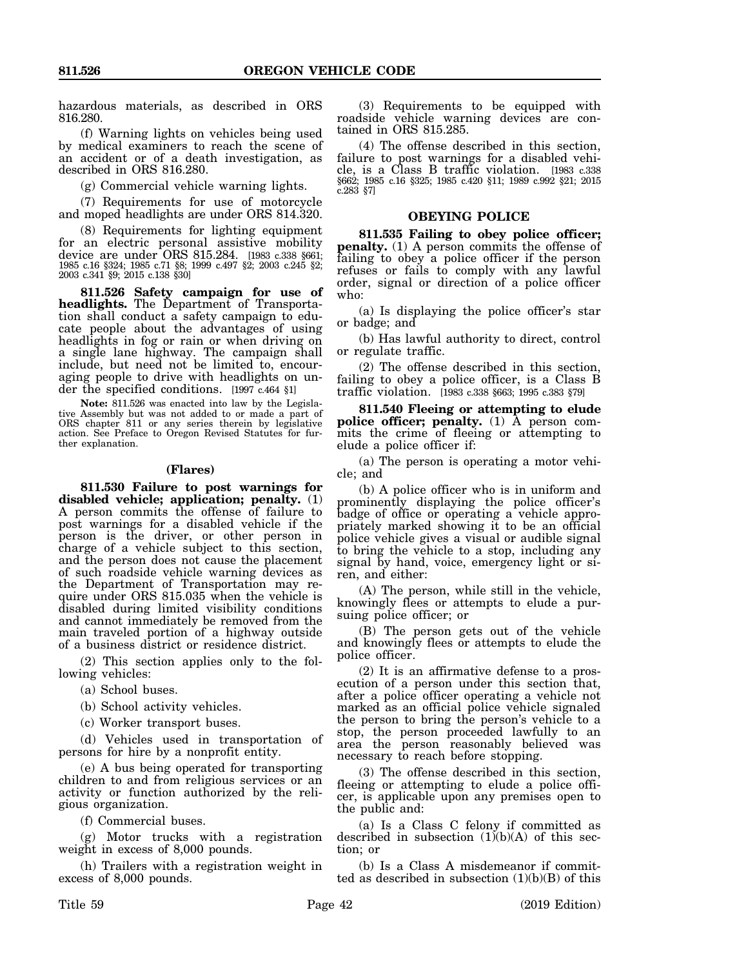hazardous materials, as described in ORS 816.280.

(f) Warning lights on vehicles being used by medical examiners to reach the scene of an accident or of a death investigation, as described in ORS 816.280.

(g) Commercial vehicle warning lights.

(7) Requirements for use of motorcycle and moped headlights are under ORS 814.320.

(8) Requirements for lighting equipment for an electric personal assistive mobility device are under ORS 815.284. [1983 c.338 §661; 1985 c.16 §324; 1985 c.71 §8; 1999 c.497 §2; 2003 c.245 §2; 2003 c.341 §9; 2015 c.138 §30]

**811.526 Safety campaign for use of headlights.** The Department of Transportation shall conduct a safety campaign to educate people about the advantages of using headlights in fog or rain or when driving on a single lane highway. The campaign shall include, but need not be limited to, encouraging people to drive with headlights on under the specified conditions. [1997 c.464 §1]

**Note:** 811.526 was enacted into law by the Legislative Assembly but was not added to or made a part of ORS chapter 811 or any series therein by legislative action. See Preface to Oregon Revised Statutes for further explanation.

#### **(Flares)**

**811.530 Failure to post warnings for disabled vehicle; application; penalty.** (1) A person commits the offense of failure to post warnings for a disabled vehicle if the person is the driver, or other person in charge of a vehicle subject to this section, and the person does not cause the placement of such roadside vehicle warning devices as the Department of Transportation may require under ORS 815.035 when the vehicle is disabled during limited visibility conditions and cannot immediately be removed from the main traveled portion of a highway outside of a business district or residence district.

(2) This section applies only to the following vehicles:

(a) School buses.

(b) School activity vehicles.

(c) Worker transport buses.

(d) Vehicles used in transportation of persons for hire by a nonprofit entity.

(e) A bus being operated for transporting children to and from religious services or an activity or function authorized by the religious organization.

(f) Commercial buses.

(g) Motor trucks with a registration weight in excess of 8,000 pounds.

(h) Trailers with a registration weight in excess of 8,000 pounds.

(3) Requirements to be equipped with roadside vehicle warning devices are contained in ORS 815.285.

(4) The offense described in this section, failure to post warnings for a disabled vehicle, is a Class B traffic violation. [1983 c.338 §662; 1985 c.16 §325; 1985 c.420 §11; 1989 c.992 §21; 2015 c.283 §7]

#### **OBEYING POLICE**

**811.535 Failing to obey police officer; penalty.** (1) A person commits the offense of failing to obey a police officer if the person refuses or fails to comply with any lawful order, signal or direction of a police officer who:

(a) Is displaying the police officer's star or badge; and

(b) Has lawful authority to direct, control or regulate traffic.

(2) The offense described in this section, failing to obey a police officer, is a Class B traffic violation. [1983 c.338 §663; 1995 c.383 §79]

**811.540 Fleeing or attempting to elude police officer; penalty.** (1) A person commits the crime of fleeing or attempting to elude a police officer if:

(a) The person is operating a motor vehicle; and

(b) A police officer who is in uniform and prominently displaying the police officer's badge of office or operating a vehicle appropriately marked showing it to be an official police vehicle gives a visual or audible signal to bring the vehicle to a stop, including any signal by hand, voice, emergency light or siren, and either:

(A) The person, while still in the vehicle, knowingly flees or attempts to elude a pursuing police officer; or

(B) The person gets out of the vehicle and knowingly flees or attempts to elude the police officer.

(2) It is an affirmative defense to a prosecution of a person under this section that, after a police officer operating a vehicle not marked as an official police vehicle signaled the person to bring the person's vehicle to a stop, the person proceeded lawfully to an area the person reasonably believed was necessary to reach before stopping.

(3) The offense described in this section, fleeing or attempting to elude a police officer, is applicable upon any premises open to the public and:

(a) Is a Class C felony if committed as described in subsection  $(1)(b)(A)$  of this section; or

(b) Is a Class A misdemeanor if committed as described in subsection  $(1)(b)(B)$  of this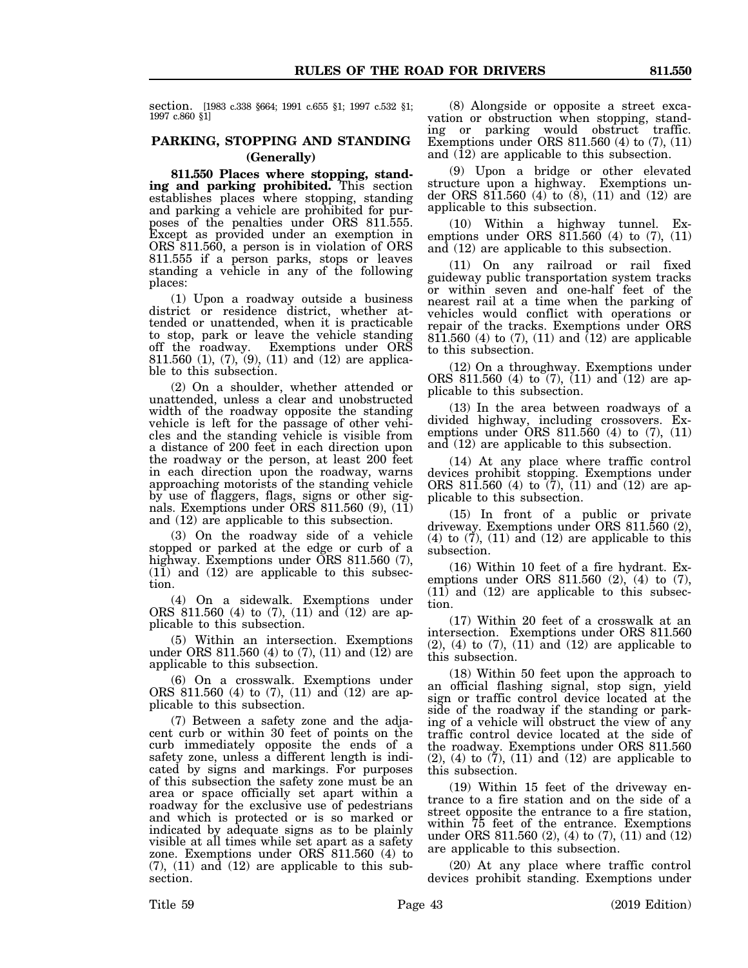section. [1983 c.338 §664; 1991 c.655 §1; 1997 c.532 §1; 1997 c.860 §1]

## **PARKING, STOPPING AND STANDING (Generally)**

**811.550 Places where stopping, standing and parking prohibited.** This section establishes places where stopping, standing and parking a vehicle are prohibited for purposes of the penalties under ORS 811.555. Except as provided under an exemption in ORS 811.560, a person is in violation of ORS 811.555 if a person parks, stops or leaves standing a vehicle in any of the following places:

(1) Upon a roadway outside a business district or residence district, whether attended or unattended, when it is practicable to stop, park or leave the vehicle standing off the roadway. Exemptions under ORS 811.560 (1), (7), (9), (11) and (12) are applicable to this subsection.

(2) On a shoulder, whether attended or unattended, unless a clear and unobstructed width of the roadway opposite the standing vehicle is left for the passage of other vehicles and the standing vehicle is visible from a distance of 200 feet in each direction upon the roadway or the person, at least 200 feet in each direction upon the roadway, warns approaching motorists of the standing vehicle by use of flaggers, flags, signs or other signals. Exemptions under ORS 811.560 (9), (11) and (12) are applicable to this subsection.

(3) On the roadway side of a vehicle stopped or parked at the edge or curb of a highway. Exemptions under ORS 811.560 (7), (11) and (12) are applicable to this subsection.

(4) On a sidewalk. Exemptions under ORS 811.560 (4) to (7), (11) and (12) are applicable to this subsection.

(5) Within an intersection. Exemptions under ORS 811.560 (4) to  $(7)$ ,  $(11)$  and  $(12)$  are applicable to this subsection.

(6) On a crosswalk. Exemptions under ORS 811.560 (4) to (7), (11) and (12) are applicable to this subsection.

(7) Between a safety zone and the adjacent curb or within 30 feet of points on the curb immediately opposite the ends of a safety zone, unless a different length is indicated by signs and markings. For purposes of this subsection the safety zone must be an area or space officially set apart within a roadway for the exclusive use of pedestrians and which is protected or is so marked or indicated by adequate signs as to be plainly visible at all times while set apart as a safety zone. Exemptions under ORS 811.560 (4) to (7), (11) and (12) are applicable to this subsection.

(8) Alongside or opposite a street excavation or obstruction when stopping, standing or parking would obstruct traffic. Exemptions under ORS 811.560 (4) to (7), (11) and (12) are applicable to this subsection.

(9) Upon a bridge or other elevated structure upon a highway. Exemptions under ORS 811.560 (4) to (8), (11) and (12) are applicable to this subsection.

(10) Within a highway tunnel. Exemptions under ORS 811.560 (4) to (7), (11) and (12) are applicable to this subsection.

(11) On any railroad or rail fixed guideway public transportation system tracks or within seven and one-half feet of the nearest rail at a time when the parking of vehicles would conflict with operations or repair of the tracks. Exemptions under ORS 811.560 (4) to (7), (11) and (12) are applicable to this subsection.

(12) On a throughway. Exemptions under ORS 811.560 (4) to (7), (11) and (12) are applicable to this subsection.

(13) In the area between roadways of a divided highway, including crossovers. Exemptions under ORS 811.560 (4) to (7), (11) and (12) are applicable to this subsection.

(14) At any place where traffic control devices prohibit stopping. Exemptions under ORS 811.560 (4) to  $(7)$ ,  $(11)$  and  $(12)$  are applicable to this subsection.

(15) In front of a public or private driveway. Exemptions under ORS 811.560 (2), (4) to  $(\overline{7})$ , (11) and (12) are applicable to this subsection.

(16) Within 10 feet of a fire hydrant. Exemptions under ORS 811.560 (2), (4) to (7), (11) and (12) are applicable to this subsection.

(17) Within 20 feet of a crosswalk at an intersection. Exemptions under ORS 811.560  $(2)$ ,  $(4)$  to  $(7)$ ,  $(11)$  and  $(12)$  are applicable to this subsection.

(18) Within 50 feet upon the approach to an official flashing signal, stop sign, yield sign or traffic control device located at the side of the roadway if the standing or parking of a vehicle will obstruct the view of any traffic control device located at the side of the roadway. Exemptions under ORS 811.560  $(2)$ ,  $(4)$  to  $(7)$ ,  $(11)$  and  $(12)$  are applicable to this subsection.

(19) Within 15 feet of the driveway entrance to a fire station and on the side of a street opposite the entrance to a fire station, within 75 feet of the entrance. Exemptions under ORS 811.560 (2), (4) to (7), (11) and (12) are applicable to this subsection.

(20) At any place where traffic control devices prohibit standing. Exemptions under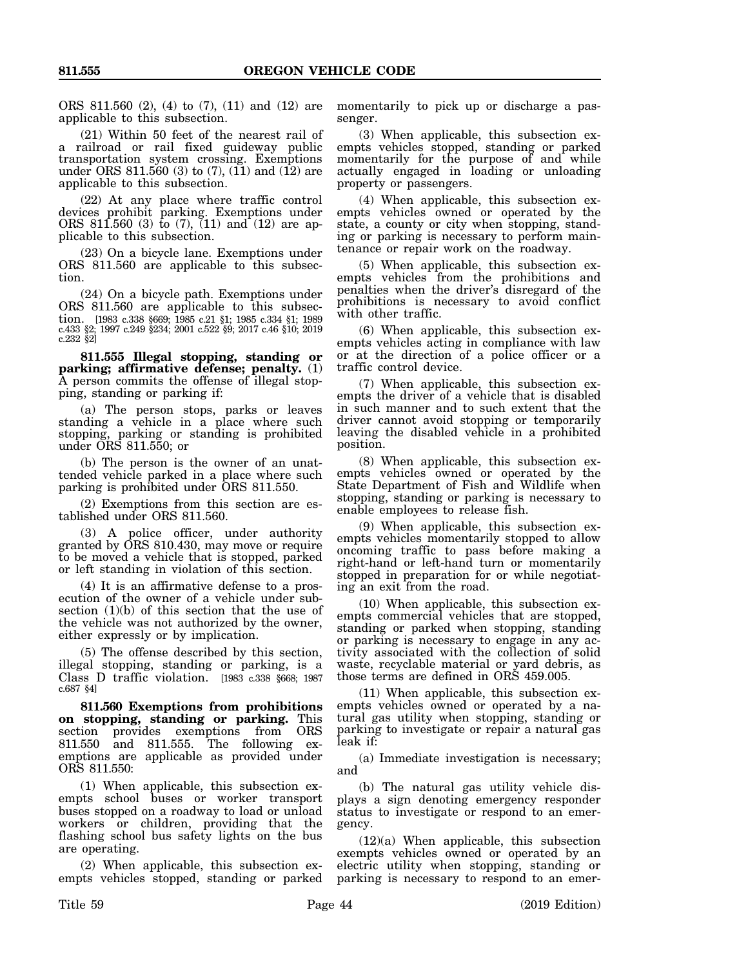ORS 811.560 (2), (4) to (7), (11) and (12) are applicable to this subsection.

(21) Within 50 feet of the nearest rail of a railroad or rail fixed guideway public transportation system crossing. Exemptions under ORS 811.560 (3) to  $(7)$ ,  $(11)$  and  $(12)$  are applicable to this subsection.

(22) At any place where traffic control devices prohibit parking. Exemptions under ORS 811.560 (3) to (7), (11) and (12) are applicable to this subsection.

(23) On a bicycle lane. Exemptions under ORS 811.560 are applicable to this subsection.

(24) On a bicycle path. Exemptions under ORS 811.560 are applicable to this subsection. [1983 c.338 §669; 1985 c.21 §1; 1985 c.334 §1; 1989 c.433 §2; 1997 c.249 §234; 2001 c.522 §9; 2017 c.46 §10; 2019 c.232 §2]

**811.555 Illegal stopping, standing or parking; affirmative defense; penalty.** (1) A person commits the offense of illegal stopping, standing or parking if:

(a) The person stops, parks or leaves standing a vehicle in a place where such stopping, parking or standing is prohibited under ORS 811.550; or

(b) The person is the owner of an unattended vehicle parked in a place where such parking is prohibited under ORS 811.550.

(2) Exemptions from this section are established under ORS 811.560.

(3) A police officer, under authority granted by ORS 810.430, may move or require to be moved a vehicle that is stopped, parked or left standing in violation of this section.

(4) It is an affirmative defense to a prosecution of the owner of a vehicle under subsection  $(1)(b)$  of this section that the use of the vehicle was not authorized by the owner, either expressly or by implication.

(5) The offense described by this section, illegal stopping, standing or parking, is a Class D traffic violation. [1983 c.338 §668; 1987 c.687 §4]

**811.560 Exemptions from prohibitions on stopping, standing or parking.** This section provides exemptions from ORS 811.550 and 811.555. The following exemptions are applicable as provided under ORS 811.550:

(1) When applicable, this subsection exempts school buses or worker transport buses stopped on a roadway to load or unload workers or children, providing that the flashing school bus safety lights on the bus are operating.

(2) When applicable, this subsection exempts vehicles stopped, standing or parked momentarily to pick up or discharge a passenger.

(3) When applicable, this subsection exempts vehicles stopped, standing or parked momentarily for the purpose of and while actually engaged in loading or unloading property or passengers.

(4) When applicable, this subsection exempts vehicles owned or operated by the state, a county or city when stopping, standing or parking is necessary to perform maintenance or repair work on the roadway.

(5) When applicable, this subsection exempts vehicles from the prohibitions and penalties when the driver's disregard of the prohibitions is necessary to avoid conflict with other traffic.

(6) When applicable, this subsection exempts vehicles acting in compliance with law or at the direction of a police officer or a traffic control device.

(7) When applicable, this subsection exempts the driver of a vehicle that is disabled in such manner and to such extent that the driver cannot avoid stopping or temporarily leaving the disabled vehicle in a prohibited position.

(8) When applicable, this subsection exempts vehicles owned or operated by the State Department of Fish and Wildlife when stopping, standing or parking is necessary to enable employees to release fish.

(9) When applicable, this subsection exempts vehicles momentarily stopped to allow oncoming traffic to pass before making a right-hand or left-hand turn or momentarily stopped in preparation for or while negotiating an exit from the road.

(10) When applicable, this subsection exempts commercial vehicles that are stopped, standing or parked when stopping, standing or parking is necessary to engage in any activity associated with the collection of solid waste, recyclable material or yard debris, as those terms are defined in ORS 459.005.

(11) When applicable, this subsection exempts vehicles owned or operated by a natural gas utility when stopping, standing or parking to investigate or repair a natural gas leak if:

(a) Immediate investigation is necessary; and

(b) The natural gas utility vehicle displays a sign denoting emergency responder status to investigate or respond to an emergency.

 $(12)(a)$  When applicable, this subsection exempts vehicles owned or operated by an electric utility when stopping, standing or parking is necessary to respond to an emer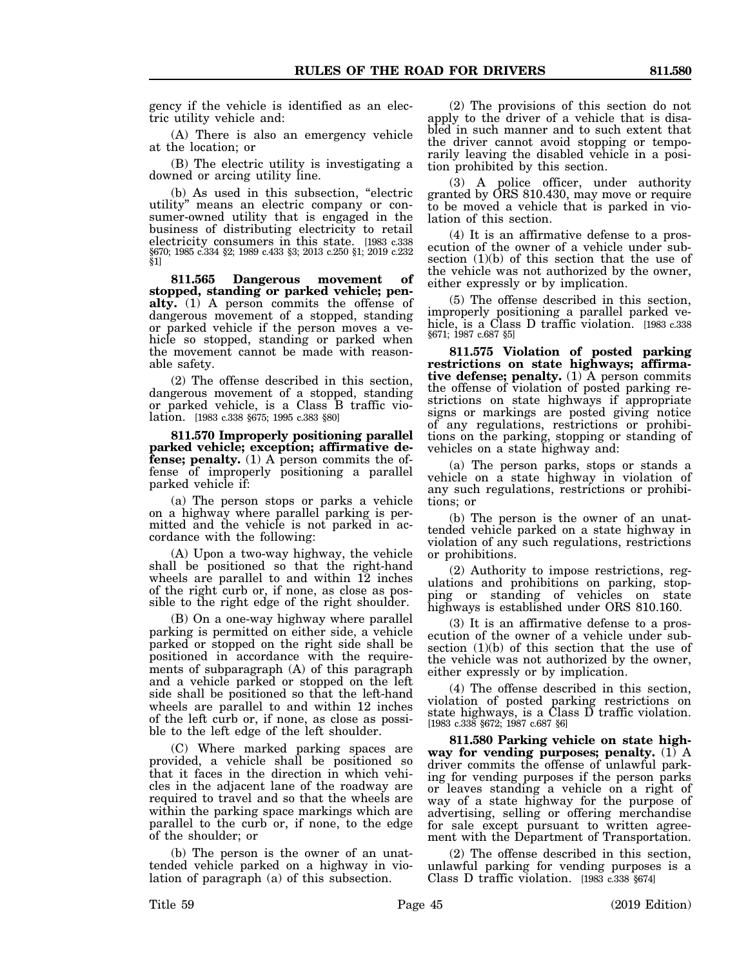gency if the vehicle is identified as an electric utility vehicle and:

(A) There is also an emergency vehicle at the location; or

(B) The electric utility is investigating a downed or arcing utility line.

(b) As used in this subsection, "electric utility" means an electric company or consumer-owned utility that is engaged in the business of distributing electricity to retail electricity consumers in this state. [1983 c.338 §670; 1985 c.334 §2; 1989 c.433 §3; 2013 c.250 §1; 2019 c.232 §1]

**811.565 Dangerous movement of stopped, standing or parked vehicle; penalty.** (1) A person commits the offense of dangerous movement of a stopped, standing or parked vehicle if the person moves a vehicle so stopped, standing or parked when the movement cannot be made with reasonable safety.

(2) The offense described in this section, dangerous movement of a stopped, standing or parked vehicle, is a Class B traffic violation. [1983 c.338 §675; 1995 c.383 §80]

**811.570 Improperly positioning parallel parked vehicle; exception; affirmative defense; penalty.** (1) A person commits the offense of improperly positioning a parallel parked vehicle if:

(a) The person stops or parks a vehicle on a highway where parallel parking is permitted and the vehicle is not parked in accordance with the following:

(A) Upon a two-way highway, the vehicle shall be positioned so that the right-hand wheels are parallel to and within 12 inches of the right curb or, if none, as close as possible to the right edge of the right shoulder.

(B) On a one-way highway where parallel parking is permitted on either side, a vehicle parked or stopped on the right side shall be positioned in accordance with the requirements of subparagraph (A) of this paragraph and a vehicle parked or stopped on the left side shall be positioned so that the left-hand wheels are parallel to and within 12 inches of the left curb or, if none, as close as possible to the left edge of the left shoulder.

(C) Where marked parking spaces are provided, a vehicle shall be positioned so that it faces in the direction in which vehicles in the adjacent lane of the roadway are required to travel and so that the wheels are within the parking space markings which are parallel to the curb or, if none, to the edge of the shoulder; or

(b) The person is the owner of an unattended vehicle parked on a highway in violation of paragraph (a) of this subsection.

(2) The provisions of this section do not apply to the driver of a vehicle that is disabled in such manner and to such extent that the driver cannot avoid stopping or temporarily leaving the disabled vehicle in a position prohibited by this section.

(3) A police officer, under authority granted by ORS 810.430, may move or require to be moved a vehicle that is parked in violation of this section.

(4) It is an affirmative defense to a prosecution of the owner of a vehicle under subsection (1)(b) of this section that the use of the vehicle was not authorized by the owner, either expressly or by implication.

(5) The offense described in this section, improperly positioning a parallel parked vehicle, is a Class D traffic violation. [1983 c.338 §671; 1987 c.687 §5]

**811.575 Violation of posted parking restrictions on state highways; affirmative defense; penalty.** (1) A person commits the offense of violation of posted parking restrictions on state highways if appropriate signs or markings are posted giving notice of any regulations, restrictions or prohibitions on the parking, stopping or standing of vehicles on a state highway and:

(a) The person parks, stops or stands a vehicle on a state highway in violation of any such regulations, restrictions or prohibitions; or

(b) The person is the owner of an unattended vehicle parked on a state highway in violation of any such regulations, restrictions or prohibitions.

(2) Authority to impose restrictions, regulations and prohibitions on parking, stopping or standing of vehicles on state highways is established under ORS 810.160.

(3) It is an affirmative defense to a prosecution of the owner of a vehicle under subsection (1)(b) of this section that the use of the vehicle was not authorized by the owner, either expressly or by implication.

(4) The offense described in this section, violation of posted parking restrictions on state highways, is a Class  $\overline{D}$  traffic violation. [1983 c.338 §672; 1987 c.687 §6]

**811.580 Parking vehicle on state highway for vending purposes; penalty.** (1) A driver commits the offense of unlawful parking for vending purposes if the person parks or leaves standing a vehicle on a right of way of a state highway for the purpose of advertising, selling or offering merchandise for sale except pursuant to written agreement with the Department of Transportation.

(2) The offense described in this section, unlawful parking for vending purposes is a Class D traffic violation. [1983 c.338 §674]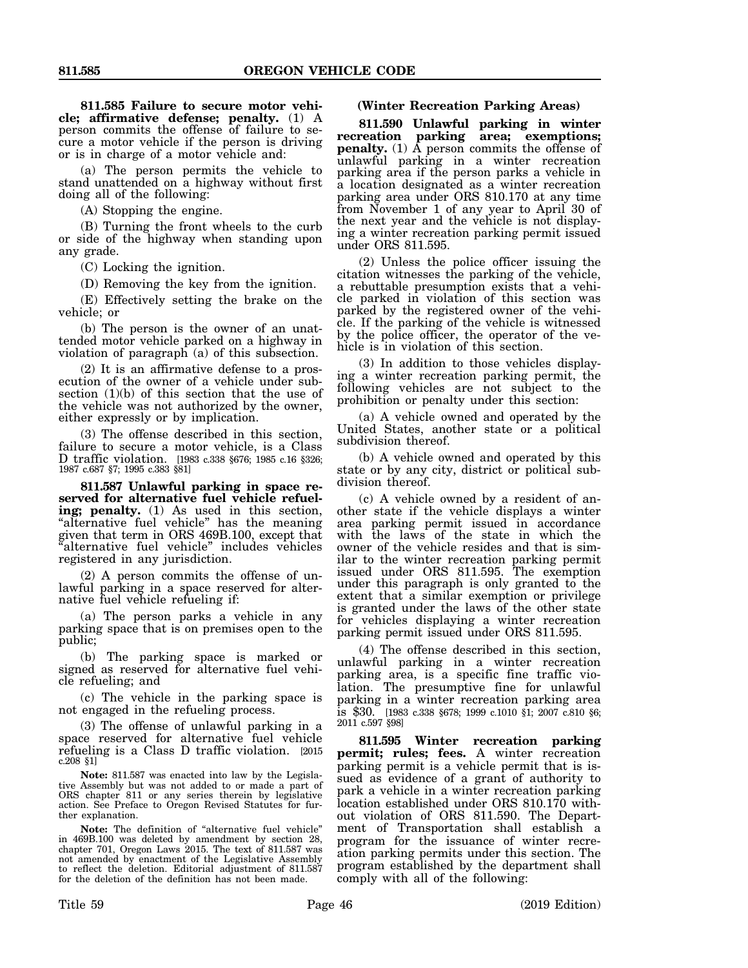**811.585 Failure to secure motor vehicle; affirmative defense; penalty.** (1) A person commits the offense of failure to secure a motor vehicle if the person is driving or is in charge of a motor vehicle and:

(a) The person permits the vehicle to stand unattended on a highway without first doing all of the following:

(A) Stopping the engine.

(B) Turning the front wheels to the curb or side of the highway when standing upon any grade.

(C) Locking the ignition.

(D) Removing the key from the ignition.

(E) Effectively setting the brake on the vehicle; or

(b) The person is the owner of an unattended motor vehicle parked on a highway in violation of paragraph (a) of this subsection.

(2) It is an affirmative defense to a prosecution of the owner of a vehicle under subsection (1)(b) of this section that the use of the vehicle was not authorized by the owner, either expressly or by implication.

(3) The offense described in this section, failure to secure a motor vehicle, is a Class D traffic violation. [1983 c.338 §676; 1985 c.16 §326; 1987 c.687 §7; 1995 c.383 §81]

**811.587 Unlawful parking in space reserved for alternative fuel vehicle refueling; penalty.** (1) As used in this section, "alternative fuel vehicle" has the meaning given that term in ORS 469B.100, except that "alternative fuel vehicle" includes vehicles registered in any jurisdiction.

(2) A person commits the offense of unlawful parking in a space reserved for alternative fuel vehicle refueling if:

(a) The person parks a vehicle in any parking space that is on premises open to the public;

(b) The parking space is marked or signed as reserved for alternative fuel vehicle refueling; and

(c) The vehicle in the parking space is not engaged in the refueling process.

(3) The offense of unlawful parking in a space reserved for alternative fuel vehicle refueling is a Class D traffic violation. [2015 c.208 §1]

**Note:** 811.587 was enacted into law by the Legislative Assembly but was not added to or made a part of ORS chapter 811 or any series therein by legislative action. See Preface to Oregon Revised Statutes for further explanation.

**Note:** The definition of "alternative fuel vehicle" in 469B.100 was deleted by amendment by section 28, chapter 701, Oregon Laws 2015. The text of 811.587 was not amended by enactment of the Legislative Assembly to reflect the deletion. Editorial adjustment of 811.587 for the deletion of the definition has not been made.

**(Winter Recreation Parking Areas)**

**811.590 Unlawful parking in winter recreation parking area; exemptions; penalty.** (1) A person commits the offense of unlawful parking in a winter recreation parking area if the person parks a vehicle in a location designated as a winter recreation parking area under ORS 810.170 at any time from November 1 of any year to April 30 of the next year and the vehicle is not displaying a winter recreation parking permit issued under ORS 811.595.

(2) Unless the police officer issuing the citation witnesses the parking of the vehicle, a rebuttable presumption exists that a vehicle parked in violation of this section was parked by the registered owner of the vehicle. If the parking of the vehicle is witnessed by the police officer, the operator of the vehicle is in violation of this section.

(3) In addition to those vehicles displaying a winter recreation parking permit, the following vehicles are not subject to the prohibition or penalty under this section:

(a) A vehicle owned and operated by the United States, another state or a political subdivision thereof.

(b) A vehicle owned and operated by this state or by any city, district or political subdivision thereof.

(c) A vehicle owned by a resident of another state if the vehicle displays a winter area parking permit issued in accordance with the laws of the state in which the owner of the vehicle resides and that is similar to the winter recreation parking permit issued under ORS 811.595. The exemption under this paragraph is only granted to the extent that a similar exemption or privilege is granted under the laws of the other state for vehicles displaying a winter recreation parking permit issued under ORS 811.595.

(4) The offense described in this section, unlawful parking in a winter recreation parking area, is a specific fine traffic violation. The presumptive fine for unlawful parking in a winter recreation parking area is \$30. [1983 c.338 §678; 1999 c.1010 §1; 2007 c.810 §6; 2011 c.597 §98]

**811.595 Winter recreation parking permit; rules; fees.** A winter recreation parking permit is a vehicle permit that is issued as evidence of a grant of authority to park a vehicle in a winter recreation parking location established under ORS 810.170 without violation of ORS 811.590. The Department of Transportation shall establish a program for the issuance of winter recreation parking permits under this section. The program established by the department shall comply with all of the following: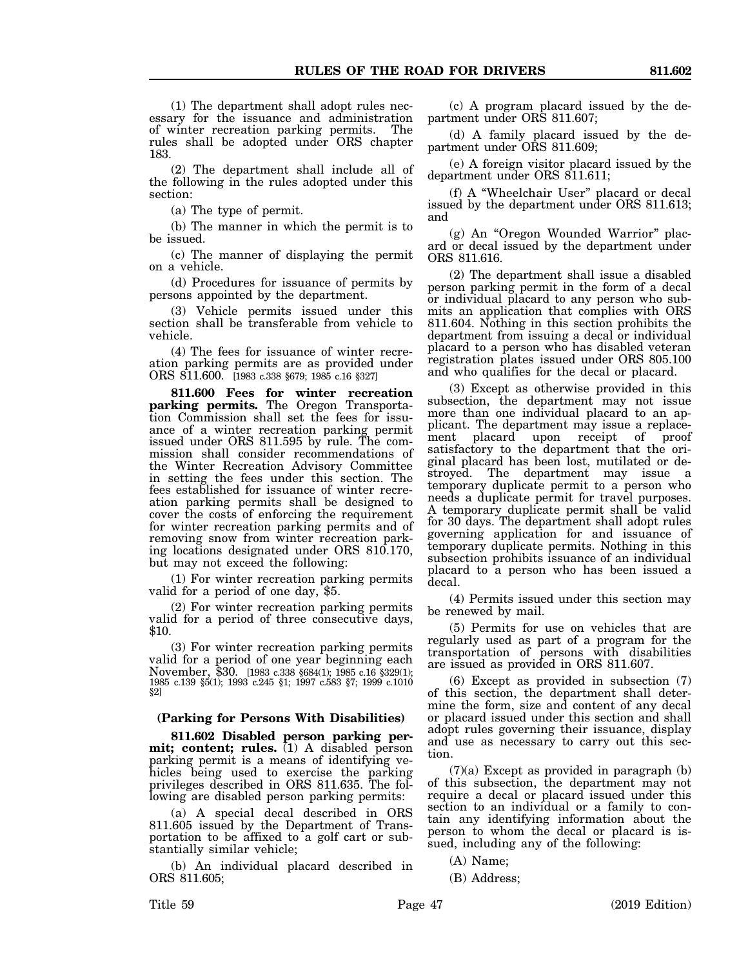(2) The department shall include all of the following in the rules adopted under this section:

(a) The type of permit.

(b) The manner in which the permit is to be issued.

(c) The manner of displaying the permit on a vehicle.

(d) Procedures for issuance of permits by persons appointed by the department.

(3) Vehicle permits issued under this section shall be transferable from vehicle to vehicle.

(4) The fees for issuance of winter recreation parking permits are as provided under ORS 811.600. [1983 c.338 §679; 1985 c.16 §327]

**811.600 Fees for winter recreation parking permits.** The Oregon Transportation Commission shall set the fees for issuance of a winter recreation parking permit issued under ORS 811.595 by rule. The commission shall consider recommendations of the Winter Recreation Advisory Committee in setting the fees under this section. The fees established for issuance of winter recreation parking permits shall be designed to cover the costs of enforcing the requirement for winter recreation parking permits and of removing snow from winter recreation parking locations designated under ORS 810.170, but may not exceed the following:

(1) For winter recreation parking permits valid for a period of one day, \$5.

(2) For winter recreation parking permits valid for a period of three consecutive days, \$10.

(3) For winter recreation parking permits valid for a period of one year beginning each November, \$30. [1983 c.338 §684(1); 1985 c.16 §329(1); 1985 c.139 §5(1); 1993 c.245 §1; 1997 c.583 §7; 1999 c.1010 §2]

## **(Parking for Persons With Disabilities)**

**811.602 Disabled person parking permit; content; rules.** (1) A disabled person parking permit is a means of identifying vehicles being used to exercise the parking privileges described in ORS 811.635. The following are disabled person parking permits:

(a) A special decal described in ORS 811.605 issued by the Department of Transportation to be affixed to a golf cart or substantially similar vehicle;

(b) An individual placard described in ORS 811.605;

(c) A program placard issued by the department under ORS 811.607;

(d) A family placard issued by the department under ORS 811.609;

(e) A foreign visitor placard issued by the department under ORS 811.611;

(f) A "Wheelchair User" placard or decal issued by the department under ORS 811.613; and

(g) An "Oregon Wounded Warrior" placard or decal issued by the department under ORS 811.616.

(2) The department shall issue a disabled person parking permit in the form of a decal or individual placard to any person who submits an application that complies with ORS 811.604. Nothing in this section prohibits the department from issuing a decal or individual placard to a person who has disabled veteran registration plates issued under ORS 805.100 and who qualifies for the decal or placard.

(3) Except as otherwise provided in this subsection, the department may not issue more than one individual placard to an applicant. The department may issue a replacement placard upon receipt of proof satisfactory to the department that the original placard has been lost, mutilated or destroyed. The department may issue a temporary duplicate permit to a person who needs a duplicate permit for travel purposes. A temporary duplicate permit shall be valid for 30 days. The department shall adopt rules governing application for and issuance of temporary duplicate permits. Nothing in this subsection prohibits issuance of an individual placard to a person who has been issued a decal.

(4) Permits issued under this section may be renewed by mail.

(5) Permits for use on vehicles that are regularly used as part of a program for the transportation of persons with disabilities are issued as provided in ORS 811.607.

(6) Except as provided in subsection (7) of this section, the department shall determine the form, size and content of any decal or placard issued under this section and shall adopt rules governing their issuance, display and use as necessary to carry out this section.

 $(7)(a)$  Except as provided in paragraph  $(b)$ of this subsection, the department may not require a decal or placard issued under this section to an individual or a family to contain any identifying information about the person to whom the decal or placard is issued, including any of the following:

(A) Name;

(B) Address;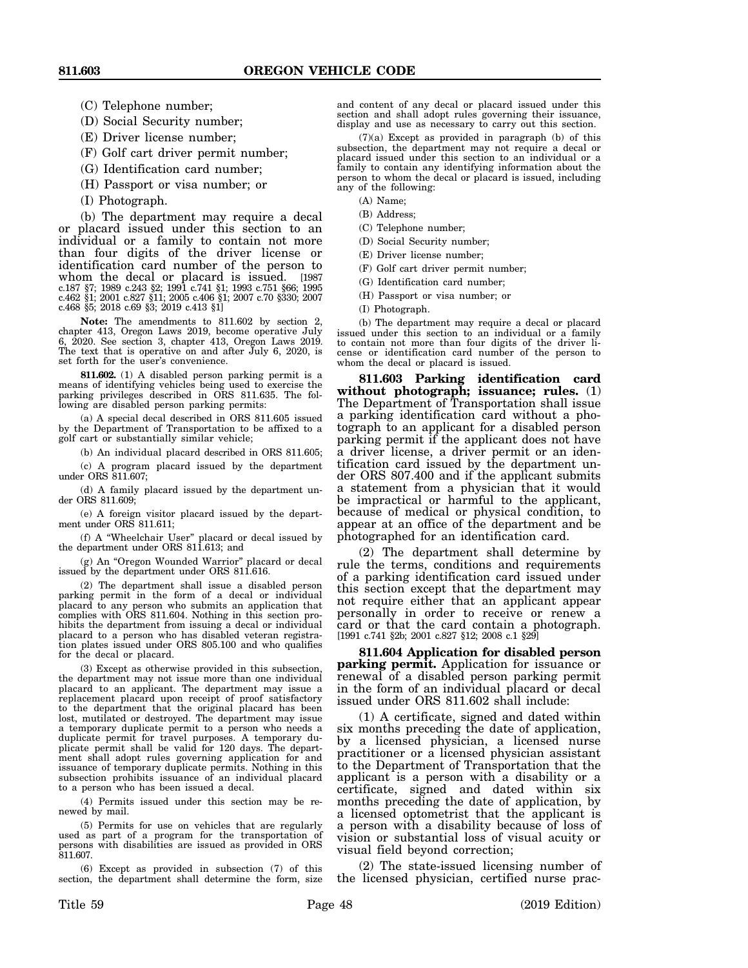- (C) Telephone number;
- (D) Social Security number;
- (E) Driver license number;
- (F) Golf cart driver permit number;
- (G) Identification card number;
- (H) Passport or visa number; or
- (I) Photograph.

(b) The department may require a decal or placard issued under this section to an individual or a family to contain not more than four digits of the driver license or identification card number of the person to whom the decal or placard is issued. [1987 c.187 §7; 1989 c.243 §2; 1991 c.741 §1; 1993 c.751 §66; 1995 c.462 §1; 2001 c.827 §11; 2005 c.406 §1; 2007 c.70 §330; 2007 c.468 §5; 2018 c.69 §3; 2019 c.413 §1]

**Note:** The amendments to 811.602 by section 2, chapter 413, Oregon Laws 2019, become operative July 6, 2020. See section 3, chapter 413, Oregon Laws 2019. The text that is operative on and after July 6, 2020, is set forth for the user's convenience.

**811.602.** (1) A disabled person parking permit is a means of identifying vehicles being used to exercise the parking privileges described in ORS 811.635. The following are disabled person parking permits:

(a) A special decal described in ORS 811.605 issued by the Department of Transportation to be affixed to a golf cart or substantially similar vehicle;

(b) An individual placard described in ORS 811.605;

(c) A program placard issued by the department under ORS 811.607;

(d) A family placard issued by the department under ORS 811.609;

(e) A foreign visitor placard issued by the department under ORS 811.611;

(f) A "Wheelchair User" placard or decal issued by the department under ORS 811.613; and

(g) An "Oregon Wounded Warrior" placard or decal issued by the department under ORS 811.616.

(2) The department shall issue a disabled person parking permit in the form of a decal or individual placard to any person who submits an application that complies with ORS 811.604. Nothing in this section prohibits the department from issuing a decal or individual placard to a person who has disabled veteran registration plates issued under ORS 805.100 and who qualifies for the decal or placard.

(3) Except as otherwise provided in this subsection, the department may not issue more than one individual placard to an applicant. The department may issue a replacement placard upon receipt of proof satisfactory to the department that the original placard has been lost, mutilated or destroyed. The department may issue a temporary duplicate permit to a person who needs a duplicate permit for travel purposes. A temporary duplicate permit shall be valid for 120 days. The department shall adopt rules governing application for and issuance of temporary duplicate permits. Nothing in this subsection prohibits issuance of an individual placard to a person who has been issued a decal.

(4) Permits issued under this section may be renewed by mail.

(5) Permits for use on vehicles that are regularly used as part of a program for the transportation of persons with disabilities are issued as provided in ORS 811.607.

(6) Except as provided in subsection (7) of this section, the department shall determine the form, size

and content of any decal or placard issued under this section and shall adopt rules governing their issuance, display and use as necessary to carry out this section.

(7)(a) Except as provided in paragraph (b) of this subsection, the department may not require a decal or placard issued under this section to an individual or a family to contain any identifying information about the person to whom the decal or placard is issued, including any of the following:

- (A) Name;
- (B) Address;
- (C) Telephone number;
- (D) Social Security number;
- (E) Driver license number;
- (F) Golf cart driver permit number;
- (G) Identification card number;
- (H) Passport or visa number; or
- (I) Photograph.

(b) The department may require a decal or placard issued under this section to an individual or a family to contain not more than four digits of the driver license or identification card number of the person to whom the decal or placard is issued.

**811.603 Parking identification card without photograph; issuance; rules.** (1) The Department of Transportation shall issue a parking identification card without a photograph to an applicant for a disabled person parking permit if the applicant does not have a driver license, a driver permit or an identification card issued by the department under ORS 807.400 and if the applicant submits a statement from a physician that it would be impractical or harmful to the applicant, because of medical or physical condition, to appear at an office of the department and be photographed for an identification card.

(2) The department shall determine by rule the terms, conditions and requirements of a parking identification card issued under this section except that the department may not require either that an applicant appear personally in order to receive or renew a card or that the card contain a photograph. [1991 c.741 §2b; 2001 c.827 §12; 2008 c.1 §29]

**811.604 Application for disabled person parking permit.** Application for issuance or renewal of a disabled person parking permit in the form of an individual placard or decal issued under ORS 811.602 shall include:

(1) A certificate, signed and dated within six months preceding the date of application, by a licensed physician, a licensed nurse practitioner or a licensed physician assistant to the Department of Transportation that the applicant is a person with a disability or a certificate, signed and dated within six months preceding the date of application, by a licensed optometrist that the applicant is a person with a disability because of loss of vision or substantial loss of visual acuity or visual field beyond correction;

(2) The state-issued licensing number of the licensed physician, certified nurse prac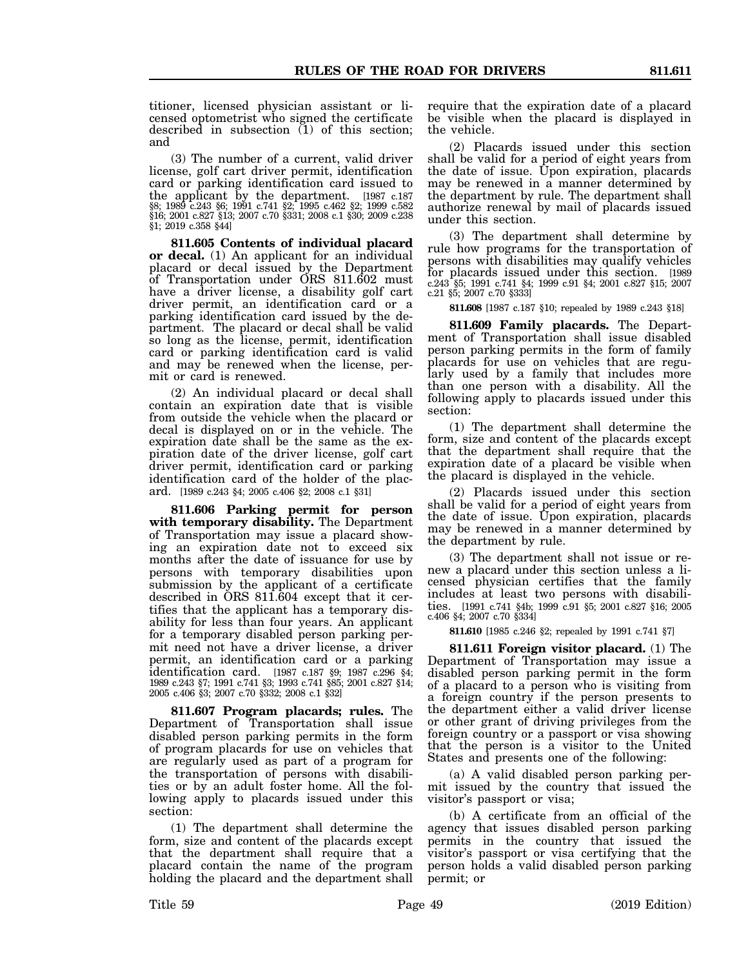titioner, licensed physician assistant or licensed optometrist who signed the certificate described in subsection  $(1)$  of this section; and

(3) The number of a current, valid driver license, golf cart driver permit, identification card or parking identification card issued to the applicant by the department. [1987 c.187 §8; 1989 c.243 §6; 1991 c.741 §2; 1995 c.462 §2; 1999 c.582 §16; 2001 c.827 §13; 2007 c.70 §331; 2008 c.1 §30; 2009 c.238 §1; 2019 c.358 §44]

**811.605 Contents of individual placard or decal.** (1) An applicant for an individual placard or decal issued by the Department of Transportation under ORS 811.602 must have a driver license, a disability golf cart driver permit, an identification card or a parking identification card issued by the department. The placard or decal shall be valid so long as the license, permit, identification card or parking identification card is valid and may be renewed when the license, permit or card is renewed.

(2) An individual placard or decal shall contain an expiration date that is visible from outside the vehicle when the placard or decal is displayed on or in the vehicle. The expiration date shall be the same as the expiration date of the driver license, golf cart driver permit, identification card or parking identification card of the holder of the placard. [1989 c.243 §4; 2005 c.406 §2; 2008 c.1 §31]

**811.606 Parking permit for person with temporary disability.** The Department of Transportation may issue a placard showing an expiration date not to exceed six months after the date of issuance for use by persons with temporary disabilities upon submission by the applicant of a certificate described in ORS 811.604 except that it certifies that the applicant has a temporary disability for less than four years. An applicant for a temporary disabled person parking permit need not have a driver license, a driver permit, an identification card or a parking identification card. [1987 c.187 §9; 1987 c.296 §4; 1989 c.243 §7; 1991 c.741 §3; 1993 c.741 §85; 2001 c.827 §14; 2005 c.406 §3; 2007 c.70 §332; 2008 c.1 §32]

**811.607 Program placards; rules.** The Department of Transportation shall issue disabled person parking permits in the form of program placards for use on vehicles that are regularly used as part of a program for the transportation of persons with disabilities or by an adult foster home. All the following apply to placards issued under this section:

(1) The department shall determine the form, size and content of the placards except that the department shall require that a placard contain the name of the program holding the placard and the department shall require that the expiration date of a placard be visible when the placard is displayed in the vehicle.

(2) Placards issued under this section shall be valid for a period of eight years from the date of issue. Upon expiration, placards may be renewed in a manner determined by the department by rule. The department shall authorize renewal by mail of placards issued under this section.

(3) The department shall determine by rule how programs for the transportation of persons with disabilities may qualify vehicles for placards issued under this section. [1989 c.243 §5; 1991 c.741 §4; 1999 c.91 §4; 2001 c.827 §15; 2007 c.21 §5; 2007 c.70 §333]

**811.608** [1987 c.187 §10; repealed by 1989 c.243 §18]

**811.609 Family placards.** The Department of Transportation shall issue disabled person parking permits in the form of family placards for use on vehicles that are regularly used by a family that includes more than one person with a disability. All the following apply to placards issued under this section:

(1) The department shall determine the form, size and content of the placards except that the department shall require that the expiration date of a placard be visible when the placard is displayed in the vehicle.

(2) Placards issued under this section shall be valid for a period of eight years from the date of issue. Upon expiration, placards may be renewed in a manner determined by the department by rule.

(3) The department shall not issue or renew a placard under this section unless a licensed physician certifies that the family includes at least two persons with disabilities. [1991 c.741 §4b; 1999 c.91 §5; 2001 c.827 §16; 2005 c.406 §4; 2007 c.70 §334]

**811.610** [1985 c.246 §2; repealed by 1991 c.741 §7]

**811.611 Foreign visitor placard.** (1) The Department of Transportation may issue a disabled person parking permit in the form of a placard to a person who is visiting from a foreign country if the person presents to the department either a valid driver license or other grant of driving privileges from the foreign country or a passport or visa showing that the person is a visitor to the United States and presents one of the following:

(a) A valid disabled person parking permit issued by the country that issued the visitor's passport or visa;

(b) A certificate from an official of the agency that issues disabled person parking permits in the country that issued the visitor's passport or visa certifying that the person holds a valid disabled person parking permit; or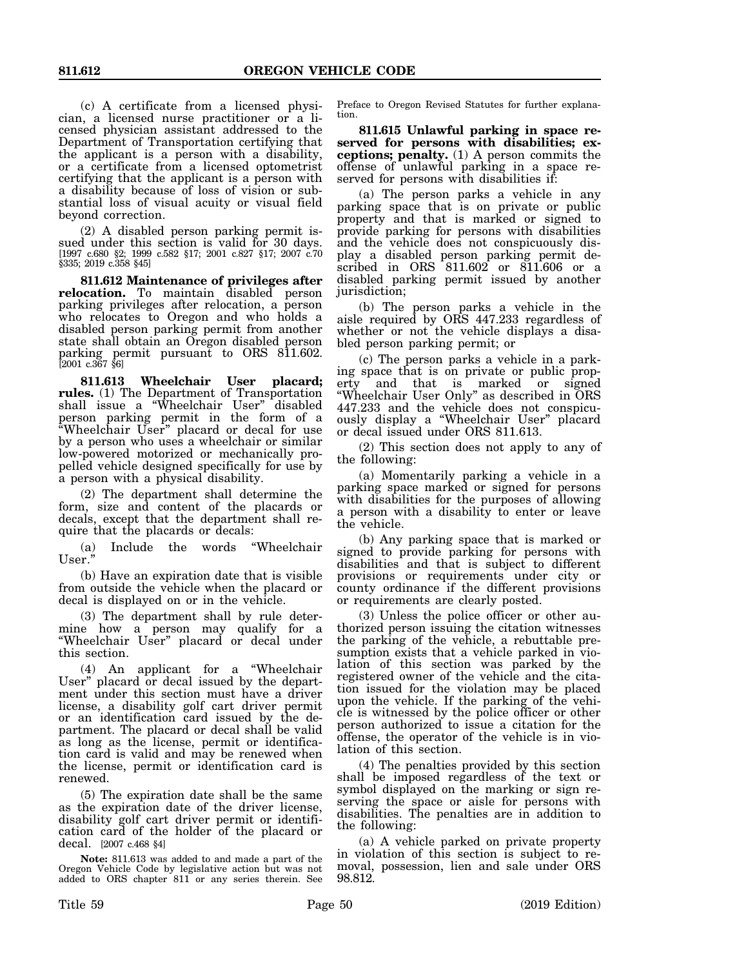(c) A certificate from a licensed physician, a licensed nurse practitioner or a licensed physician assistant addressed to the Department of Transportation certifying that the applicant is a person with a disability, or a certificate from a licensed optometrist certifying that the applicant is a person with a disability because of loss of vision or substantial loss of visual acuity or visual field beyond correction.

(2) A disabled person parking permit issued under this section is valid for 30 days. [1997 c.680 §2; 1999 c.582 §17; 2001 c.827 §17; 2007 c.70 §335; 2019 c.358 §45]

**811.612 Maintenance of privileges after relocation.** To maintain disabled person parking privileges after relocation, a person who relocates to Oregon and who holds a disabled person parking permit from another state shall obtain an Oregon disabled person parking permit pursuant to ORS 811.602. [2001 c.367 §6]

**811.613 Wheelchair User placard; rules.** (1) The Department of Transportation shall issue a "Wheelchair User" disabled person parking permit in the form of a "Wheelchair User" placard or decal for use by a person who uses a wheelchair or similar low-powered motorized or mechanically propelled vehicle designed specifically for use by a person with a physical disability.

(2) The department shall determine the form, size and content of the placards or decals, except that the department shall require that the placards or decals:

(a) Include the words "Wheelchair User."

(b) Have an expiration date that is visible from outside the vehicle when the placard or decal is displayed on or in the vehicle.

(3) The department shall by rule determine how a person may qualify for a "Wheelchair User" placard or decal under this section.

(4) An applicant for a "Wheelchair User" placard or decal issued by the department under this section must have a driver license, a disability golf cart driver permit or an identification card issued by the department. The placard or decal shall be valid as long as the license, permit or identification card is valid and may be renewed when the license, permit or identification card is renewed.

(5) The expiration date shall be the same as the expiration date of the driver license, disability golf cart driver permit or identification card of the holder of the placard or decal. [2007 c.468 §4]

**Note:** 811.613 was added to and made a part of the Oregon Vehicle Code by legislative action but was not added to ORS chapter 811 or any series therein. See

Preface to Oregon Revised Statutes for further explanation.

**811.615 Unlawful parking in space reserved for persons with disabilities; exceptions; penalty.** (1) A person commits the offense of unlawful parking in a space reserved for persons with disabilities if:

(a) The person parks a vehicle in any parking space that is on private or public property and that is marked or signed to provide parking for persons with disabilities and the vehicle does not conspicuously display a disabled person parking permit described in ORS 811.602 or 811.606 or a disabled parking permit issued by another jurisdiction;

(b) The person parks a vehicle in the aisle required by ORS 447.233 regardless of whether or not the vehicle displays a disabled person parking permit; or

(c) The person parks a vehicle in a parking space that is on private or public property and that is marked or signed "Wheelchair User Only" as described in ORS 447.233 and the vehicle does not conspicuously display a "Wheelchair User" placard or decal issued under ORS 811.613.

(2) This section does not apply to any of the following:

(a) Momentarily parking a vehicle in a parking space marked or signed for persons with disabilities for the purposes of allowing a person with a disability to enter or leave the vehicle.

(b) Any parking space that is marked or signed to provide parking for persons with disabilities and that is subject to different provisions or requirements under city or county ordinance if the different provisions or requirements are clearly posted.

(3) Unless the police officer or other authorized person issuing the citation witnesses the parking of the vehicle, a rebuttable presumption exists that a vehicle parked in violation of this section was parked by the registered owner of the vehicle and the citation issued for the violation may be placed upon the vehicle. If the parking of the vehicle is witnessed by the police officer or other person authorized to issue a citation for the offense, the operator of the vehicle is in violation of this section.

(4) The penalties provided by this section shall be imposed regardless of the text or symbol displayed on the marking or sign reserving the space or aisle for persons with disabilities. The penalties are in addition to the following:

(a) A vehicle parked on private property in violation of this section is subject to removal, possession, lien and sale under ORS 98.812.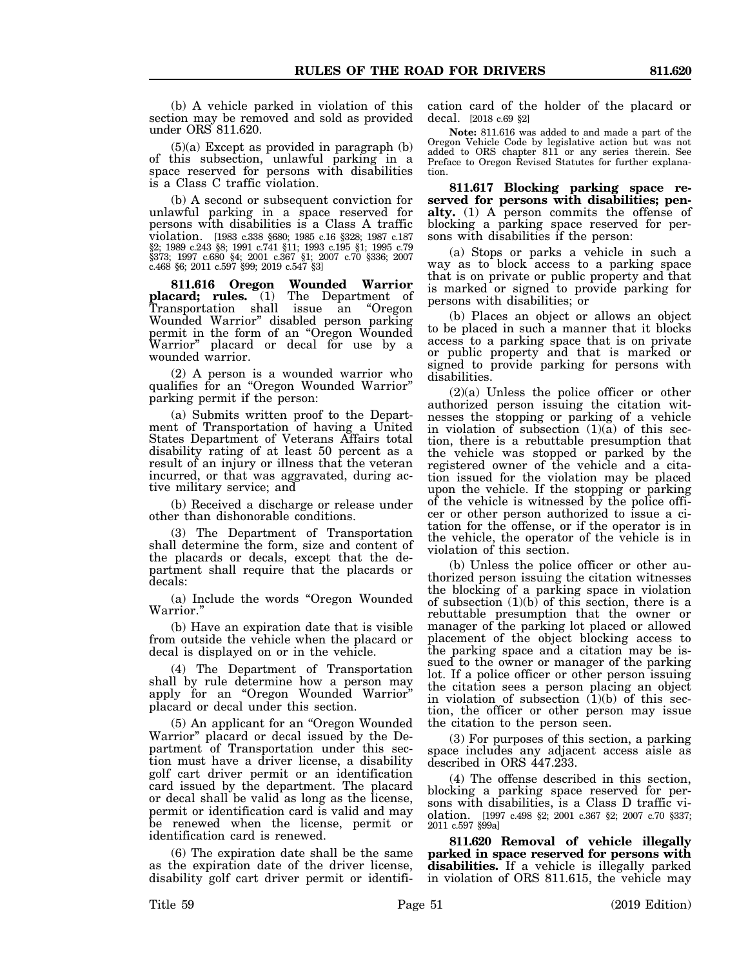(b) A vehicle parked in violation of this section may be removed and sold as provided under ORS 811.620.

 $(5)(a)$  Except as provided in paragraph  $(b)$ of this subsection, unlawful parking in a space reserved for persons with disabilities is a Class C traffic violation.

(b) A second or subsequent conviction for unlawful parking in a space reserved for persons with disabilities is a Class A traffic violation. [1983 c.338 §680; 1985 c.16 §328; 1987 c.187 §2; 1989 c.243 §8; 1991 c.741 §11; 1993 c.195 §1; 1995 c.79 §373; 1997 c.680 §4; 2001 c.367 §1; 2007 c.70 §336; 2007 c.468 §6; 2011 c.597 §99; 2019 c.547 §3]

**811.616 Oregon Wounded Warrior placard; rules.** (1) The Department of Transportation shall issue an "Oregon Wounded Warrior" disabled person parking permit in the form of an "Oregon Wounded Warrior" placard or decal for use by a wounded warrior.

(2) A person is a wounded warrior who qualifies for an "Oregon Wounded Warrior" parking permit if the person:

(a) Submits written proof to the Department of Transportation of having a United States Department of Veterans Affairs total disability rating of at least 50 percent as a result of an injury or illness that the veteran incurred, or that was aggravated, during active military service; and

(b) Received a discharge or release under other than dishonorable conditions.

(3) The Department of Transportation shall determine the form, size and content of the placards or decals, except that the department shall require that the placards or decals:

(a) Include the words "Oregon Wounded Warrior."

(b) Have an expiration date that is visible from outside the vehicle when the placard or decal is displayed on or in the vehicle.

(4) The Department of Transportation shall by rule determine how a person may apply for an "Oregon Wounded Warrior" placard or decal under this section.

(5) An applicant for an "Oregon Wounded Warrior" placard or decal issued by the Department of Transportation under this section must have a driver license, a disability golf cart driver permit or an identification card issued by the department. The placard or decal shall be valid as long as the license, permit or identification card is valid and may be renewed when the license, permit or identification card is renewed.

(6) The expiration date shall be the same as the expiration date of the driver license, disability golf cart driver permit or identification card of the holder of the placard or decal. [2018 c.69 §2]

**Note:** 811.616 was added to and made a part of the Oregon Vehicle Code by legislative action but was not added to ORS chapter 811 or any series therein. See Preface to Oregon Revised Statutes for further explanation.

**811.617 Blocking parking space reserved for persons with disabilities; penalty.** (1) A person commits the offense of blocking a parking space reserved for persons with disabilities if the person:

(a) Stops or parks a vehicle in such a way as to block access to a parking space that is on private or public property and that is marked or signed to provide parking for persons with disabilities; or

(b) Places an object or allows an object to be placed in such a manner that it blocks access to a parking space that is on private or public property and that is marked or signed to provide parking for persons with disabilities.

(2)(a) Unless the police officer or other authorized person issuing the citation witnesses the stopping or parking of a vehicle in violation of subsection  $(1)(a)$  of this section, there is a rebuttable presumption that the vehicle was stopped or parked by the registered owner of the vehicle and a citation issued for the violation may be placed upon the vehicle. If the stopping or parking of the vehicle is witnessed by the police officer or other person authorized to issue a citation for the offense, or if the operator is in the vehicle, the operator of the vehicle is in violation of this section.

(b) Unless the police officer or other authorized person issuing the citation witnesses the blocking of a parking space in violation of subsection  $(1)(b)$  of this section, there is a rebuttable presumption that the owner or manager of the parking lot placed or allowed placement of the object blocking access to the parking space and a citation may be issued to the owner or manager of the parking lot. If a police officer or other person issuing the citation sees a person placing an object in violation of subsection  $(1)(b)$  of this section, the officer or other person may issue the citation to the person seen.

(3) For purposes of this section, a parking space includes any adjacent access aisle as described in ORS 447.233.

(4) The offense described in this section, blocking a parking space reserved for persons with disabilities, is a Class D traffic violation. [1997 c.498 §2; 2001 c.367 §2; 2007 c.70 §337; 2011 c.597 §99a]

**811.620 Removal of vehicle illegally parked in space reserved for persons with disabilities.** If a vehicle is illegally parked in violation of ORS 811.615, the vehicle may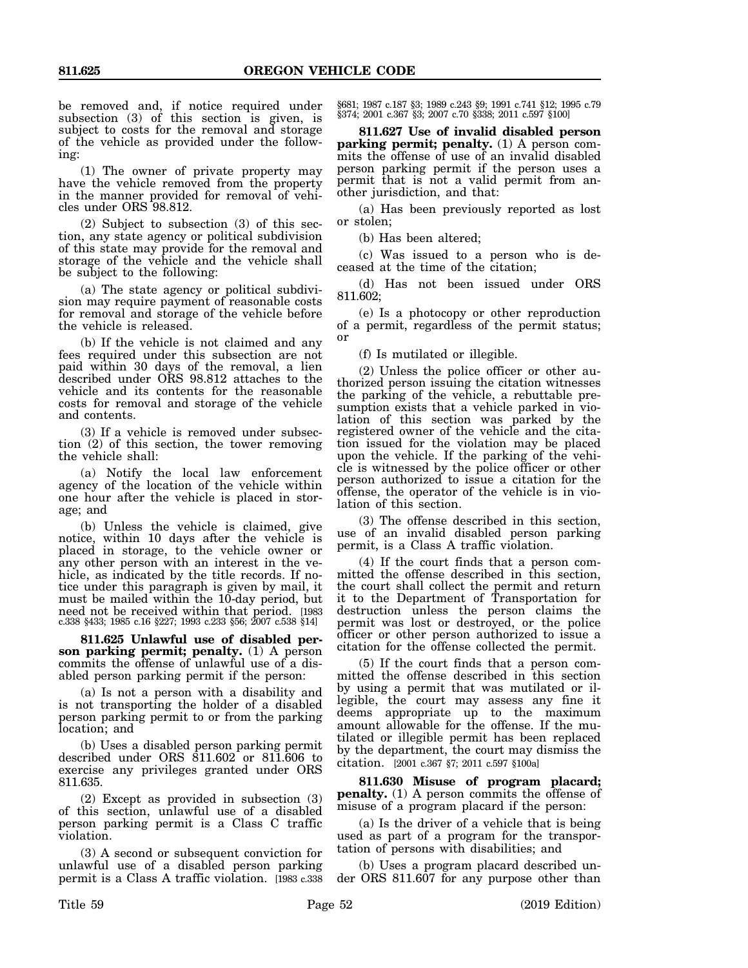be removed and, if notice required under subsection (3) of this section is given, is subject to costs for the removal and storage of the vehicle as provided under the following:

(1) The owner of private property may have the vehicle removed from the property in the manner provided for removal of vehicles under ORS 98.812.

(2) Subject to subsection (3) of this section, any state agency or political subdivision of this state may provide for the removal and storage of the vehicle and the vehicle shall be subject to the following:

(a) The state agency or political subdivision may require payment of reasonable costs for removal and storage of the vehicle before the vehicle is released.

(b) If the vehicle is not claimed and any fees required under this subsection are not paid within 30 days of the removal, a lien described under ORS 98.812 attaches to the vehicle and its contents for the reasonable costs for removal and storage of the vehicle and contents.

(3) If a vehicle is removed under subsection (2) of this section, the tower removing the vehicle shall:

(a) Notify the local law enforcement agency of the location of the vehicle within one hour after the vehicle is placed in storage; and

(b) Unless the vehicle is claimed, give notice, within 10 days after the vehicle is placed in storage, to the vehicle owner or any other person with an interest in the vehicle, as indicated by the title records. If notice under this paragraph is given by mail, it must be mailed within the 10-day period, but need not be received within that period. [1983 c.338 §433; 1985 c.16 §227; 1993 c.233 §56; 2007 c.538 §14]

**811.625 Unlawful use of disabled person parking permit; penalty.** (1) A person commits the offense of unlawful use of a disabled person parking permit if the person:

(a) Is not a person with a disability and is not transporting the holder of a disabled person parking permit to or from the parking location; and

(b) Uses a disabled person parking permit described under ORS 811.602 or 811.606 to exercise any privileges granted under ORS 811.635.

(2) Except as provided in subsection (3) of this section, unlawful use of a disabled person parking permit is a Class C traffic violation.

(3) A second or subsequent conviction for unlawful use of a disabled person parking permit is a Class A traffic violation. [1983 c.338 §681; 1987 c.187 §3; 1989 c.243 §9; 1991 c.741 §12; 1995 c.79 §374; 2001 c.367 §3; 2007 c.70 §338; 2011 c.597 §100]

**811.627 Use of invalid disabled person parking permit; penalty.** (1) A person commits the offense of use of an invalid disabled person parking permit if the person uses a permit that is not a valid permit from another jurisdiction, and that:

(a) Has been previously reported as lost or stolen;

(b) Has been altered;

(c) Was issued to a person who is deceased at the time of the citation;

(d) Has not been issued under ORS 811.602;

(e) Is a photocopy or other reproduction of a permit, regardless of the permit status; or

(f) Is mutilated or illegible.

(2) Unless the police officer or other authorized person issuing the citation witnesses the parking of the vehicle, a rebuttable presumption exists that a vehicle parked in violation of this section was parked by the registered owner of the vehicle and the citation issued for the violation may be placed upon the vehicle. If the parking of the vehicle is witnessed by the police officer or other person authorized to issue a citation for the offense, the operator of the vehicle is in violation of this section.

(3) The offense described in this section, use of an invalid disabled person parking permit, is a Class A traffic violation.

(4) If the court finds that a person committed the offense described in this section, the court shall collect the permit and return it to the Department of Transportation for destruction unless the person claims the permit was lost or destroyed, or the police officer or other person authorized to issue a citation for the offense collected the permit.

(5) If the court finds that a person committed the offense described in this section by using a permit that was mutilated or illegible, the court may assess any fine it deems appropriate up to the maximum amount allowable for the offense. If the mutilated or illegible permit has been replaced by the department, the court may dismiss the citation. [2001 c.367 §7; 2011 c.597 §100a]

**811.630 Misuse of program placard; penalty.** (1) A person commits the offense of misuse of a program placard if the person:

(a) Is the driver of a vehicle that is being used as part of a program for the transportation of persons with disabilities; and

(b) Uses a program placard described under ORS 811.607 for any purpose other than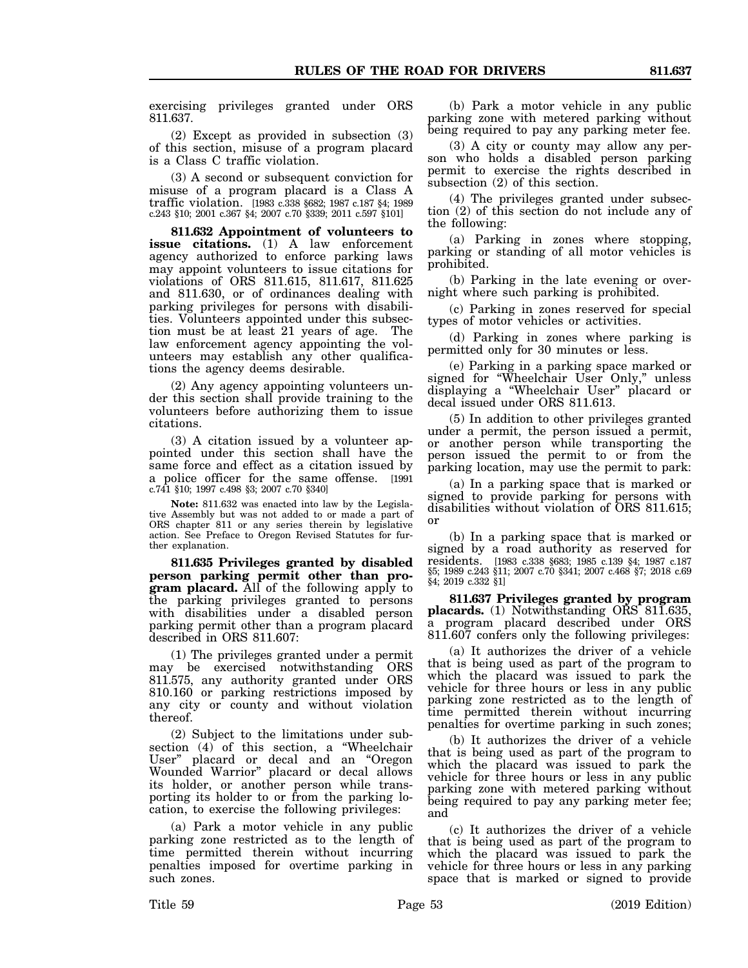exercising privileges granted under ORS 811.637.

(2) Except as provided in subsection (3) of this section, misuse of a program placard is a Class C traffic violation.

(3) A second or subsequent conviction for misuse of a program placard is a Class A traffic violation. [1983 c.338 §682; 1987 c.187 §4; 1989 c.243 §10; 2001 c.367 §4; 2007 c.70 §339; 2011 c.597 §101]

**811.632 Appointment of volunteers to issue citations.** (1) A law enforcement agency authorized to enforce parking laws may appoint volunteers to issue citations for violations of ORS 811.615, 811.617, 811.625 and 811.630, or of ordinances dealing with parking privileges for persons with disabilities. Volunteers appointed under this subsection must be at least 21 years of age. The law enforcement agency appointing the volunteers may establish any other qualifications the agency deems desirable.

(2) Any agency appointing volunteers under this section shall provide training to the volunteers before authorizing them to issue citations.

(3) A citation issued by a volunteer appointed under this section shall have the same force and effect as a citation issued by a police officer for the same offense. [1991 c.741 §10; 1997 c.498 §3; 2007 c.70 §340]

**Note:** 811.632 was enacted into law by the Legislative Assembly but was not added to or made a part of ORS chapter 811 or any series therein by legislative action. See Preface to Oregon Revised Statutes for further explanation.

**811.635 Privileges granted by disabled person parking permit other than program placard.** All of the following apply to the parking privileges granted to persons with disabilities under a disabled person parking permit other than a program placard described in ORS 811.607:

(1) The privileges granted under a permit may be exercised notwithstanding ORS 811.575, any authority granted under ORS 810.160 or parking restrictions imposed by any city or county and without violation thereof.

(2) Subject to the limitations under subsection (4) of this section, a "Wheelchair User" placard or decal and an "Oregon Wounded Warrior" placard or decal allows its holder, or another person while transporting its holder to or from the parking location, to exercise the following privileges:

(a) Park a motor vehicle in any public parking zone restricted as to the length of time permitted therein without incurring penalties imposed for overtime parking in such zones.

(b) Park a motor vehicle in any public parking zone with metered parking without being required to pay any parking meter fee.

(3) A city or county may allow any person who holds a disabled person parking permit to exercise the rights described in subsection (2) of this section.

(4) The privileges granted under subsection (2) of this section do not include any of the following:

(a) Parking in zones where stopping, parking or standing of all motor vehicles is prohibited.

(b) Parking in the late evening or overnight where such parking is prohibited.

(c) Parking in zones reserved for special types of motor vehicles or activities.

(d) Parking in zones where parking is permitted only for 30 minutes or less.

(e) Parking in a parking space marked or signed for "Wheelchair User Only," unless displaying a "Wheelchair User" placard or decal issued under ORS 811.613.

(5) In addition to other privileges granted under a permit, the person issued a permit, or another person while transporting the person issued the permit to or from the parking location, may use the permit to park:

(a) In a parking space that is marked or signed to provide parking for persons with disabilities without violation of ORS 811.615; or

(b) In a parking space that is marked or signed by a road authority as reserved for residents.  $1983 \text{ c}.\overline{338}$  \$683; 1985 c.139 \$4; 1987 c.187 residents. [1983 c.338 §683; 1985 c.139 §4; 1987 c.187 §5; 1989 c.243 §11; 2007 c.70 §341; 2007 c.468 §7; 2018 c.69 §4; 2019 c.332 §1]

**811.637 Privileges granted by program** placards. (1) Notwithstanding ORS 811.635, a program placard described under ORS 811.607 confers only the following privileges:

(a) It authorizes the driver of a vehicle that is being used as part of the program to which the placard was issued to park the vehicle for three hours or less in any public parking zone restricted as to the length of time permitted therein without incurring penalties for overtime parking in such zones;

(b) It authorizes the driver of a vehicle that is being used as part of the program to which the placard was issued to park the vehicle for three hours or less in any public parking zone with metered parking without being required to pay any parking meter fee; and

(c) It authorizes the driver of a vehicle that is being used as part of the program to which the placard was issued to park the vehicle for three hours or less in any parking space that is marked or signed to provide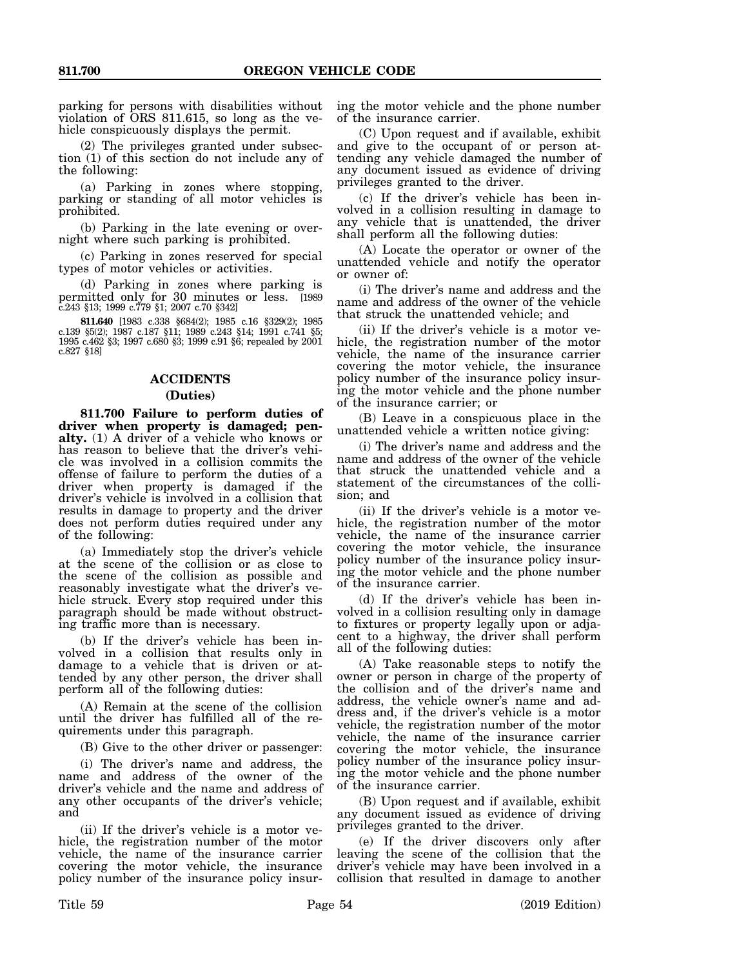parking for persons with disabilities without violation of ORS 811.615, so long as the vehicle conspicuously displays the permit.

(2) The privileges granted under subsection (1) of this section do not include any of the following:

(a) Parking in zones where stopping, parking or standing of all motor vehicles is prohibited.

(b) Parking in the late evening or overnight where such parking is prohibited.

(c) Parking in zones reserved for special types of motor vehicles or activities.

(d) Parking in zones where parking is permitted only for 30 minutes or less. [1989 c.243 §13; 1999 c.779 §1; 2007 c.70 §342]

**811.640** [1983 c.338 §684(2); 1985 c.16 §329(2); 1985 c.139 §5(2); 1987 c.187 §11; 1989 c.243 §14; 1991 c.741 §5; 1995 c.462 §3; 1997 c.680 §3; 1999 c.91 §6; repealed by 2001 c.827 §18]

## **ACCIDENTS**

#### **(Duties)**

**811.700 Failure to perform duties of driver when property is damaged; penalty.** (1) A driver of a vehicle who knows or has reason to believe that the driver's vehicle was involved in a collision commits the offense of failure to perform the duties of a driver when property is damaged if the driver's vehicle is involved in a collision that results in damage to property and the driver does not perform duties required under any of the following:

(a) Immediately stop the driver's vehicle at the scene of the collision or as close to the scene of the collision as possible and reasonably investigate what the driver's vehicle struck. Every stop required under this paragraph should be made without obstructing traffic more than is necessary.

(b) If the driver's vehicle has been involved in a collision that results only in damage to a vehicle that is driven or attended by any other person, the driver shall perform all of the following duties:

(A) Remain at the scene of the collision until the driver has fulfilled all of the requirements under this paragraph.

(B) Give to the other driver or passenger:

(i) The driver's name and address, the name and address of the owner of the driver's vehicle and the name and address of any other occupants of the driver's vehicle; and

(ii) If the driver's vehicle is a motor vehicle, the registration number of the motor vehicle, the name of the insurance carrier covering the motor vehicle, the insurance policy number of the insurance policy insuring the motor vehicle and the phone number of the insurance carrier.

(C) Upon request and if available, exhibit and give to the occupant of or person attending any vehicle damaged the number of any document issued as evidence of driving privileges granted to the driver.

(c) If the driver's vehicle has been involved in a collision resulting in damage to any vehicle that is unattended, the driver shall perform all the following duties:

(A) Locate the operator or owner of the unattended vehicle and notify the operator or owner of:

(i) The driver's name and address and the name and address of the owner of the vehicle that struck the unattended vehicle; and

(ii) If the driver's vehicle is a motor vehicle, the registration number of the motor vehicle, the name of the insurance carrier covering the motor vehicle, the insurance policy number of the insurance policy insuring the motor vehicle and the phone number of the insurance carrier; or

(B) Leave in a conspicuous place in the unattended vehicle a written notice giving:

(i) The driver's name and address and the name and address of the owner of the vehicle that struck the unattended vehicle and a statement of the circumstances of the collision; and

(ii) If the driver's vehicle is a motor vehicle, the registration number of the motor vehicle, the name of the insurance carrier covering the motor vehicle, the insurance policy number of the insurance policy insuring the motor vehicle and the phone number of the insurance carrier.

(d) If the driver's vehicle has been involved in a collision resulting only in damage to fixtures or property legally upon or adjacent to a highway, the driver shall perform all of the following duties:

(A) Take reasonable steps to notify the owner or person in charge of the property of the collision and of the driver's name and address, the vehicle owner's name and address and, if the driver's vehicle is a motor vehicle, the registration number of the motor vehicle, the name of the insurance carrier covering the motor vehicle, the insurance policy number of the insurance policy insuring the motor vehicle and the phone number of the insurance carrier.

(B) Upon request and if available, exhibit any document issued as evidence of driving privileges granted to the driver.

(e) If the driver discovers only after leaving the scene of the collision that the driver's vehicle may have been involved in a collision that resulted in damage to another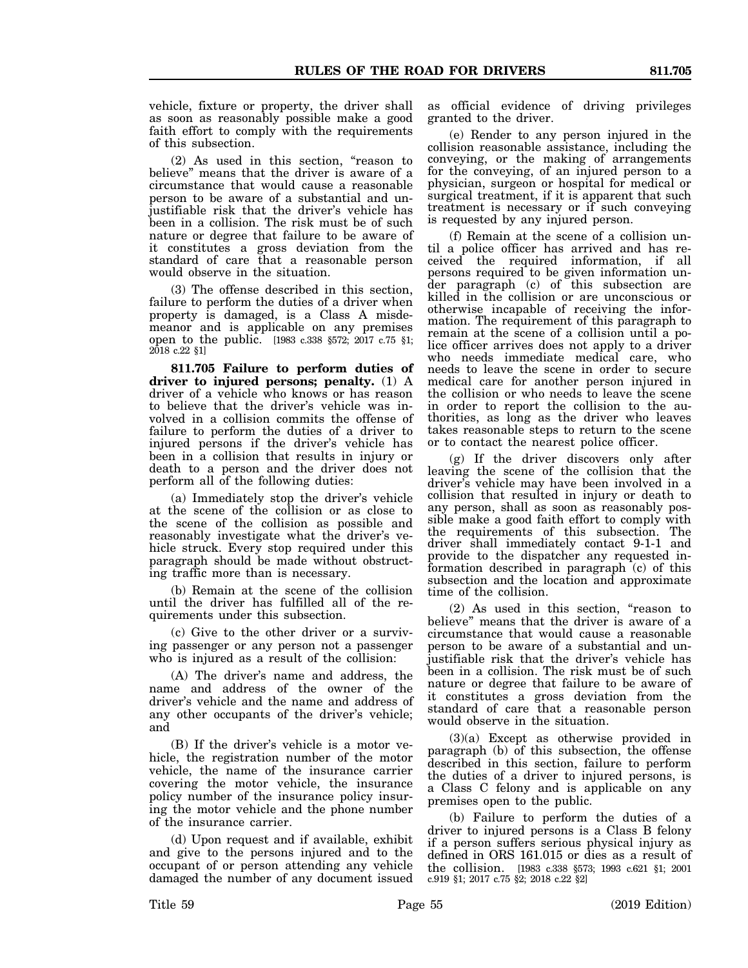vehicle, fixture or property, the driver shall as soon as reasonably possible make a good faith effort to comply with the requirements of this subsection.

(2) As used in this section, "reason to believe" means that the driver is aware of a circumstance that would cause a reasonable person to be aware of a substantial and unjustifiable risk that the driver's vehicle has been in a collision. The risk must be of such nature or degree that failure to be aware of it constitutes a gross deviation from the standard of care that a reasonable person would observe in the situation.

(3) The offense described in this section, failure to perform the duties of a driver when property is damaged, is a Class A misdemeanor and is applicable on any premises open to the public. [1983 c.338 §572; 2017 c.75 §1; 2018 c.22 §1]

**811.705 Failure to perform duties of driver to injured persons; penalty.** (1) A driver of a vehicle who knows or has reason to believe that the driver's vehicle was involved in a collision commits the offense of failure to perform the duties of a driver to injured persons if the driver's vehicle has been in a collision that results in injury or death to a person and the driver does not perform all of the following duties:

(a) Immediately stop the driver's vehicle at the scene of the collision or as close to the scene of the collision as possible and reasonably investigate what the driver's vehicle struck. Every stop required under this paragraph should be made without obstructing traffic more than is necessary.

(b) Remain at the scene of the collision until the driver has fulfilled all of the requirements under this subsection.

(c) Give to the other driver or a surviving passenger or any person not a passenger who is injured as a result of the collision:

(A) The driver's name and address, the name and address of the owner of the driver's vehicle and the name and address of any other occupants of the driver's vehicle; and

(B) If the driver's vehicle is a motor vehicle, the registration number of the motor vehicle, the name of the insurance carrier covering the motor vehicle, the insurance policy number of the insurance policy insuring the motor vehicle and the phone number of the insurance carrier.

(d) Upon request and if available, exhibit and give to the persons injured and to the occupant of or person attending any vehicle damaged the number of any document issued as official evidence of driving privileges granted to the driver.

(e) Render to any person injured in the collision reasonable assistance, including the conveying, or the making of arrangements for the conveying, of an injured person to a physician, surgeon or hospital for medical or surgical treatment, if it is apparent that such treatment is necessary or if such conveying is requested by any injured person.

(f) Remain at the scene of a collision until a police officer has arrived and has received the required information, if all persons required to be given information under paragraph (c) of this subsection are killed in the collision or are unconscious or otherwise incapable of receiving the information. The requirement of this paragraph to remain at the scene of a collision until a police officer arrives does not apply to a driver who needs immediate medical care, who needs to leave the scene in order to secure medical care for another person injured in the collision or who needs to leave the scene in order to report the collision to the authorities, as long as the driver who leaves takes reasonable steps to return to the scene or to contact the nearest police officer.

(g) If the driver discovers only after leaving the scene of the collision that the driver's vehicle may have been involved in a collision that resulted in injury or death to any person, shall as soon as reasonably possible make a good faith effort to comply with the requirements of this subsection. The driver shall immediately contact 9-1-1 and provide to the dispatcher any requested information described in paragraph (c) of this subsection and the location and approximate time of the collision.

(2) As used in this section, "reason to believe" means that the driver is aware of a circumstance that would cause a reasonable person to be aware of a substantial and unjustifiable risk that the driver's vehicle has been in a collision. The risk must be of such nature or degree that failure to be aware of it constitutes a gross deviation from the standard of care that a reasonable person would observe in the situation.

(3)(a) Except as otherwise provided in paragraph (b) of this subsection, the offense described in this section, failure to perform the duties of a driver to injured persons, is a Class C felony and is applicable on any premises open to the public.

(b) Failure to perform the duties of a driver to injured persons is a Class B felony if a person suffers serious physical injury as defined in ORS 161.015 or dies as a result of the collision. [1983 c.338 §573; 1993 c.621 §1; 2001 c.919 §1; 2017 c.75 §2; 2018 c.22 §2]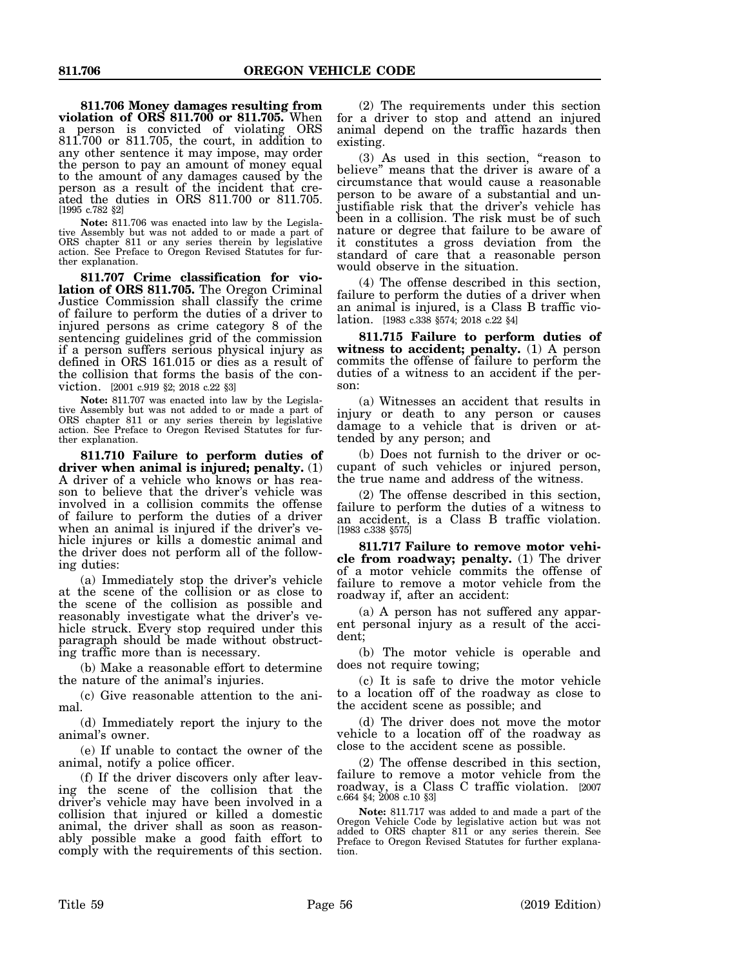**811.706 Money damages resulting from violation of ORS 811.700 or 811.705.** When a person is convicted of violating ORS 811.700 or 811.705, the court, in addition to any other sentence it may impose, may order the person to pay an amount of money equal to the amount of any damages caused by the person as a result of the incident that created the duties in ORS 811.700 or 811.705. [1995 c.782 §2]

**Note:** 811.706 was enacted into law by the Legislative Assembly but was not added to or made a part of ORS chapter 811 or any series therein by legislative action. See Preface to Oregon Revised Statutes for further explanation.

**811.707 Crime classification for violation of ORS 811.705.** The Oregon Criminal Justice Commission shall classify the crime of failure to perform the duties of a driver to injured persons as crime category 8 of the sentencing guidelines grid of the commission if a person suffers serious physical injury as defined in ORS 161.015 or dies as a result of the collision that forms the basis of the conviction. [2001 c.919 §2; 2018 c.22 §3]

**Note:** 811.707 was enacted into law by the Legislative Assembly but was not added to or made a part of ORS chapter 811 or any series therein by legislative action. See Preface to Oregon Revised Statutes for further explanation.

**811.710 Failure to perform duties of driver when animal is injured; penalty.** (1) A driver of a vehicle who knows or has reason to believe that the driver's vehicle was involved in a collision commits the offense of failure to perform the duties of a driver when an animal is injured if the driver's vehicle injures or kills a domestic animal and the driver does not perform all of the following duties:

(a) Immediately stop the driver's vehicle at the scene of the collision or as close to the scene of the collision as possible and reasonably investigate what the driver's vehicle struck. Every stop required under this paragraph should be made without obstructing traffic more than is necessary.

(b) Make a reasonable effort to determine the nature of the animal's injuries.

(c) Give reasonable attention to the animal.

(d) Immediately report the injury to the animal's owner.

(e) If unable to contact the owner of the animal, notify a police officer.

(f) If the driver discovers only after leaving the scene of the collision that the driver's vehicle may have been involved in a collision that injured or killed a domestic animal, the driver shall as soon as reasonably possible make a good faith effort to comply with the requirements of this section.

(2) The requirements under this section for a driver to stop and attend an injured animal depend on the traffic hazards then existing.

(3) As used in this section, "reason to believe" means that the driver is aware of a circumstance that would cause a reasonable person to be aware of a substantial and unjustifiable risk that the driver's vehicle has been in a collision. The risk must be of such nature or degree that failure to be aware of it constitutes a gross deviation from the standard of care that a reasonable person would observe in the situation.

(4) The offense described in this section, failure to perform the duties of a driver when an animal is injured, is a Class B traffic violation. [1983 c.338 §574; 2018 c.22 §4]

**811.715 Failure to perform duties of witness to accident; penalty.** (1) A person commits the offense of failure to perform the duties of a witness to an accident if the person:

(a) Witnesses an accident that results in injury or death to any person or causes damage to a vehicle that is driven or attended by any person; and

(b) Does not furnish to the driver or occupant of such vehicles or injured person, the true name and address of the witness.

(2) The offense described in this section, failure to perform the duties of a witness to an accident, is a Class B traffic violation. [1983 c.338 §575]

**811.717 Failure to remove motor vehicle from roadway; penalty.** (1) The driver of a motor vehicle commits the offense of failure to remove a motor vehicle from the roadway if, after an accident:

(a) A person has not suffered any apparent personal injury as a result of the accident;

(b) The motor vehicle is operable and does not require towing;

(c) It is safe to drive the motor vehicle to a location off of the roadway as close to the accident scene as possible; and

(d) The driver does not move the motor vehicle to a location off of the roadway as close to the accident scene as possible.

(2) The offense described in this section, failure to remove a motor vehicle from the roadway, is a Class C traffic violation. [2007 c.664 §4; 2008 c.10 §3]

**Note:** 811.717 was added to and made a part of the Oregon Vehicle Code by legislative action but was not added to ORS chapter 811 or any series therein. See Preface to Oregon Revised Statutes for further explanation.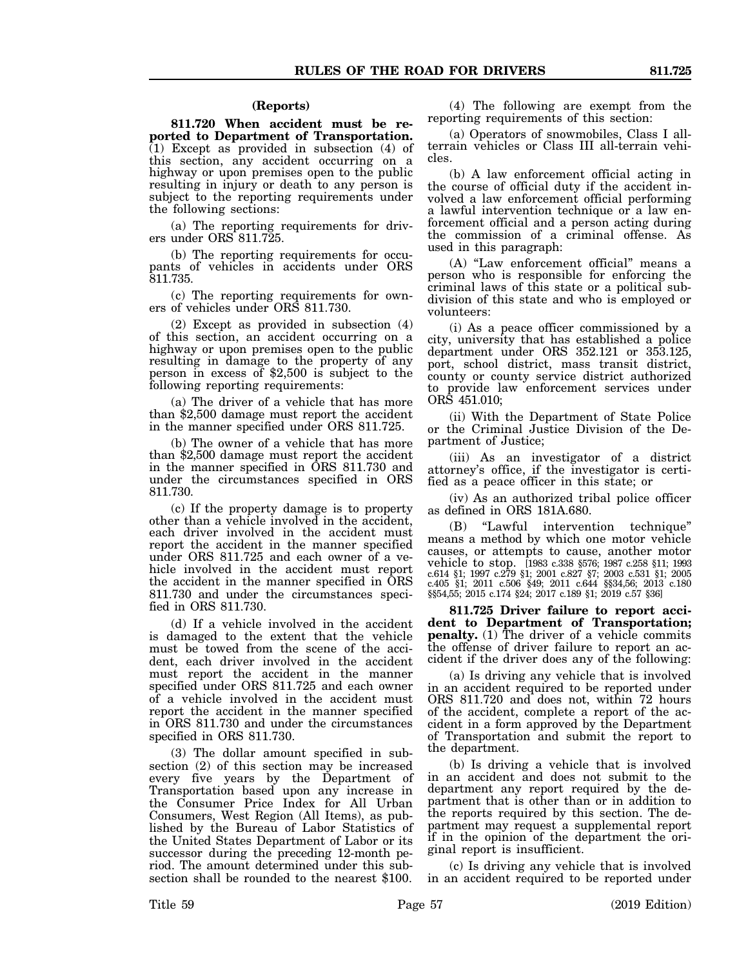#### **(Reports)**

**811.720 When accident must be reported to Department of Transportation.**  $(1)$  Except as provided in subsection  $(4)$  of this section, any accident occurring on a highway or upon premises open to the public resulting in injury or death to any person is subject to the reporting requirements under the following sections:

(a) The reporting requirements for drivers under ORS 811.725.

(b) The reporting requirements for occupants of vehicles in accidents under ORS 811.735.

(c) The reporting requirements for owners of vehicles under ORS 811.730.

(2) Except as provided in subsection (4) of this section, an accident occurring on a highway or upon premises open to the public resulting in damage to the property of any person in excess of \$2,500 is subject to the following reporting requirements:

(a) The driver of a vehicle that has more than \$2,500 damage must report the accident in the manner specified under ORS 811.725.

(b) The owner of a vehicle that has more than \$2,500 damage must report the accident in the manner specified in ORS 811.730 and under the circumstances specified in ORS 811.730.

(c) If the property damage is to property other than a vehicle involved in the accident, each driver involved in the accident must report the accident in the manner specified under ORS 811.725 and each owner of a vehicle involved in the accident must report the accident in the manner specified in ORS 811.730 and under the circumstances specified in ORS 811.730.

(d) If a vehicle involved in the accident is damaged to the extent that the vehicle must be towed from the scene of the accident, each driver involved in the accident must report the accident in the manner specified under ORS 811.725 and each owner of a vehicle involved in the accident must report the accident in the manner specified in ORS 811.730 and under the circumstances specified in ORS 811.730.

(3) The dollar amount specified in subsection (2) of this section may be increased every five years by the Department of Transportation based upon any increase in the Consumer Price Index for All Urban Consumers, West Region (All Items), as published by the Bureau of Labor Statistics of the United States Department of Labor or its successor during the preceding 12-month period. The amount determined under this subsection shall be rounded to the nearest \$100.

(4) The following are exempt from the reporting requirements of this section:

(a) Operators of snowmobiles, Class I allterrain vehicles or Class III all-terrain vehicles.

(b) A law enforcement official acting in the course of official duty if the accident involved a law enforcement official performing a lawful intervention technique or a law enforcement official and a person acting during the commission of a criminal offense. As used in this paragraph:

(A) "Law enforcement official" means a person who is responsible for enforcing the criminal laws of this state or a political subdivision of this state and who is employed or volunteers:

(i) As a peace officer commissioned by a city, university that has established a police department under ORS 352.121 or 353.125, port, school district, mass transit district, county or county service district authorized to provide law enforcement services under ORS 451.010;

(ii) With the Department of State Police or the Criminal Justice Division of the Department of Justice;

(iii) As an investigator of a district attorney's office, if the investigator is certified as a peace officer in this state; or

(iv) As an authorized tribal police officer as defined in ORS 181A.680.

(B) "Lawful intervention technique" means a method by which one motor vehicle causes, or attempts to cause, another motor vehicle to stop. [1983 c.338 §576; 1987 c.258 §11; 1993 c.614 §1; 1997 c.279 §1; 2001 c.827 §7; 2003 c.531 §1; 2005 c.405 §1; 2011 c.506 §49; 2011 c.644 §§34,56; 2013 c.180 §§54,55; 2015 c.174 §24; 2017 c.189 §1; 2019 c.57 §36]

**811.725 Driver failure to report accident to Department of Transportation; penalty.** (1) The driver of a vehicle commits the offense of driver failure to report an accident if the driver does any of the following:

(a) Is driving any vehicle that is involved in an accident required to be reported under ORS 811.720 and does not, within 72 hours of the accident, complete a report of the accident in a form approved by the Department of Transportation and submit the report to the department.

(b) Is driving a vehicle that is involved in an accident and does not submit to the department any report required by the department that is other than or in addition to the reports required by this section. The department may request a supplemental report if in the opinion of the department the original report is insufficient.

(c) Is driving any vehicle that is involved in an accident required to be reported under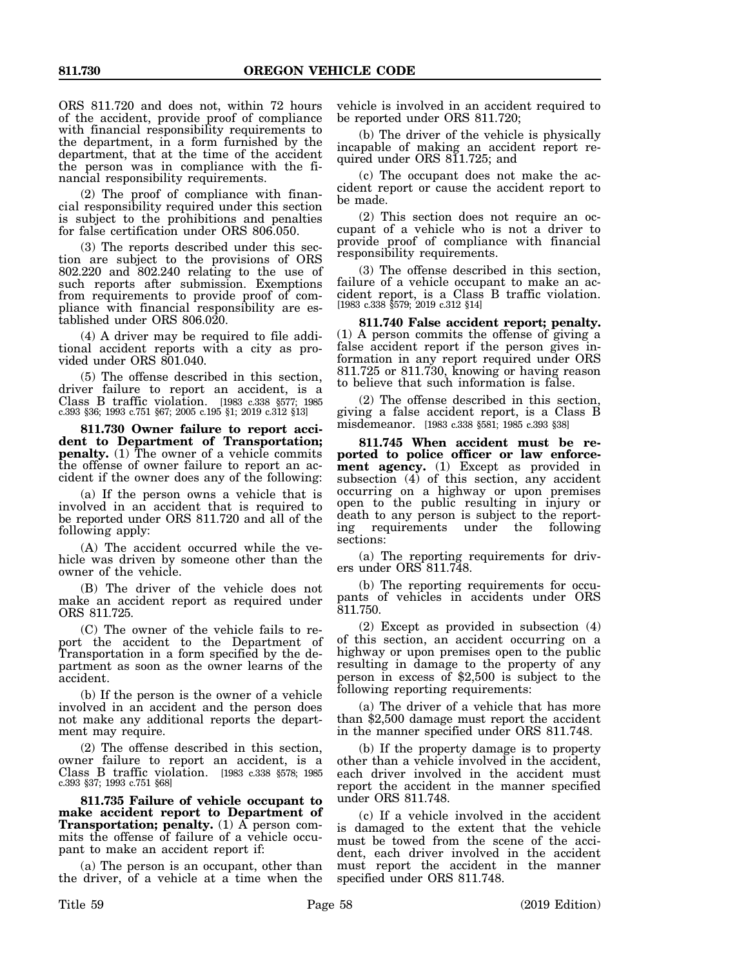ORS 811.720 and does not, within 72 hours of the accident, provide proof of compliance with financial responsibility requirements to the department, in a form furnished by the department, that at the time of the accident the person was in compliance with the financial responsibility requirements.

(2) The proof of compliance with financial responsibility required under this section is subject to the prohibitions and penalties for false certification under ORS 806.050.

(3) The reports described under this section are subject to the provisions of ORS 802.220 and 802.240 relating to the use of such reports after submission. Exemptions from requirements to provide proof of compliance with financial responsibility are established under ORS 806.020.

(4) A driver may be required to file additional accident reports with a city as provided under ORS 801.040.

(5) The offense described in this section, driver failure to report an accident, is a Class B traffic violation. [1983 c.338 §577; 1985 c.393 §36; 1993 c.751 §67; 2005 c.195 §1; 2019 c.312 §13]

**811.730 Owner failure to report accident to Department of Transportation; penalty.** (1) The owner of a vehicle commits the offense of owner failure to report an accident if the owner does any of the following:

(a) If the person owns a vehicle that is involved in an accident that is required to be reported under ORS 811.720 and all of the following apply:

(A) The accident occurred while the vehicle was driven by someone other than the owner of the vehicle.

(B) The driver of the vehicle does not make an accident report as required under ORS 811.725.

(C) The owner of the vehicle fails to report the accident to the Department of Transportation in a form specified by the department as soon as the owner learns of the accident.

(b) If the person is the owner of a vehicle involved in an accident and the person does not make any additional reports the department may require.

(2) The offense described in this section, owner failure to report an accident, is a Class B traffic violation. [1983 c.338 §578; 1985 c.393 §37; 1993 c.751 §68]

**811.735 Failure of vehicle occupant to make accident report to Department of Transportation; penalty.** (1) A person commits the offense of failure of a vehicle occupant to make an accident report if:

(a) The person is an occupant, other than the driver, of a vehicle at a time when the vehicle is involved in an accident required to be reported under ORS 811.720;

(b) The driver of the vehicle is physically incapable of making an accident report required under ORS 811.725; and

(c) The occupant does not make the accident report or cause the accident report to be made.

(2) This section does not require an occupant of a vehicle who is not a driver to provide proof of compliance with financial responsibility requirements.

(3) The offense described in this section, failure of a vehicle occupant to make an accident report, is a Class B traffic violation. [1983 c.338 §579; 2019 c.312 §14]

**811.740 False accident report; penalty.** (1) A person commits the offense of giving a false accident report if the person gives information in any report required under ORS 811.725 or 811.730, knowing or having reason to believe that such information is false.

(2) The offense described in this section, giving a false accident report, is a Class B misdemeanor. [1983 c.338 §581; 1985 c.393 §38]

**811.745 When accident must be reported to police officer or law enforcement agency.** (1) Except as provided in subsection (4) of this section, any accident occurring on a highway or upon premises open to the public resulting in injury or death to any person is subject to the reporting requirements under the following sections:

(a) The reporting requirements for drivers under ORS 811.748.

(b) The reporting requirements for occupants of vehicles in accidents under ORS 811.750.

(2) Except as provided in subsection (4) of this section, an accident occurring on a highway or upon premises open to the public resulting in damage to the property of any person in excess of \$2,500 is subject to the following reporting requirements:

(a) The driver of a vehicle that has more than \$2,500 damage must report the accident in the manner specified under ORS 811.748.

(b) If the property damage is to property other than a vehicle involved in the accident, each driver involved in the accident must report the accident in the manner specified under ORS 811.748.

(c) If a vehicle involved in the accident is damaged to the extent that the vehicle must be towed from the scene of the accident, each driver involved in the accident must report the accident in the manner specified under ORS 811.748.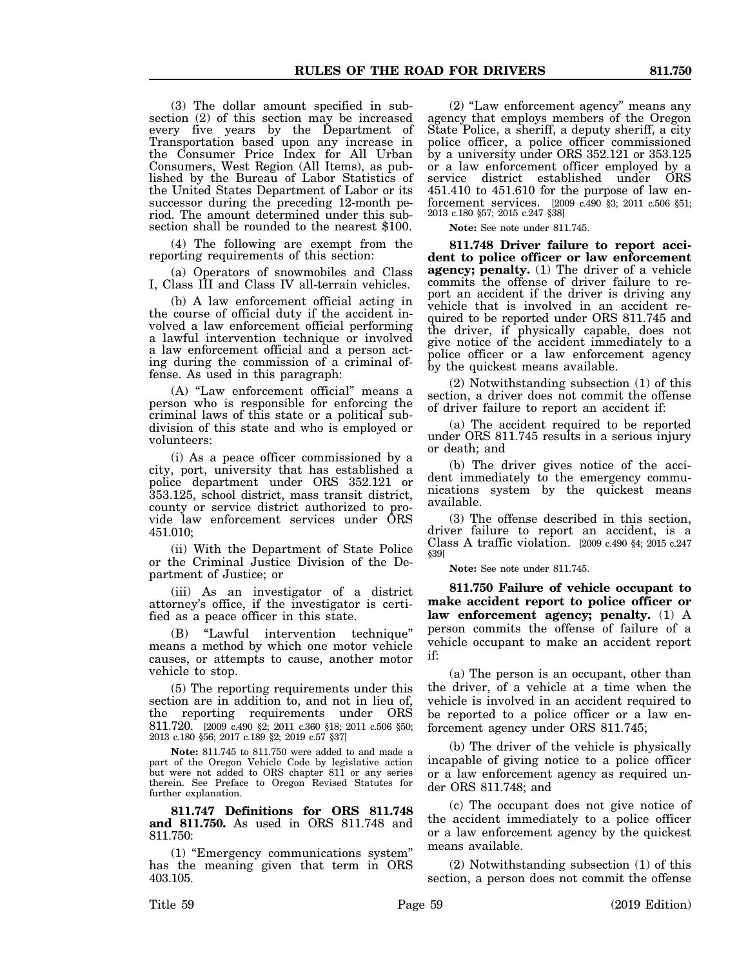(3) The dollar amount specified in subsection (2) of this section may be increased every five years by the Department of Transportation based upon any increase in the Consumer Price Index for All Urban Consumers, West Region (All Items), as published by the Bureau of Labor Statistics of the United States Department of Labor or its successor during the preceding 12-month period. The amount determined under this subsection shall be rounded to the nearest \$100.

(4) The following are exempt from the reporting requirements of this section:

(a) Operators of snowmobiles and Class I, Class III and Class IV all-terrain vehicles.

(b) A law enforcement official acting in the course of official duty if the accident involved a law enforcement official performing a lawful intervention technique or involved a law enforcement official and a person acting during the commission of a criminal offense. As used in this paragraph:

(A) "Law enforcement official" means a person who is responsible for enforcing the criminal laws of this state or a political subdivision of this state and who is employed or volunteers:

(i) As a peace officer commissioned by a city, port, university that has established a police department under ORS 352.121 or 353.125, school district, mass transit district, county or service district authorized to provide law enforcement services under ORS 451.010;

(ii) With the Department of State Police or the Criminal Justice Division of the Department of Justice; or

(iii) As an investigator of a district attorney's office, if the investigator is certified as a peace officer in this state.

(B) "Lawful intervention technique" means a method by which one motor vehicle causes, or attempts to cause, another motor vehicle to stop.

(5) The reporting requirements under this section are in addition to, and not in lieu of, the reporting requirements under ORS 811.720. [2009 c.490 §2; 2011 c.360 §18; 2011 c.506 §50; 2013 c.180 §56; 2017 c.189 §2; 2019 c.57 §37]

**Note:** 811.745 to 811.750 were added to and made a part of the Oregon Vehicle Code by legislative action but were not added to ORS chapter 811 or any series therein. See Preface to Oregon Revised Statutes for further explanation.

**811.747 Definitions for ORS 811.748 and 811.750.** As used in ORS 811.748 and 811.750:

(1) "Emergency communications system" has the meaning given that term in ORS 403.105.

(2) "Law enforcement agency" means any agency that employs members of the Oregon State Police, a sheriff, a deputy sheriff, a city police officer, a police officer commissioned by a university under ORS 352.121 or 353.125 or a law enforcement officer employed by a service district established under ORS 451.410 to 451.610 for the purpose of law enforcement services. [2009 c.490 §3; 2011 c.506 §51; 2013 c.180 §57; 2015 c.247 §38]

**Note:** See note under 811.745.

**811.748 Driver failure to report accident to police officer or law enforcement agency; penalty.** (1) The driver of a vehicle commits the offense of driver failure to report an accident if the driver is driving any vehicle that is involved in an accident required to be reported under ORS 811.745 and the driver, if physically capable, does not give notice of the accident immediately to a police officer or a law enforcement agency by the quickest means available.

(2) Notwithstanding subsection (1) of this section, a driver does not commit the offense of driver failure to report an accident if:

(a) The accident required to be reported under ORS 811.745 results in a serious injury or death; and

(b) The driver gives notice of the accident immediately to the emergency communications system by the quickest means available.

(3) The offense described in this section, driver failure to report an accident, is a Class A traffic violation. [2009 c.490 §4; 2015 c.247 §39]

**Note:** See note under 811.745.

**811.750 Failure of vehicle occupant to make accident report to police officer or law enforcement agency; penalty.** (1) A person commits the offense of failure of a vehicle occupant to make an accident report if:

(a) The person is an occupant, other than the driver, of a vehicle at a time when the vehicle is involved in an accident required to be reported to a police officer or a law enforcement agency under ORS 811.745;

(b) The driver of the vehicle is physically incapable of giving notice to a police officer or a law enforcement agency as required under ORS 811.748; and

(c) The occupant does not give notice of the accident immediately to a police officer or a law enforcement agency by the quickest means available.

(2) Notwithstanding subsection (1) of this section, a person does not commit the offense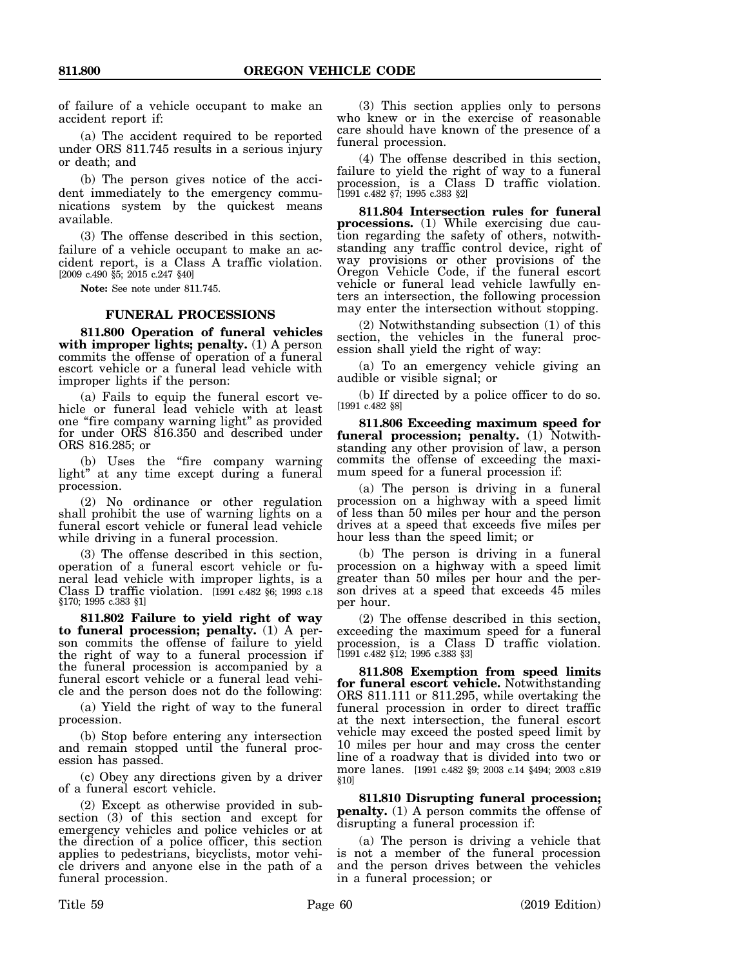of failure of a vehicle occupant to make an accident report if:

(a) The accident required to be reported under ORS 811.745 results in a serious injury or death; and

(b) The person gives notice of the accident immediately to the emergency communications system by the quickest means available.

(3) The offense described in this section, failure of a vehicle occupant to make an accident report, is a Class A traffic violation. [2009 c.490 §5; 2015 c.247 §40]

**Note:** See note under 811.745.

#### **FUNERAL PROCESSIONS**

**811.800 Operation of funeral vehicles with improper lights; penalty.** (1) A person commits the offense of operation of a funeral escort vehicle or a funeral lead vehicle with improper lights if the person:

(a) Fails to equip the funeral escort vehicle or funeral lead vehicle with at least one "fire company warning light" as provided for under ORS 816.350 and described under ORS 816.285; or

(b) Uses the "fire company warning light" at any time except during a funeral procession.

(2) No ordinance or other regulation shall prohibit the use of warning lights on a funeral escort vehicle or funeral lead vehicle while driving in a funeral procession.

(3) The offense described in this section, operation of a funeral escort vehicle or funeral lead vehicle with improper lights, is a Class D traffic violation. [1991 c.482 §6; 1993 c.18 §170; 1995 c.383 §1]

**811.802 Failure to yield right of way to funeral procession; penalty.** (1) A person commits the offense of failure to yield the right of way to a funeral procession if the funeral procession is accompanied by a funeral escort vehicle or a funeral lead vehicle and the person does not do the following:

(a) Yield the right of way to the funeral procession.

(b) Stop before entering any intersection and remain stopped until the funeral procession has passed.

(c) Obey any directions given by a driver of a funeral escort vehicle.

(2) Except as otherwise provided in subsection (3) of this section and except for emergency vehicles and police vehicles or at the direction of a police officer, this section applies to pedestrians, bicyclists, motor vehicle drivers and anyone else in the path of a funeral procession.

(3) This section applies only to persons who knew or in the exercise of reasonable care should have known of the presence of a funeral procession.

(4) The offense described in this section, failure to yield the right of way to a funeral procession, is a Class D traffic violation. [1991 c.482 §7; 1995 c.383 §2]

**811.804 Intersection rules for funeral processions.** (1) While exercising due caution regarding the safety of others, notwithstanding any traffic control device, right of way provisions or other provisions of the Oregon Vehicle Code, if the funeral escort vehicle or funeral lead vehicle lawfully enters an intersection, the following procession may enter the intersection without stopping.

(2) Notwithstanding subsection (1) of this section, the vehicles in the funeral procession shall yield the right of way:

(a) To an emergency vehicle giving an audible or visible signal; or

(b) If directed by a police officer to do so. [1991 c.482 §8]

**811.806 Exceeding maximum speed for funeral procession; penalty.** (1) Notwithstanding any other provision of law, a person commits the offense of exceeding the maximum speed for a funeral procession if:

(a) The person is driving in a funeral procession on a highway with a speed limit of less than 50 miles per hour and the person drives at a speed that exceeds five miles per hour less than the speed limit; or

(b) The person is driving in a funeral procession on a highway with a speed limit greater than 50 miles per hour and the person drives at a speed that exceeds 45 miles per hour.

(2) The offense described in this section, exceeding the maximum speed for a funeral procession, is a Class D traffic violation. [1991 c.482 §12; 1995 c.383 §3]

**811.808 Exemption from speed limits for funeral escort vehicle.** Notwithstanding ORS 811.111 or 811.295, while overtaking the funeral procession in order to direct traffic at the next intersection, the funeral escort vehicle may exceed the posted speed limit by 10 miles per hour and may cross the center line of a roadway that is divided into two or more lanes. [1991 c.482 §9; 2003 c.14 §494; 2003 c.819 §10]

**811.810 Disrupting funeral procession; penalty.** (1) A person commits the offense of disrupting a funeral procession if:

(a) The person is driving a vehicle that is not a member of the funeral procession and the person drives between the vehicles in a funeral procession; or